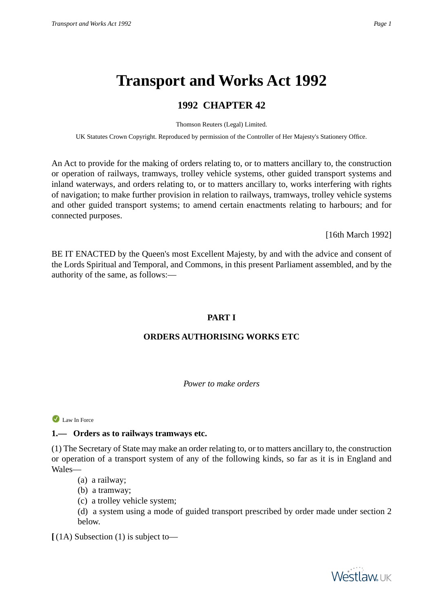# **Transport and Works Act 1992**

# **1992 CHAPTER 42**

Thomson Reuters (Legal) Limited.

UK Statutes Crown Copyright. Reproduced by permission of the Controller of Her Majesty's Stationery Office.

An Act to provide for the making of orders relating to, or to matters ancillary to, the construction or operation of railways, tramways, trolley vehicle systems, other guided transport systems and inland waterways, and orders relating to, or to matters ancillary to, works interfering with rights of navigation; to make further provision in relation to railways, tramways, trolley vehicle systems and other guided transport systems; to amend certain enactments relating to harbours; and for connected purposes.

[16th March 1992]

BE IT ENACTED by the Queen's most Excellent Majesty, by and with the advice and consent of the Lords Spiritual and Temporal, and Commons, in this present Parliament assembled, and by the authority of the same, as follows:—

# **PART I**

# **ORDERS AUTHORISING WORKS ETC**

#### *Power to make orders*

Law In Force

# **1.— Orders as to railways tramways etc.**

(1) The Secretary of State may make an order relating to, or to matters ancillary to, the construction or operation of a transport system of any of the following kinds, so far as it is in England and Wales—

- (a) a railway;
- (b) a tramway;
- (c) a trolley vehicle system;

(d) a system using a mode of guided transport prescribed by order made under section 2 below.

**[** (1A) Subsection (1) is subject to—

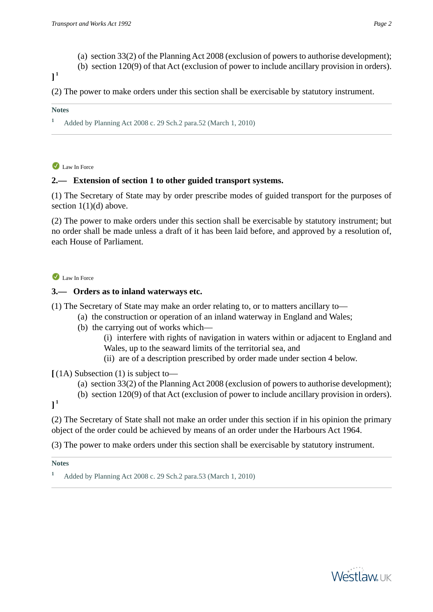- (a) section 33(2) of the Planning Act 2008 (exclusion of powers to authorise development);
- (b) section 120(9) of that Act (exclusion of power to include ancillary provision in orders).

# **] 1**

(2) The power to make orders under this section shall be exercisable by statutory instrument.

#### **Notes**

**<sup>1</sup>** Added by Planning Act 2008 c. 29 Sch.2 para.52 (March 1, 2010)

Law In Force

#### **2.— Extension of section 1 to other guided transport systems.**

(1) The Secretary of State may by order prescribe modes of guided transport for the purposes of section  $1(1)(d)$  above.

(2) The power to make orders under this section shall be exercisable by statutory instrument; but no order shall be made unless a draft of it has been laid before, and approved by a resolution of, each House of Parliament.

#### Law In Force

#### **3.— Orders as to inland waterways etc.**

(1) The Secretary of State may make an order relating to, or to matters ancillary to—

- (a) the construction or operation of an inland waterway in England and Wales;
	- (b) the carrying out of works which—
		- (i) interfere with rights of navigation in waters within or adjacent to England and Wales, up to the seaward limits of the territorial sea, and
		- (ii) are of a description prescribed by order made under section 4 below.

**[** (1A) Subsection (1) is subject to—

- (a) section 33(2) of the Planning Act 2008 (exclusion of powers to authorise development);
- (b) section 120(9) of that Act (exclusion of power to include ancillary provision in orders).

**] 1**

(2) The Secretary of State shall not make an order under this section if in his opinion the primary object of the order could be achieved by means of an order under the Harbours Act 1964.

(3) The power to make orders under this section shall be exercisable by statutory instrument.



**<sup>1</sup>** Added by Planning Act 2008 c. 29 Sch.2 para.53 (March 1, 2010)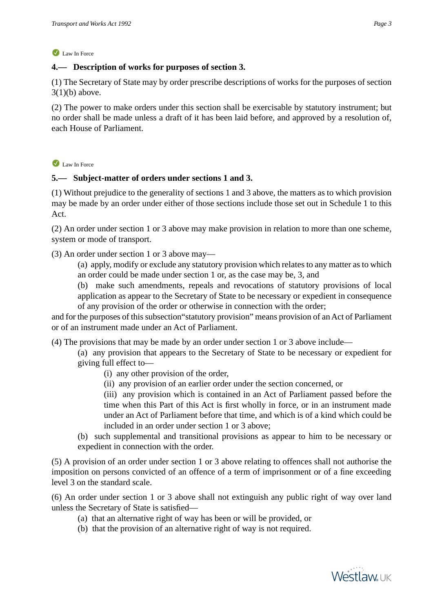# **4.— Description of works for purposes of section 3.**

(1) The Secretary of State may by order prescribe descriptions of works for the purposes of section  $3(1)(b)$  above.

(2) The power to make orders under this section shall be exercisable by statutory instrument; but no order shall be made unless a draft of it has been laid before, and approved by a resolution of, each House of Parliament.

Law In Force

# **5.— Subject-matter of orders under sections 1 and 3.**

(1) Without prejudice to the generality of sections 1 and 3 above, the matters as to which provision may be made by an order under either of those sections include those set out in Schedule 1 to this Act.

(2) An order under section 1 or 3 above may make provision in relation to more than one scheme, system or mode of transport.

(3) An order under section 1 or 3 above may—

(a) apply, modify or exclude any statutory provision which relates to any matter as to which an order could be made under section 1 or, as the case may be, 3, and

(b) make such amendments, repeals and revocations of statutory provisions of local application as appear to the Secretary of State to be necessary or expedient in consequence of any provision of the order or otherwise in connection with the order;

and for the purposes of this subsection"statutory provision" means provision of an Act of Parliament or of an instrument made under an Act of Parliament.

(4) The provisions that may be made by an order under section 1 or 3 above include—

(a) any provision that appears to the Secretary of State to be necessary or expedient for giving full effect to—

- (i) any other provision of the order,
- (ii) any provision of an earlier order under the section concerned, or

(iii) any provision which is contained in an Act of Parliament passed before the time when this Part of this Act is first wholly in force, or in an instrument made under an Act of Parliament before that time, and which is of a kind which could be included in an order under section 1 or 3 above;

(b) such supplemental and transitional provisions as appear to him to be necessary or expedient in connection with the order.

(5) A provision of an order under section 1 or 3 above relating to offences shall not authorise the imposition on persons convicted of an offence of a term of imprisonment or of a fine exceeding level 3 on the standard scale.

(6) An order under section 1 or 3 above shall not extinguish any public right of way over land unless the Secretary of State is satisfied—

- (a) that an alternative right of way has been or will be provided, or
- (b) that the provision of an alternative right of way is not required.

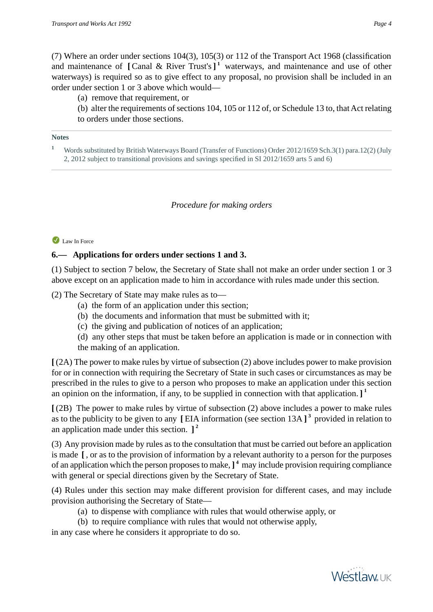(7) Where an order under sections 104(3), 105(3) or 112 of the Transport Act 1968 (classification and maintenance of **[**Canal & River Trust's**] 1** waterways, and maintenance and use of other waterways) is required so as to give effect to any proposal, no provision shall be included in an order under section 1 or 3 above which would—

(a) remove that requirement, or

(b) alter the requirements of sections 104, 105 or 112 of, or Schedule 13 to, that Act relating to orders under those sections.

#### **Notes**

**<sup>1</sup>** Words substituted by British Waterways Board (Transfer of Functions) Order 2012/1659 Sch.3(1) para.12(2) (July 2, 2012 subject to transitional provisions and savings specified in SI 2012/1659 arts 5 and 6)

#### *Procedure for making orders*

#### Law In Force

#### **6.— Applications for orders under sections 1 and 3.**

(1) Subject to section 7 below, the Secretary of State shall not make an order under section 1 or 3 above except on an application made to him in accordance with rules made under this section.

(2) The Secretary of State may make rules as to—

- (a) the form of an application under this section;
- (b) the documents and information that must be submitted with it;
- (c) the giving and publication of notices of an application;

(d) any other steps that must be taken before an application is made or in connection with the making of an application.

**[** (2A) The power to make rules by virtue of subsection (2) above includes power to make provision for or in connection with requiring the Secretary of State in such cases or circumstances as may be prescribed in the rules to give to a person who proposes to make an application under this section an opinion on the information, if any, to be supplied in connection with that application. **] 1**

**[** (2B) The power to make rules by virtue of subsection (2) above includes a power to make rules as to the publicity to be given to any **[** EIA information (see section 13A **] 3** provided in relation to an application made under this section. **] 2**

(3) Any provision made by rules as to the consultation that must be carried out before an application is made **[** , or as to the provision of information by a relevant authority to a person for the purposes of an application which the person proposes to make,**] 4** may include provision requiring compliance with general or special directions given by the Secretary of State.

(4) Rules under this section may make different provision for different cases, and may include provision authorising the Secretary of State—

(a) to dispense with compliance with rules that would otherwise apply, or

(b) to require compliance with rules that would not otherwise apply,

in any case where he considers it appropriate to do so.

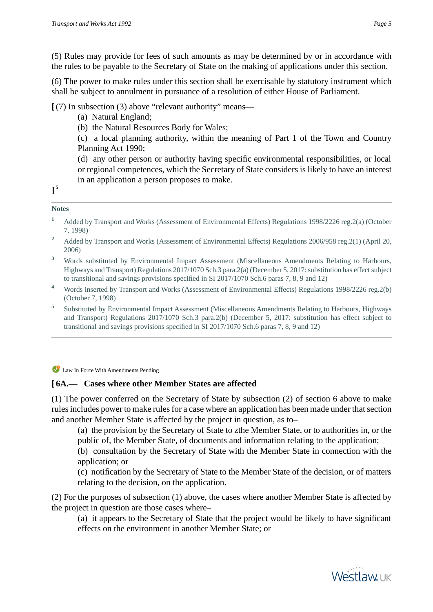(5) Rules may provide for fees of such amounts as may be determined by or in accordance with the rules to be payable to the Secretary of State on the making of applications under this section.

(6) The power to make rules under this section shall be exercisable by statutory instrument which shall be subject to annulment in pursuance of a resolution of either House of Parliament.

**[** (7) In subsection (3) above "relevant authority" means—

(a) Natural England;

(b) the Natural Resources Body for Wales;

(c) a local planning authority, within the meaning of Part 1 of the Town and Country Planning Act 1990;

(d) any other person or authority having specific environmental responsibilities, or local or regional competences, which the Secretary of State considers is likely to have an interest in an application a person proposes to make.

**] 5**

#### **Notes**

- **<sup>1</sup>** Added by Transport and Works (Assessment of Environmental Effects) Regulations 1998/2226 reg.2(a) (October 7, 1998)
- <sup>2</sup> Added by Transport and Works (Assessment of Environmental Effects) Regulations 2006/958 reg. 2(1) (April 20, 2006)
- **<sup>3</sup>** Words substituted by Environmental Impact Assessment (Miscellaneous Amendments Relating to Harbours, Highways and Transport) Regulations 2017/1070 Sch.3 para.2(a) (December 5, 2017: substitution has effect subject to transitional and savings provisions specified in SI 2017/1070 Sch.6 paras 7, 8, 9 and 12)
- **<sup>4</sup>** Words inserted by Transport and Works (Assessment of Environmental Effects) Regulations 1998/2226 reg.2(b) (October 7, 1998)
- **5** Substituted by Environmental Impact Assessment (Miscellaneous Amendments Relating to Harbours, Highways and Transport) Regulations 2017/1070 Sch.3 para.2(b) (December 5, 2017: substitution has effect subject to transitional and savings provisions specified in SI 2017/1070 Sch.6 paras 7, 8, 9 and 12)

Law In Force With Amendments Pending

# **[ 6A.— Cases where other Member States are affected**

(1) The power conferred on the Secretary of State by subsection (2) of section 6 above to make rules includes power to make rules for a case where an application has been made under that section and another Member State is affected by the project in question, as to–

(a) the provision by the Secretary of State to zthe Member State, or to authorities in, or the public of, the Member State, of documents and information relating to the application;

(b) consultation by the Secretary of State with the Member State in connection with the application; or

(c) notification by the Secretary of State to the Member State of the decision, or of matters relating to the decision, on the application.

(2) For the purposes of subsection (1) above, the cases where another Member State is affected by the project in question are those cases where–

(a) it appears to the Secretary of State that the project would be likely to have significant effects on the environment in another Member State; or

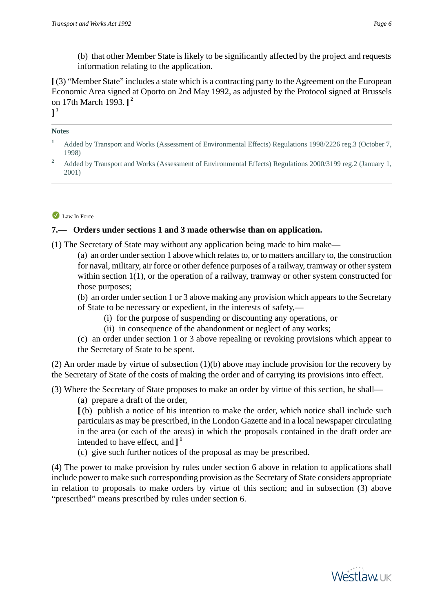(b) that other Member State is likely to be significantly affected by the project and requests information relating to the application.

**[**(3) "Member State" includes a state which is a contracting party to the Agreement on the European Economic Area signed at Oporto on 2nd May 1992, as adjusted by the Protocol signed at Brussels on 17th March 1993. **] 2 ] 1**

#### **Notes**

**<sup>1</sup>** Added by Transport and Works (Assessment of Environmental Effects) Regulations 1998/2226 reg.3 (October 7, 1998)

#### Law In Force

#### **7.— Orders under sections 1 and 3 made otherwise than on application.**

(1) The Secretary of State may without any application being made to him make—

(a) an order under section 1 above which relates to, or to matters ancillary to, the construction for naval, military, air force or other defence purposes of a railway, tramway or other system within section 1(1), or the operation of a railway, tramway or other system constructed for those purposes;

(b) an order under section 1 or 3 above making any provision which appears to the Secretary of State to be necessary or expedient, in the interests of safety,—

- (i) for the purpose of suspending or discounting any operations, or
- (ii) in consequence of the abandonment or neglect of any works;

(c) an order under section 1 or 3 above repealing or revoking provisions which appear to the Secretary of State to be spent.

(2) An order made by virtue of subsection (1)(b) above may include provision for the recovery by the Secretary of State of the costs of making the order and of carrying its provisions into effect.

(3) Where the Secretary of State proposes to make an order by virtue of this section, he shall—

(a) prepare a draft of the order,

**[** (b) publish a notice of his intention to make the order, which notice shall include such particulars as may be prescribed, in the London Gazette and in a local newspaper circulating in the area (or each of the areas) in which the proposals contained in the draft order are intended to have effect, and **] 1**

(c) give such further notices of the proposal as may be prescribed.

(4) The power to make provision by rules under section 6 above in relation to applications shall include power to make such corresponding provision as the Secretary of State considers appropriate in relation to proposals to make orders by virtue of this section; and in subsection (3) above "prescribed" means prescribed by rules under section 6.



<sup>&</sup>lt;sup>2</sup> Added by Transport and Works (Assessment of Environmental Effects) Regulations 2000/3199 reg. 2 (January 1, 2001)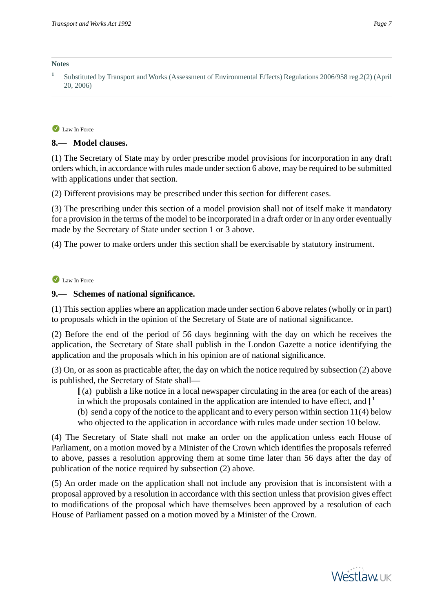#### **Notes**

#### Law In Force

#### **8.— Model clauses.**

(1) The Secretary of State may by order prescribe model provisions for incorporation in any draft orders which, in accordance with rules made under section 6 above, may be required to be submitted with applications under that section.

(2) Different provisions may be prescribed under this section for different cases.

(3) The prescribing under this section of a model provision shall not of itself make it mandatory for a provision in the terms of the model to be incorporated in a draft order or in any order eventually made by the Secretary of State under section 1 or 3 above.

(4) The power to make orders under this section shall be exercisable by statutory instrument.

#### Law In Force

#### **9.— Schemes of national significance.**

(1) This section applies where an application made under section 6 above relates (wholly or in part) to proposals which in the opinion of the Secretary of State are of national significance.

(2) Before the end of the period of 56 days beginning with the day on which he receives the application, the Secretary of State shall publish in the London Gazette a notice identifying the application and the proposals which in his opinion are of national significance.

(3) On, or as soon as practicable after, the day on which the notice required by subsection (2) above is published, the Secretary of State shall—

**[** (a) publish a like notice in a local newspaper circulating in the area (or each of the areas) in which the proposals contained in the application are intended to have effect, and **] 1**

(b) send a copy of the notice to the applicant and to every person within section 11(4) below who objected to the application in accordance with rules made under section 10 below.

(4) The Secretary of State shall not make an order on the application unless each House of Parliament, on a motion moved by a Minister of the Crown which identifies the proposals referred to above, passes a resolution approving them at some time later than 56 days after the day of publication of the notice required by subsection (2) above.

(5) An order made on the application shall not include any provision that is inconsistent with a proposal approved by a resolution in accordance with this section unless that provision gives effect to modifications of the proposal which have themselves been approved by a resolution of each House of Parliament passed on a motion moved by a Minister of the Crown.



**<sup>1</sup>** Substituted by Transport and Works (Assessment of Environmental Effects) Regulations 2006/958 reg.2(2) (April 20, 2006)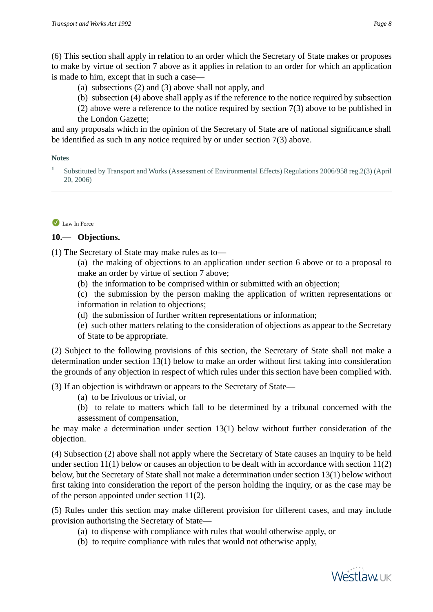(6) This section shall apply in relation to an order which the Secretary of State makes or proposes to make by virtue of section 7 above as it applies in relation to an order for which an application is made to him, except that in such a case—

(a) subsections (2) and (3) above shall not apply, and

(b) subsection (4) above shall apply as if the reference to the notice required by subsection

(2) above were a reference to the notice required by section 7(3) above to be published in the London Gazette;

and any proposals which in the opinion of the Secretary of State are of national significance shall be identified as such in any notice required by or under section 7(3) above.

#### **Notes**

**1** Substituted by Transport and Works (Assessment of Environmental Effects) Regulations 2006/958 reg.2(3) (April 20, 2006)

#### Law In Force

#### **10.— Objections.**

(1) The Secretary of State may make rules as to—

(a) the making of objections to an application under section 6 above or to a proposal to make an order by virtue of section 7 above;

(b) the information to be comprised within or submitted with an objection;

(c) the submission by the person making the application of written representations or information in relation to objections;

(d) the submission of further written representations or information;

(e) such other matters relating to the consideration of objections as appear to the Secretary of State to be appropriate.

(2) Subject to the following provisions of this section, the Secretary of State shall not make a determination under section 13(1) below to make an order without first taking into consideration the grounds of any objection in respect of which rules under this section have been complied with.

(3) If an objection is withdrawn or appears to the Secretary of State—

- (a) to be frivolous or trivial, or
- (b) to relate to matters which fall to be determined by a tribunal concerned with the assessment of compensation,

he may make a determination under section 13(1) below without further consideration of the objection.

(4) Subsection (2) above shall not apply where the Secretary of State causes an inquiry to be held under section 11(1) below or causes an objection to be dealt with in accordance with section 11(2) below, but the Secretary of State shall not make a determination under section 13(1) below without first taking into consideration the report of the person holding the inquiry, or as the case may be of the person appointed under section 11(2).

(5) Rules under this section may make different provision for different cases, and may include provision authorising the Secretary of State—

- (a) to dispense with compliance with rules that would otherwise apply, or
- (b) to require compliance with rules that would not otherwise apply,

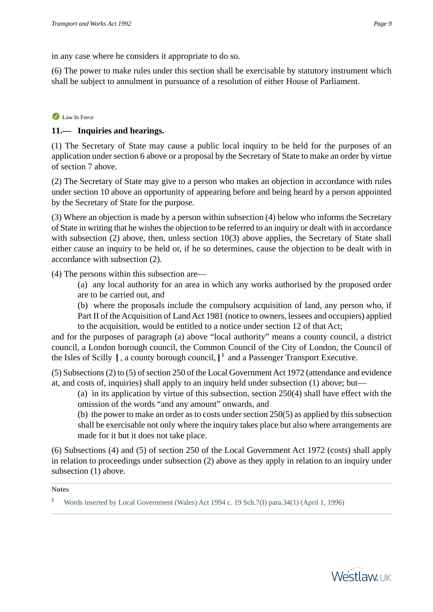in any case where he considers it appropriate to do so.

(6) The power to make rules under this section shall be exercisable by statutory instrument which shall be subject to annulment in pursuance of a resolution of either House of Parliament.

# Law In Force

# **11.— Inquiries and hearings.**

(1) The Secretary of State may cause a public local inquiry to be held for the purposes of an application under section 6 above or a proposal by the Secretary of State to make an order by virtue of section 7 above.

(2) The Secretary of State may give to a person who makes an objection in accordance with rules under section 10 above an opportunity of appearing before and being heard by a person appointed by the Secretary of State for the purpose.

(3) Where an objection is made by a person within subsection (4) below who informs the Secretary of State in writing that he wishes the objection to be referred to an inquiry or dealt with in accordance with subsection (2) above, then, unless section 10(3) above applies, the Secretary of State shall either cause an inquiry to be held or, if he so determines, cause the objection to be dealt with in accordance with subsection (2).

(4) The persons within this subsection are—

(a) any local authority for an area in which any works authorised by the proposed order are to be carried out, and

(b) where the proposals include the compulsory acquisition of land, any person who, if Part II of the Acquisition of Land Act 1981 (notice to owners, lessees and occupiers) applied to the acquisition, would be entitled to a notice under section 12 of that Act;

and for the purposes of paragraph (a) above "local authority" means a county council, a district council, a London borough council, the Common Council of the City of London, the Council of the Isles of Scilly **[** , a county borough council, **] 1** and a Passenger Transport Executive.

(5) Subsections (2) to (5) of section 250 of the Local Government Act 1972 (attendance and evidence at, and costs of, inquiries) shall apply to an inquiry held under subsection (1) above; but—

(a) in its application by virtue of this subsection, section 250(4) shall have effect with the omission of the words "and any amount" onwards, and

(b) the power to make an order as to costs under section 250(5) as applied by this subsection shall be exercisable not only where the inquiry takes place but also where arrangements are made for it but it does not take place.

(6) Subsections (4) and (5) of section 250 of the Local Government Act 1972 (costs) shall apply in relation to proceedings under subsection (2) above as they apply in relation to an inquiry under subsection (1) above.



**<sup>1</sup>** Words inserted by Local Government (Wales) Act 1994 c. 19 Sch.7(I) para.34(1) (April 1, 1996)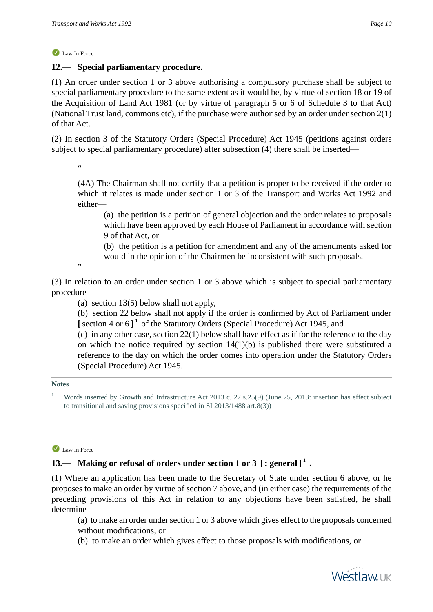# **12.— Special parliamentary procedure.**

(1) An order under section 1 or 3 above authorising a compulsory purchase shall be subject to special parliamentary procedure to the same extent as it would be, by virtue of section 18 or 19 of the Acquisition of Land Act 1981 (or by virtue of paragraph 5 or 6 of Schedule 3 to that Act) (National Trust land, commons etc), if the purchase were authorised by an order under section 2(1) of that Act.

(2) In section 3 of the Statutory Orders (Special Procedure) Act 1945 (petitions against orders subject to special parliamentary procedure) after subsection (4) there shall be inserted—

"

(4A) The Chairman shall not certify that a petition is proper to be received if the order to which it relates is made under section 1 or 3 of the Transport and Works Act 1992 and either—

(a) the petition is a petition of general objection and the order relates to proposals which have been approved by each House of Parliament in accordance with section 9 of that Act, or

(b) the petition is a petition for amendment and any of the amendments asked for would in the opinion of the Chairmen be inconsistent with such proposals.

,,

(3) In relation to an order under section 1 or 3 above which is subject to special parliamentary procedure—

(a) section 13(5) below shall not apply,

(b) section 22 below shall not apply if the order is confirmed by Act of Parliament under **[**section 4 or 6 **] 1** of the Statutory Orders (Special Procedure) Act 1945, and

(c) in any other case, section 22(1) below shall have effect as if for the reference to the day on which the notice required by section 14(1)(b) is published there were substituted a reference to the day on which the order comes into operation under the Statutory Orders (Special Procedure) Act 1945.

#### **Notes**

#### Law In Force

# **13.— Making or refusal of orders under section 1 or 3 [ : general ] 1 .**

(1) Where an application has been made to the Secretary of State under section 6 above, or he proposes to make an order by virtue of section 7 above, and (in either case) the requirements of the preceding provisions of this Act in relation to any objections have been satisfied, he shall determine—

(a) to make an order under section 1 or 3 above which gives effect to the proposals concerned without modifications, or

(b) to make an order which gives effect to those proposals with modifications, or



**<sup>1</sup>** Words inserted by Growth and Infrastructure Act 2013 c. 27 s.25(9) (June 25, 2013: insertion has effect subject to transitional and saving provisions specified in SI 2013/1488 art.8(3))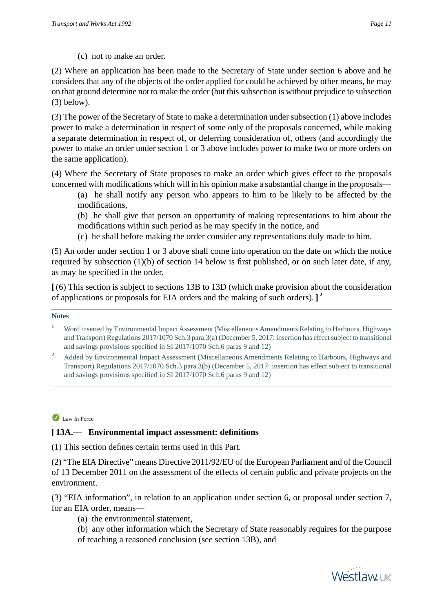(c) not to make an order.

(2) Where an application has been made to the Secretary of State under section 6 above and he considers that any of the objects of the order applied for could be achieved by other means, he may on that ground determine not to make the order (but this subsection is without prejudice to subsection (3) below).

(3) The power of the Secretary of State to make a determination under subsection (1) above includes power to make a determination in respect of some only of the proposals concerned, while making a separate determination in respect of, or deferring consideration of, others (and accordingly the power to make an order under section 1 or 3 above includes power to make two or more orders on the same application).

(4) Where the Secretary of State proposes to make an order which gives effect to the proposals concerned with modifications which will in his opinion make a substantial change in the proposals—

(a) he shall notify any person who appears to him to be likely to be affected by the modifications,

(b) he shall give that person an opportunity of making representations to him about the modifications within such period as he may specify in the notice, and

(c) he shall before making the order consider any representations duly made to him.

(5) An order under section 1 or 3 above shall come into operation on the date on which the notice required by subsection (1)(b) of section 14 below is first published, or on such later date, if any, as may be specified in the order.

**[** (6) This section is subject to sections 13B to 13D (which make provision about the consideration of applications or proposals for EIA orders and the making of such orders). **] 2**

**Notes**

#### Law In Force

# **[ 13A.— Environmental impact assessment: definitions**

(1) This section defines certain terms used in this Part.

(2) "The EIA Directive" means Directive 2011/92/EU of the European Parliament and of the Council of 13 December 2011 on the assessment of the effects of certain public and private projects on the environment.

(3) "EIA information", in relation to an application under section 6, or proposal under section 7, for an EIA order, means—

(a) the environmental statement,

(b) any other information which the Secretary of State reasonably requires for the purpose of reaching a reasoned conclusion (see section 13B), and



**<sup>1</sup>** Word inserted by Environmental Impact Assessment (Miscellaneous Amendments Relating to Harbours, Highways and Transport) Regulations 2017/1070 Sch.3 para.3(a) (December 5, 2017: insertion has effect subject to transitional and savings provisions specified in SI 2017/1070 Sch.6 paras 9 and 12)

**<sup>2</sup>** Added by Environmental Impact Assessment (Miscellaneous Amendments Relating to Harbours, Highways and Transport) Regulations 2017/1070 Sch.3 para.3(b) (December 5, 2017: insertion has effect subject to transitional and savings provisions specified in SI 2017/1070 Sch.6 paras 9 and 12)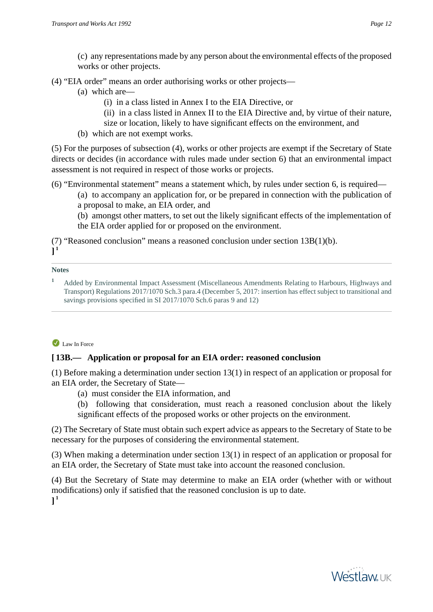(c) any representations made by any person about the environmental effects of the proposed works or other projects.

(4) "EIA order" means an order authorising works or other projects—

- (a) which are—
	- (i) in a class listed in Annex I to the EIA Directive, or
	- (ii) in a class listed in Annex II to the EIA Directive and, by virtue of their nature,
	- size or location, likely to have significant effects on the environment, and
- (b) which are not exempt works.

(5) For the purposes of subsection (4), works or other projects are exempt if the Secretary of State directs or decides (in accordance with rules made under section 6) that an environmental impact assessment is not required in respect of those works or projects.

(6) "Environmental statement" means a statement which, by rules under section 6, is required—

(a) to accompany an application for, or be prepared in connection with the publication of a proposal to make, an EIA order, and

(b) amongst other matters, to set out the likely significant effects of the implementation of the EIA order applied for or proposed on the environment.

(7) "Reasoned conclusion" means a reasoned conclusion under section 13B(1)(b).

**] 1**

#### **Notes**

**<sup>1</sup>** Added by Environmental Impact Assessment (Miscellaneous Amendments Relating to Harbours, Highways and Transport) Regulations 2017/1070 Sch.3 para.4 (December 5, 2017: insertion has effect subject to transitional and savings provisions specified in SI 2017/1070 Sch.6 paras 9 and 12)

# Law In Force

# **[ 13B.— Application or proposal for an EIA order: reasoned conclusion**

(1) Before making a determination under section 13(1) in respect of an application or proposal for an EIA order, the Secretary of State—

(a) must consider the EIA information, and

(b) following that consideration, must reach a reasoned conclusion about the likely significant effects of the proposed works or other projects on the environment.

(2) The Secretary of State must obtain such expert advice as appears to the Secretary of State to be necessary for the purposes of considering the environmental statement.

(3) When making a determination under section 13(1) in respect of an application or proposal for an EIA order, the Secretary of State must take into account the reasoned conclusion.

(4) But the Secretary of State may determine to make an EIA order (whether with or without modifications) only if satisfied that the reasoned conclusion is up to date. **] 1**

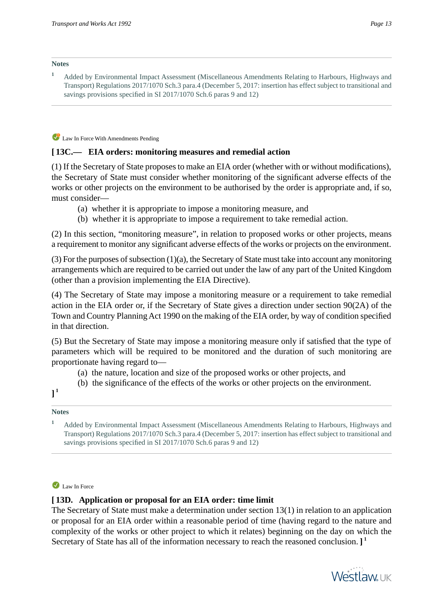**<sup>1</sup>** Added by Environmental Impact Assessment (Miscellaneous Amendments Relating to Harbours, Highways and Transport) Regulations 2017/1070 Sch.3 para.4 (December 5, 2017: insertion has effect subject to transitional and savings provisions specified in SI 2017/1070 Sch.6 paras 9 and 12)

Law In Force With Amendments Pending

#### **[ 13C.— EIA orders: monitoring measures and remedial action**

(1) If the Secretary of State proposes to make an EIA order (whether with or without modifications), the Secretary of State must consider whether monitoring of the significant adverse effects of the works or other projects on the environment to be authorised by the order is appropriate and, if so, must consider—

- (a) whether it is appropriate to impose a monitoring measure, and
- (b) whether it is appropriate to impose a requirement to take remedial action.

(2) In this section, "monitoring measure", in relation to proposed works or other projects, means a requirement to monitor any significant adverse effects of the works or projects on the environment.

(3) For the purposes of subsection (1)(a), the Secretary of State must take into account any monitoring arrangements which are required to be carried out under the law of any part of the United Kingdom (other than a provision implementing the EIA Directive).

(4) The Secretary of State may impose a monitoring measure or a requirement to take remedial action in the EIA order or, if the Secretary of State gives a direction under section 90(2A) of the Town and Country Planning Act 1990 on the making of the EIA order, by way of condition specified in that direction.

(5) But the Secretary of State may impose a monitoring measure only if satisfied that the type of parameters which will be required to be monitored and the duration of such monitoring are proportionate having regard to—

- (a) the nature, location and size of the proposed works or other projects, and
- (b) the significance of the effects of the works or other projects on the environment.

**] 1**

#### **Notes**

**<sup>1</sup>** Added by Environmental Impact Assessment (Miscellaneous Amendments Relating to Harbours, Highways and Transport) Regulations 2017/1070 Sch.3 para.4 (December 5, 2017: insertion has effect subject to transitional and savings provisions specified in SI 2017/1070 Sch.6 paras 9 and 12)

#### Law In Force

# **[ 13D. Application or proposal for an EIA order: time limit**

The Secretary of State must make a determination under section 13(1) in relation to an application or proposal for an EIA order within a reasonable period of time (having regard to the nature and complexity of the works or other project to which it relates) beginning on the day on which the Secretary of State has all of the information necessary to reach the reasoned conclusion. **] 1**

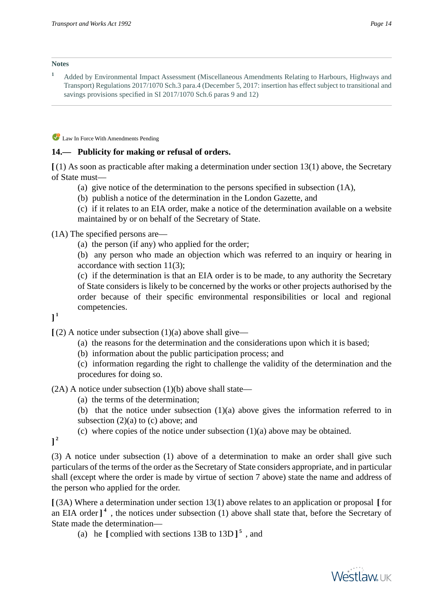#### **Notes**

**<sup>1</sup>** Added by Environmental Impact Assessment (Miscellaneous Amendments Relating to Harbours, Highways and Transport) Regulations 2017/1070 Sch.3 para.4 (December 5, 2017: insertion has effect subject to transitional and savings provisions specified in SI 2017/1070 Sch.6 paras 9 and 12)

Law In Force With Amendments Pending

#### **14.— Publicity for making or refusal of orders.**

**[** (1) As soon as practicable after making a determination under section 13(1) above, the Secretary of State must—

- (a) give notice of the determination to the persons specified in subsection (1A),
- (b) publish a notice of the determination in the London Gazette, and

(c) if it relates to an EIA order, make a notice of the determination available on a website maintained by or on behalf of the Secretary of State.

#### (1A) The specified persons are—

(a) the person (if any) who applied for the order;

(b) any person who made an objection which was referred to an inquiry or hearing in accordance with section 11(3);

(c) if the determination is that an EIA order is to be made, to any authority the Secretary of State considers is likely to be concerned by the works or other projects authorised by the order because of their specific environmental responsibilities or local and regional competencies.

**] 1**

 $(2)$  A notice under subsection  $(1)(a)$  above shall give—

- (a) the reasons for the determination and the considerations upon which it is based;
- (b) information about the public participation process; and

(c) information regarding the right to challenge the validity of the determination and the procedures for doing so.

 $(2A)$  A notice under subsection  $(1)(b)$  above shall state—

- (a) the terms of the determination;
- (b) that the notice under subsection (1)(a) above gives the information referred to in subsection  $(2)(a)$  to  $(c)$  above; and
- (c) where copies of the notice under subsection (1)(a) above may be obtained.

**] 2**

(3) A notice under subsection (1) above of a determination to make an order shall give such particulars of the terms of the order as the Secretary of State considers appropriate, and in particular shall (except where the order is made by virtue of section 7 above) state the name and address of the person who applied for the order.

**[** (3A) Where a determination under section 13(1) above relates to an application or proposal **[** for an EIA order  $]$ <sup>4</sup>, the notices under subsection (1) above shall state that, before the Secretary of State made the determination—

(a) he  $\left[$  complied with sections 13B to 13D $\right]$ <sup>5</sup>, and



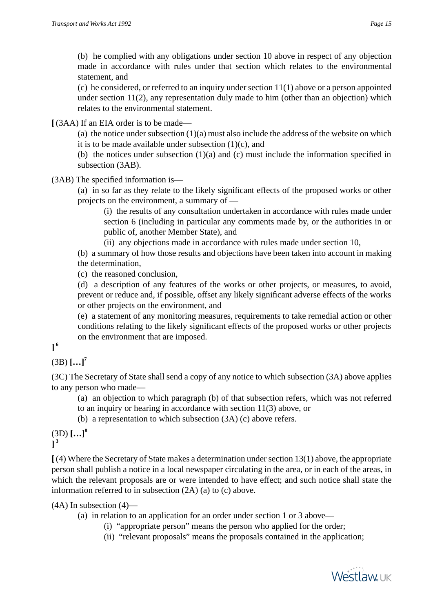(b) he complied with any obligations under section 10 above in respect of any objection made in accordance with rules under that section which relates to the environmental statement, and

(c) he considered, or referred to an inquiry under section 11(1) above or a person appointed under section 11(2), any representation duly made to him (other than an objection) which relates to the environmental statement.

**[** (3AA) If an EIA order is to be made—

(a) the notice under subsection  $(1)(a)$  must also include the address of the website on which it is to be made available under subsection  $(1)(c)$ , and

(b) the notices under subsection (1)(a) and (c) must include the information specified in subsection (3AB).

(3AB) The specified information is—

(a) in so far as they relate to the likely significant effects of the proposed works or other projects on the environment, a summary of —

(i) the results of any consultation undertaken in accordance with rules made under section 6 (including in particular any comments made by, or the authorities in or public of, another Member State), and

(ii) any objections made in accordance with rules made under section 10,

(b) a summary of how those results and objections have been taken into account in making the determination,

(c) the reasoned conclusion,

(d) a description of any features of the works or other projects, or measures, to avoid, prevent or reduce and, if possible, offset any likely significant adverse effects of the works or other projects on the environment, and

(e) a statement of any monitoring measures, requirements to take remedial action or other conditions relating to the likely significant effects of the proposed works or other projects on the environment that are imposed.

# **] 6**

 $(3B)$   $[...]^{7}$ 

(3C) The Secretary of State shall send a copy of any notice to which subsection (3A) above applies to any person who made—

(a) an objection to which paragraph (b) of that subsection refers, which was not referred to an inquiry or hearing in accordance with section 11(3) above, or

(b) a representation to which subsection (3A) (c) above refers.

(3D) **[…]<sup>8</sup> ] 3**

**[** (4) Where the Secretary of State makes a determination under section 13(1) above, the appropriate person shall publish a notice in a local newspaper circulating in the area, or in each of the areas, in which the relevant proposals are or were intended to have effect; and such notice shall state the information referred to in subsection (2A) (a) to (c) above.

 $(4A)$  In subsection  $(4)$ —

(a) in relation to an application for an order under section 1 or 3 above—

(i) "appropriate person" means the person who applied for the order;

(ii) "relevant proposals" means the proposals contained in the application;

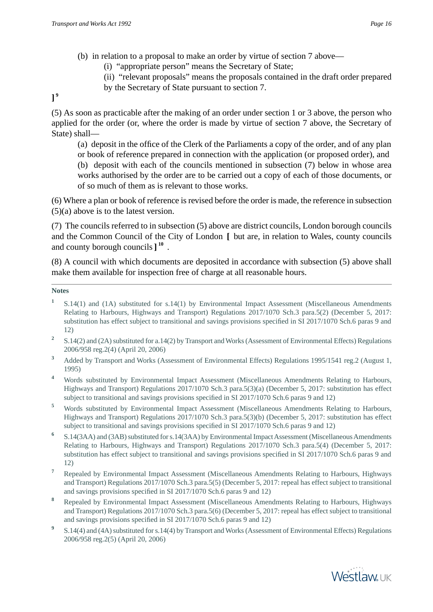- (b) in relation to a proposal to make an order by virtue of section 7 above—
	- (i) "appropriate person" means the Secretary of State;
	- (ii) "relevant proposals" means the proposals contained in the draft order prepared

**] 9**

by the Secretary of State pursuant to section 7.

(5) As soon as practicable after the making of an order under section 1 or 3 above, the person who applied for the order (or, where the order is made by virtue of section 7 above, the Secretary of State) shall—

(a) deposit in the office of the Clerk of the Parliaments a copy of the order, and of any plan or book of reference prepared in connection with the application (or proposed order), and (b) deposit with each of the councils mentioned in subsection (7) below in whose area works authorised by the order are to be carried out a copy of each of those documents, or of so much of them as is relevant to those works.

(6) Where a plan or book of reference is revised before the order is made, the reference in subsection (5)(a) above is to the latest version.

(7) The councils referred to in subsection (5) above are district councils, London borough councils and the Common Council of the City of London **[** but are, in relation to Wales, county councils and county borough councils**] 10** .

(8) A council with which documents are deposited in accordance with subsection (5) above shall make them available for inspection free of charge at all reasonable hours.

- **1** S.14(1) and (1A) substituted for s.14(1) by Environmental Impact Assessment (Miscellaneous Amendments Relating to Harbours, Highways and Transport) Regulations 2017/1070 Sch.3 para.5(2) (December 5, 2017: substitution has effect subject to transitional and savings provisions specified in SI 2017/1070 Sch.6 paras 9 and 12)
- **2** S.14(2) and (2A) substituted for a.14(2) by Transport and Works (Assessment of Environmental Effects) Regulations 2006/958 reg.2(4) (April 20, 2006)
- **<sup>3</sup>** Added by Transport and Works (Assessment of Environmental Effects) Regulations 1995/1541 reg.2 (August 1, 1995)
- **<sup>4</sup>** Words substituted by Environmental Impact Assessment (Miscellaneous Amendments Relating to Harbours, Highways and Transport) Regulations 2017/1070 Sch.3 para.5(3)(a) (December 5, 2017: substitution has effect subject to transitional and savings provisions specified in SI 2017/1070 Sch.6 paras 9 and 12)
- <sup>5</sup> Words substituted by Environmental Impact Assessment (Miscellaneous Amendments Relating to Harbours, Highways and Transport) Regulations 2017/1070 Sch.3 para.5(3)(b) (December 5, 2017: substitution has effect subject to transitional and savings provisions specified in SI 2017/1070 Sch.6 paras 9 and 12)
- **6** S.14(3AA) and (3AB) substituted for s.14(3AA) by Environmental Impact Assessment (Miscellaneous Amendments Relating to Harbours, Highways and Transport) Regulations 2017/1070 Sch.3 para.5(4) (December 5, 2017: substitution has effect subject to transitional and savings provisions specified in SI 2017/1070 Sch.6 paras 9 and 12)
- **<sup>7</sup>** Repealed by Environmental Impact Assessment (Miscellaneous Amendments Relating to Harbours, Highways and Transport) Regulations 2017/1070 Sch.3 para.5(5) (December 5, 2017: repeal has effect subject to transitional and savings provisions specified in SI 2017/1070 Sch.6 paras 9 and 12)
- **<sup>8</sup>** Repealed by Environmental Impact Assessment (Miscellaneous Amendments Relating to Harbours, Highways and Transport) Regulations 2017/1070 Sch.3 para.5(6) (December 5, 2017: repeal has effect subject to transitional and savings provisions specified in SI 2017/1070 Sch.6 paras 9 and 12)
- **9** S.14(4) and (4A) substituted for s.14(4) by Transport and Works (Assessment of Environmental Effects) Regulations 2006/958 reg.2(5) (April 20, 2006)

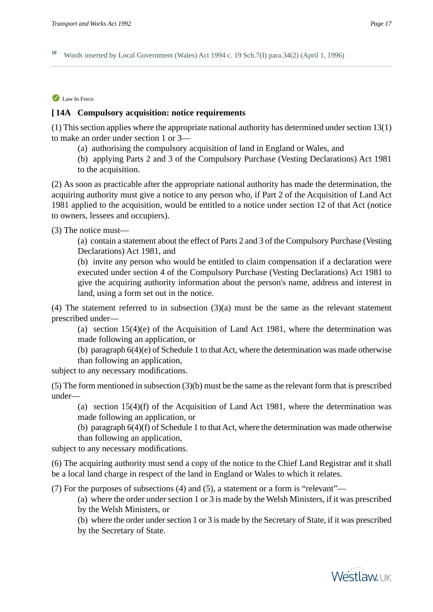**<sup>10</sup>** Words inserted by Local Government (Wales) Act 1994 c. 19 Sch.7(I) para.34(2) (April 1, 1996)

#### Law In Force

#### **[ 14A Compulsory acquisition: notice requirements**

(1) This section applies where the appropriate national authority has determined under section 13(1) to make an order under section 1 or 3—

(a) authorising the compulsory acquisition of land in England or Wales, and

(b) applying Parts 2 and 3 of the Compulsory Purchase (Vesting Declarations) Act 1981 to the acquisition.

(2) As soon as practicable after the appropriate national authority has made the determination, the acquiring authority must give a notice to any person who, if Part 2 of the Acquisition of Land Act 1981 applied to the acquisition, would be entitled to a notice under section 12 of that Act (notice to owners, lessees and occupiers).

(3) The notice must—

(a) contain a statement about the effect of Parts 2 and 3 of the Compulsory Purchase (Vesting Declarations) Act 1981, and

(b) invite any person who would be entitled to claim compensation if a declaration were executed under section 4 of the Compulsory Purchase (Vesting Declarations) Act 1981 to give the acquiring authority information about the person's name, address and interest in land, using a form set out in the notice.

(4) The statement referred to in subsection (3)(a) must be the same as the relevant statement prescribed under—

(a) section 15(4)(e) of the Acquisition of Land Act 1981, where the determination was made following an application, or

(b) paragraph 6(4)(e) of Schedule 1 to that Act, where the determination was made otherwise than following an application,

subject to any necessary modifications.

(5) The form mentioned in subsection (3)(b) must be the same as the relevant form that is prescribed under—

(a) section 15(4)(f) of the Acquisition of Land Act 1981, where the determination was made following an application, or

(b) paragraph 6(4)(f) of Schedule 1 to that Act, where the determination was made otherwise than following an application,

subject to any necessary modifications.

(6) The acquiring authority must send a copy of the notice to the Chief Land Registrar and it shall be a local land charge in respect of the land in England or Wales to which it relates.

(7) For the purposes of subsections (4) and (5), a statement or a form is "relevant"—

(a) where the order under section 1 or 3 is made by the Welsh Ministers, if it was prescribed by the Welsh Ministers, or

(b) where the order under section 1 or 3 is made by the Secretary of State, if it was prescribed by the Secretary of State.

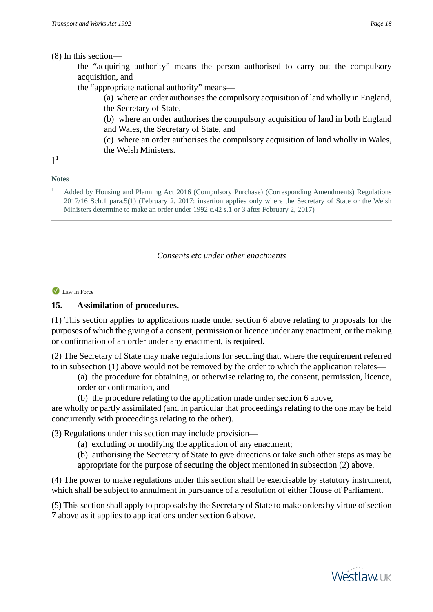#### (8) In this section—

the "acquiring authority" means the person authorised to carry out the compulsory acquisition, and

the "appropriate national authority" means—

(a) where an order authorises the compulsory acquisition of land wholly in England, the Secretary of State,

(b) where an order authorises the compulsory acquisition of land in both England and Wales, the Secretary of State, and

- (c) where an order authorises the compulsory acquisition of land wholly in Wales,
- the Welsh Ministers.

# **] 1**

#### **Notes**

**<sup>1</sup>** Added by Housing and Planning Act 2016 (Compulsory Purchase) (Corresponding Amendments) Regulations 2017/16 Sch.1 para.5(1) (February 2, 2017: insertion applies only where the Secretary of State or the Welsh Ministers determine to make an order under 1992 c.42 s.1 or 3 after February 2, 2017)

#### *Consents etc under other enactments*

#### Law In Force

# **15.— Assimilation of procedures.**

(1) This section applies to applications made under section 6 above relating to proposals for the purposes of which the giving of a consent, permission or licence under any enactment, or the making or confirmation of an order under any enactment, is required.

(2) The Secretary of State may make regulations for securing that, where the requirement referred to in subsection (1) above would not be removed by the order to which the application relates—

- (a) the procedure for obtaining, or otherwise relating to, the consent, permission, licence, order or confirmation, and
- (b) the procedure relating to the application made under section 6 above,

are wholly or partly assimilated (and in particular that proceedings relating to the one may be held concurrently with proceedings relating to the other).

(3) Regulations under this section may include provision—

- (a) excluding or modifying the application of any enactment;
- (b) authorising the Secretary of State to give directions or take such other steps as may be appropriate for the purpose of securing the object mentioned in subsection (2) above.

(4) The power to make regulations under this section shall be exercisable by statutory instrument, which shall be subject to annulment in pursuance of a resolution of either House of Parliament.

(5) This section shall apply to proposals by the Secretary of State to make orders by virtue of section 7 above as it applies to applications under section 6 above.

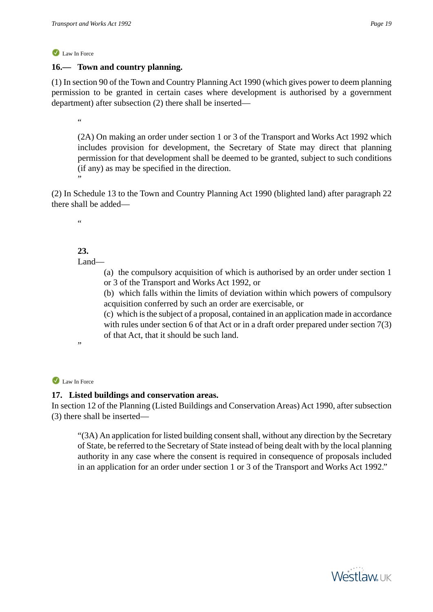# **16.— Town and country planning.**

(1) In section 90 of the Town and Country Planning Act 1990 (which gives power to deem planning permission to be granted in certain cases where development is authorised by a government department) after subsection (2) there shall be inserted—

.<br>44

(2A) On making an order under section 1 or 3 of the Transport and Works Act 1992 which includes provision for development, the Secretary of State may direct that planning permission for that development shall be deemed to be granted, subject to such conditions (if any) as may be specified in the direction.

(2) In Schedule 13 to the Town and Country Planning Act 1990 (blighted land) after paragraph 22 there shall be added—

"

"

# **23.**

Land—

(a) the compulsory acquisition of which is authorised by an order under section 1 or 3 of the Transport and Works Act 1992, or

(b) which falls within the limits of deviation within which powers of compulsory acquisition conferred by such an order are exercisable, or

(c) which is the subject of a proposal, contained in an application made in accordance with rules under section 6 of that Act or in a draft order prepared under section 7(3) of that Act, that it should be such land.

Law In Force

.,

# **17. Listed buildings and conservation areas.**

In section 12 of the Planning (Listed Buildings and Conservation Areas) Act 1990, after subsection (3) there shall be inserted—

"(3A) An application for listed building consent shall, without any direction by the Secretary of State, be referred to the Secretary of State instead of being dealt with by the local planning authority in any case where the consent is required in consequence of proposals included in an application for an order under section 1 or 3 of the Transport and Works Act 1992."

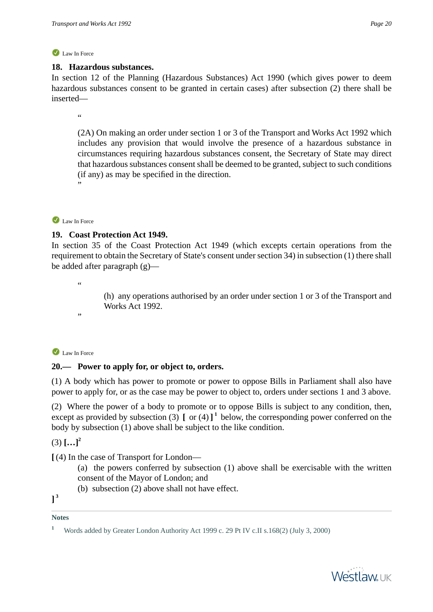#### **18. Hazardous substances.**

In section 12 of the Planning (Hazardous Substances) Act 1990 (which gives power to deem hazardous substances consent to be granted in certain cases) after subsection (2) there shall be inserted—

.<br>44

(2A) On making an order under section 1 or 3 of the Transport and Works Act 1992 which includes any provision that would involve the presence of a hazardous substance in circumstances requiring hazardous substances consent, the Secretary of State may direct that hazardous substances consent shall be deemed to be granted, subject to such conditions (if any) as may be specified in the direction.

#### Law In Force

"

#### **19. Coast Protection Act 1949.**

In section 35 of the Coast Protection Act 1949 (which excepts certain operations from the requirement to obtain the Secretary of State's consent under section 34) in subsection (1) there shall be added after paragraph (g)—

"

"

(h) any operations authorised by an order under section 1 or 3 of the Transport and Works Act 1992.

Law In Force

# **20.— Power to apply for, or object to, orders.**

(1) A body which has power to promote or power to oppose Bills in Parliament shall also have power to apply for, or as the case may be power to object to, orders under sections 1 and 3 above.

(2) Where the power of a body to promote or to oppose Bills is subject to any condition, then, except as provided by subsection (3)  $\left[ \text{ or } (4) \right]$ <sup>1</sup> below, the corresponding power conferred on the body by subsection (1) above shall be subject to the like condition.

 $(3)$   $[...]^2$ 

**[** (4) In the case of Transport for London—

- (a) the powers conferred by subsection (1) above shall be exercisable with the written consent of the Mayor of London; and
- (b) subsection (2) above shall not have effect.

**] 3**

**<sup>1</sup>** Words added by Greater London Authority Act 1999 c. 29 Pt IV c.II s.168(2) (July 3, 2000)

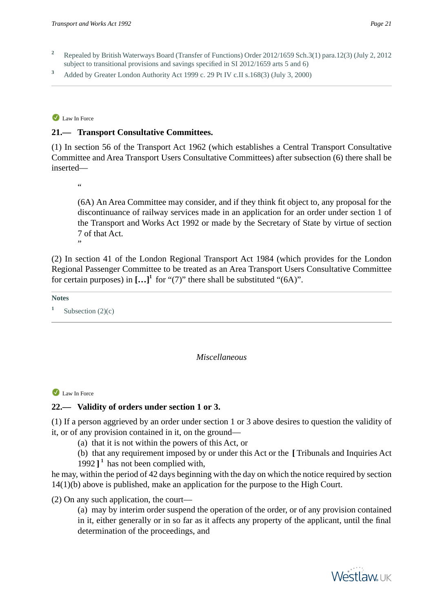- **<sup>2</sup>** Repealed by British Waterways Board (Transfer of Functions) Order 2012/1659 Sch.3(1) para.12(3) (July 2, 2012 subject to transitional provisions and savings specified in SI 2012/1659 arts 5 and 6)
- **<sup>3</sup>** Added by Greater London Authority Act 1999 c. 29 Pt IV c.II s.168(3) (July 3, 2000)

#### **21.— Transport Consultative Committees.**

(1) In section 56 of the Transport Act 1962 (which establishes a Central Transport Consultative Committee and Area Transport Users Consultative Committees) after subsection (6) there shall be inserted—

"

"

(6A) An Area Committee may consider, and if they think fit object to, any proposal for the discontinuance of railway services made in an application for an order under section 1 of the Transport and Works Act 1992 or made by the Secretary of State by virtue of section 7 of that Act.

(2) In section 41 of the London Regional Transport Act 1984 (which provides for the London Regional Passenger Committee to be treated as an Area Transport Users Consultative Committee for certain purposes) in  $[\dots]^1$  for "(7)" there shall be substituted "(6A)".

**Notes**

**1** Subsection  $(2)(c)$ 

#### *Miscellaneous*

#### Law In Force

# **22.— Validity of orders under section 1 or 3.**

(1) If a person aggrieved by an order under section 1 or 3 above desires to question the validity of it, or of any provision contained in it, on the ground—

- (a) that it is not within the powers of this Act, or
- (b) that any requirement imposed by or under this Act or the **[** Tribunals and Inquiries Act
- 1992 **] 1** has not been complied with,

he may, within the period of 42 days beginning with the day on which the notice required by section 14(1)(b) above is published, make an application for the purpose to the High Court.

(2) On any such application, the court—

(a) may by interim order suspend the operation of the order, or of any provision contained in it, either generally or in so far as it affects any property of the applicant, until the final determination of the proceedings, and

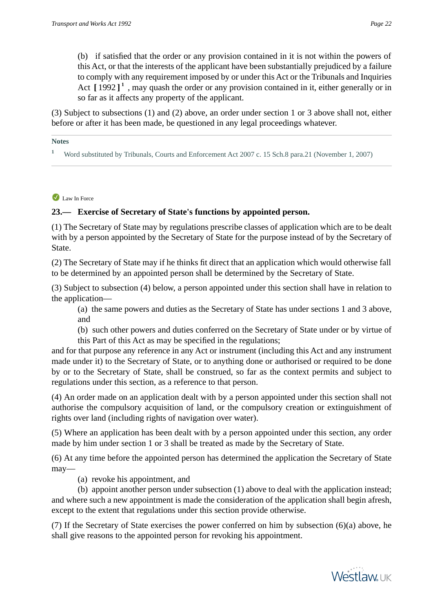(b) if satisfied that the order or any provision contained in it is not within the powers of this Act, or that the interests of the applicant have been substantially prejudiced by a failure to comply with any requirement imposed by or under this Act or the Tribunals and Inquiries Act [1992]<sup>1</sup>, may quash the order or any provision contained in it, either generally or in so far as it affects any property of the applicant.

(3) Subject to subsections (1) and (2) above, an order under section 1 or 3 above shall not, either before or after it has been made, be questioned in any legal proceedings whatever.

**Notes**

<sup>1</sup> Word substituted by Tribunals, Courts and Enforcement Act 2007 c. 15 Sch.8 para.21 (November 1, 2007)

Law In Force

#### **23.— Exercise of Secretary of State's functions by appointed person.**

(1) The Secretary of State may by regulations prescribe classes of application which are to be dealt with by a person appointed by the Secretary of State for the purpose instead of by the Secretary of State.

(2) The Secretary of State may if he thinks fit direct that an application which would otherwise fall to be determined by an appointed person shall be determined by the Secretary of State.

(3) Subject to subsection (4) below, a person appointed under this section shall have in relation to the application—

(a) the same powers and duties as the Secretary of State has under sections 1 and 3 above, and

(b) such other powers and duties conferred on the Secretary of State under or by virtue of this Part of this Act as may be specified in the regulations;

and for that purpose any reference in any Act or instrument (including this Act and any instrument made under it) to the Secretary of State, or to anything done or authorised or required to be done by or to the Secretary of State, shall be construed, so far as the context permits and subject to regulations under this section, as a reference to that person.

(4) An order made on an application dealt with by a person appointed under this section shall not authorise the compulsory acquisition of land, or the compulsory creation or extinguishment of rights over land (including rights of navigation over water).

(5) Where an application has been dealt with by a person appointed under this section, any order made by him under section 1 or 3 shall be treated as made by the Secretary of State.

(6) At any time before the appointed person has determined the application the Secretary of State may—

(a) revoke his appointment, and

(b) appoint another person under subsection (1) above to deal with the application instead; and where such a new appointment is made the consideration of the application shall begin afresh, except to the extent that regulations under this section provide otherwise.

(7) If the Secretary of State exercises the power conferred on him by subsection (6)(a) above, he shall give reasons to the appointed person for revoking his appointment.

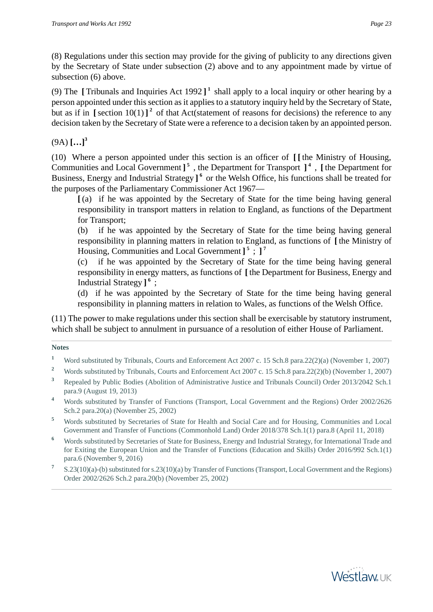(8) Regulations under this section may provide for the giving of publicity to any directions given by the Secretary of State under subsection (2) above and to any appointment made by virtue of subsection (6) above.

(9) The  $\lbrack$  Tribunals and Inquiries Act 1992  $\lbrack$ <sup>1</sup> shall apply to a local inquiry or other hearing by a person appointed under this section as it applies to a statutory inquiry held by the Secretary of State, but as if in  $\left[\right]$  section 10(1)  $\right]$ <sup>2</sup> of that Act(statement of reasons for decisions) the reference to any decision taken by the Secretary of State were a reference to a decision taken by an appointed person.

 $(9A)$   $[...]$ <sup>3</sup>

(10) Where a person appointed under this section is an officer of **[ [** the Ministry of Housing, Communities and Local Government **] 5** , the Department for Transport **] 4** , **[** the Department for Business, Energy and Industrial Strategy ]<sup>6</sup> or the Welsh Office, his functions shall be treated for the purposes of the Parliamentary Commissioner Act 1967—

**[** (a) if he was appointed by the Secretary of State for the time being having general responsibility in transport matters in relation to England, as functions of the Department for Transport;

(b) if he was appointed by the Secretary of State for the time being having general responsibility in planning matters in relation to England, as functions of **[** the Ministry of Housing, Communities and Local Government **] 5** ; **] 7**

(c) if he was appointed by the Secretary of State for the time being having general responsibility in energy matters, as functions of **[** the Department for Business, Energy and Industrial Strategy **] 6** ;

(d) if he was appointed by the Secretary of State for the time being having general responsibility in planning matters in relation to Wales, as functions of the Welsh Office.

(11) The power to make regulations under this section shall be exercisable by statutory instrument, which shall be subject to annulment in pursuance of a resolution of either House of Parliament.

- <sup>1</sup> Word substituted by Tribunals, Courts and Enforcement Act 2007 c. 15 Sch.8 para.22(2)(a) (November 1, 2007)
- <sup>2</sup> Words substituted by Tribunals, Courts and Enforcement Act 2007 c. 15 Sch.8 para.22(2)(b) (November 1, 2007)
- **<sup>3</sup>** Repealed by Public Bodies (Abolition of Administrative Justice and Tribunals Council) Order 2013/2042 Sch.1 para.9 (August 19, 2013)
- **<sup>4</sup>** Words substituted by Transfer of Functions (Transport, Local Government and the Regions) Order 2002/2626 Sch.2 para.20(a) (November 25, 2002)
- **<sup>5</sup>** Words substituted by Secretaries of State for Health and Social Care and for Housing, Communities and Local Government and Transfer of Functions (Commonhold Land) Order 2018/378 Sch.1(1) para.8 (April 11, 2018)
- <sup>6</sup> Words substituted by Secretaries of State for Business, Energy and Industrial Strategy, for International Trade and for Exiting the European Union and the Transfer of Functions (Education and Skills) Order 2016/992 Sch.1(1) para.6 (November 9, 2016)
- **7** S.23(10)(a)-(b) substituted for s.23(10)(a) by Transfer of Functions (Transport, Local Government and the Regions) Order 2002/2626 Sch.2 para.20(b) (November 25, 2002)

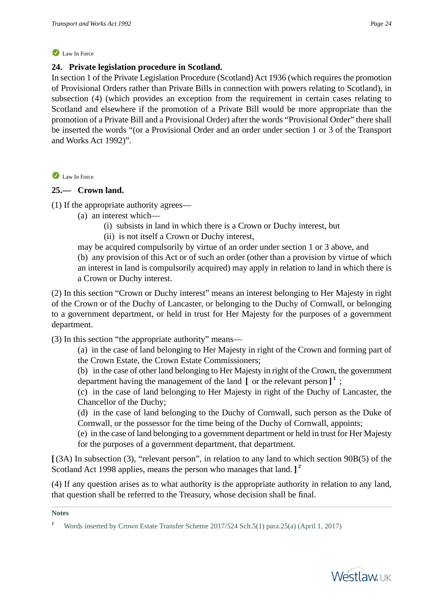#### **24. Private legislation procedure in Scotland.**

In section 1 of the Private Legislation Procedure (Scotland) Act 1936 (which requires the promotion of Provisional Orders rather than Private Bills in connection with powers relating to Scotland), in subsection (4) (which provides an exception from the requirement in certain cases relating to Scotland and elsewhere if the promotion of a Private Bill would be more appropriate than the promotion of a Private Bill and a Provisional Order) after the words "Provisional Order" there shall be inserted the words "(or a Provisional Order and an order under section 1 or 3 of the Transport and Works Act 1992)".

Law In Force

# **25.— Crown land.**

(1) If the appropriate authority agrees—

- (a) an interest which—
	- (i) subsists in land in which there is a Crown or Duchy interest, but
	- (ii) is not itself a Crown or Duchy interest,

may be acquired compulsorily by virtue of an order under section 1 or 3 above, and (b) any provision of this Act or of such an order (other than a provision by virtue of which an interest in land is compulsorily acquired) may apply in relation to land in which there is a Crown or Duchy interest.

(2) In this section "Crown or Duchy interest" means an interest belonging to Her Majesty in right of the Crown or of the Duchy of Lancaster, or belonging to the Duchy of Cornwall, or belonging to a government department, or held in trust for Her Majesty for the purposes of a government department.

(3) In this section "the appropriate authority" means—

(a) in the case of land belonging to Her Majesty in right of the Crown and forming part of the Crown Estate, the Crown Estate Commissioners;

(b) in the case of other land belonging to Her Majesty in right of the Crown, the government department having the management of the land **[** or the relevant person **] 1** ;

(c) in the case of land belonging to Her Majesty in right of the Duchy of Lancaster, the Chancellor of the Duchy;

(d) in the case of land belonging to the Duchy of Cornwall, such person as the Duke of Cornwall, or the possessor for the time being of the Duchy of Cornwall, appoints;

(e) in the case of land belonging to a government department or held in trust for Her Majesty for the purposes of a government department, that department.

**[** (3A) In subsection (3), "relevant person", in relation to any land to which section 90B(5) of the Scotland Act 1998 applies, means the person who manages that land. **] 2**

(4) If any question arises as to what authority is the appropriate authority in relation to any land, that question shall be referred to the Treasury, whose decision shall be final.



<sup>&</sup>lt;sup>1</sup> Words inserted by Crown Estate Transfer Scheme 2017/524 Sch.5(1) para.25(a) (April 1, 2017)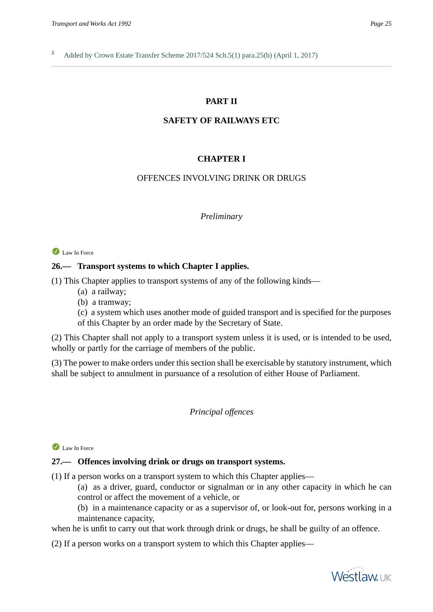# **PART II**

#### **SAFETY OF RAILWAYS ETC**

#### **CHAPTER I**

#### OFFENCES INVOLVING DRINK OR DRUGS

#### *Preliminary*

#### Law In Force

#### **26.— Transport systems to which Chapter I applies.**

(1) This Chapter applies to transport systems of any of the following kinds—

- (a) a railway;
- (b) a tramway;

(c) a system which uses another mode of guided transport and is specified for the purposes of this Chapter by an order made by the Secretary of State.

(2) This Chapter shall not apply to a transport system unless it is used, or is intended to be used, wholly or partly for the carriage of members of the public.

(3) The power to make orders under this section shall be exercisable by statutory instrument, which shall be subject to annulment in pursuance of a resolution of either House of Parliament.

#### *Principal offences*

#### Law In Force

#### **27.— Offences involving drink or drugs on transport systems.**

(1) If a person works on a transport system to which this Chapter applies—

(a) as a driver, guard, conductor or signalman or in any other capacity in which he can control or affect the movement of a vehicle, or

(b) in a maintenance capacity or as a supervisor of, or look-out for, persons working in a maintenance capacity,

when he is unfit to carry out that work through drink or drugs, he shall be guilty of an offence.

(2) If a person works on a transport system to which this Chapter applies—

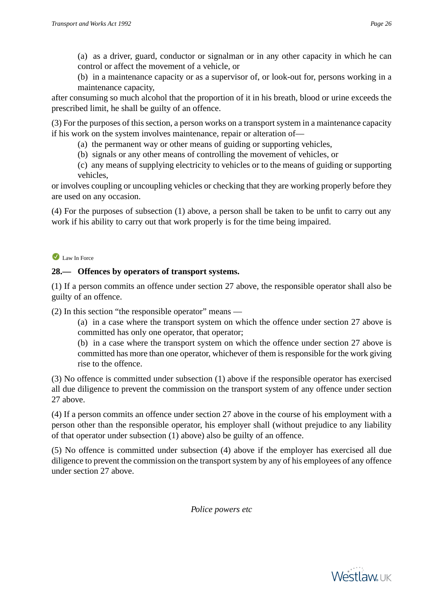(a) as a driver, guard, conductor or signalman or in any other capacity in which he can control or affect the movement of a vehicle, or

(b) in a maintenance capacity or as a supervisor of, or look-out for, persons working in a maintenance capacity,

after consuming so much alcohol that the proportion of it in his breath, blood or urine exceeds the prescribed limit, he shall be guilty of an offence.

(3) For the purposes of this section, a person works on a transport system in a maintenance capacity if his work on the system involves maintenance, repair or alteration of—

- (a) the permanent way or other means of guiding or supporting vehicles,
- (b) signals or any other means of controlling the movement of vehicles, or

(c) any means of supplying electricity to vehicles or to the means of guiding or supporting vehicles,

or involves coupling or uncoupling vehicles or checking that they are working properly before they are used on any occasion.

(4) For the purposes of subsection (1) above, a person shall be taken to be unfit to carry out any work if his ability to carry out that work properly is for the time being impaired.

# Law In Force

# **28.— Offences by operators of transport systems.**

(1) If a person commits an offence under section 27 above, the responsible operator shall also be guilty of an offence.

(2) In this section "the responsible operator" means —

(a) in a case where the transport system on which the offence under section 27 above is committed has only one operator, that operator;

(b) in a case where the transport system on which the offence under section 27 above is committed has more than one operator, whichever of them is responsible for the work giving rise to the offence.

(3) No offence is committed under subsection (1) above if the responsible operator has exercised all due diligence to prevent the commission on the transport system of any offence under section 27 above.

(4) If a person commits an offence under section 27 above in the course of his employment with a person other than the responsible operator, his employer shall (without prejudice to any liability of that operator under subsection (1) above) also be guilty of an offence.

(5) No offence is committed under subsection (4) above if the employer has exercised all due diligence to prevent the commission on the transport system by any of his employees of any offence under section 27 above.

*Police powers etc*

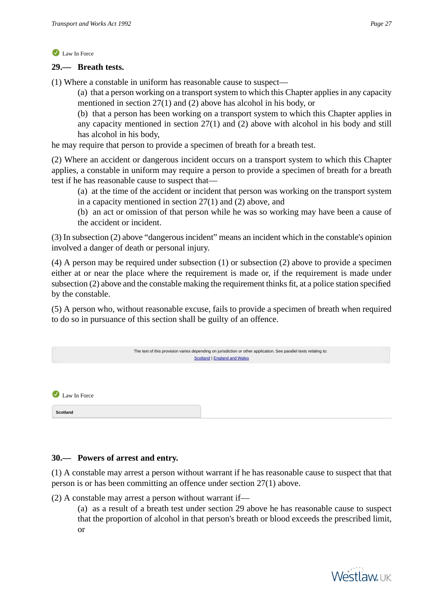#### **29.— Breath tests.**

(1) Where a constable in uniform has reasonable cause to suspect—

(a) that a person working on a transport system to which this Chapter applies in any capacity mentioned in section 27(1) and (2) above has alcohol in his body, or

(b) that a person has been working on a transport system to which this Chapter applies in any capacity mentioned in section 27(1) and (2) above with alcohol in his body and still has alcohol in his body,

he may require that person to provide a specimen of breath for a breath test.

(2) Where an accident or dangerous incident occurs on a transport system to which this Chapter applies, a constable in uniform may require a person to provide a specimen of breath for a breath test if he has reasonable cause to suspect that—

(a) at the time of the accident or incident that person was working on the transport system in a capacity mentioned in section 27(1) and (2) above, and

(b) an act or omission of that person while he was so working may have been a cause of the accident or incident.

(3) In subsection (2) above "dangerous incident" means an incident which in the constable's opinion involved a danger of death or personal injury.

(4) A person may be required under subsection (1) or subsection (2) above to provide a specimen either at or near the place where the requirement is made or, if the requirement is made under subsection (2) above and the constable making the requirement thinks fit, at a police station specified by the constable.

(5) A person who, without reasonable excuse, fails to provide a specimen of breath when required to do so in pursuance of this section shall be guilty of an offence.

<span id="page-26-0"></span>

|              | The text of this provision varies depending on jurisdiction or other application. See parallel texts relating to:<br>Scotland   England and Wales |  |
|--------------|---------------------------------------------------------------------------------------------------------------------------------------------------|--|
|              |                                                                                                                                                   |  |
| Law In Force |                                                                                                                                                   |  |
| Scotland     |                                                                                                                                                   |  |

# **30.— Powers of arrest and entry.**

(1) A constable may arrest a person without warrant if he has reasonable cause to suspect that that person is or has been committing an offence under section 27(1) above.

(2) A constable may arrest a person without warrant if—

(a) as a result of a breath test under section 29 above he has reasonable cause to suspect that the proportion of alcohol in that person's breath or blood exceeds the prescribed limit, or

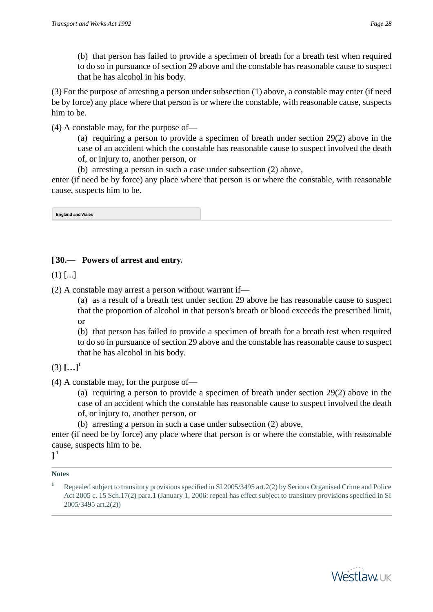(b) that person has failed to provide a specimen of breath for a breath test when required to do so in pursuance of section 29 above and the constable has reasonable cause to suspect that he has alcohol in his body.

(3) For the purpose of arresting a person under subsection (1) above, a constable may enter (if need be by force) any place where that person is or where the constable, with reasonable cause, suspects him to be.

(4) A constable may, for the purpose of—

(a) requiring a person to provide a specimen of breath under section 29(2) above in the case of an accident which the constable has reasonable cause to suspect involved the death of, or injury to, another person, or

(b) arresting a person in such a case under subsection (2) above,

<span id="page-27-0"></span>enter (if need be by force) any place where that person is or where the constable, with reasonable cause, suspects him to be.

**England and Wales**

# **[ 30.— Powers of arrest and entry.**

 $(1)$  [...]

(2) A constable may arrest a person without warrant if—

(a) as a result of a breath test under section 29 above he has reasonable cause to suspect that the proportion of alcohol in that person's breath or blood exceeds the prescribed limit, or

(b) that person has failed to provide a specimen of breath for a breath test when required to do so in pursuance of section 29 above and the constable has reasonable cause to suspect that he has alcohol in his body.

$$
(3) \left[ \ldots \right]^{1}
$$

(4) A constable may, for the purpose of—

(a) requiring a person to provide a specimen of breath under section 29(2) above in the case of an accident which the constable has reasonable cause to suspect involved the death of, or injury to, another person, or

(b) arresting a person in such a case under subsection (2) above,

enter (if need be by force) any place where that person is or where the constable, with reasonable cause, suspects him to be.

**] 1**



**<sup>1</sup>** Repealed subject to transitory provisions specified in SI 2005/3495 art.2(2) by Serious Organised Crime and Police Act 2005 c. 15 Sch.17(2) para.1 (January 1, 2006: repeal has effect subject to transitory provisions specified in SI 2005/3495 art.2(2))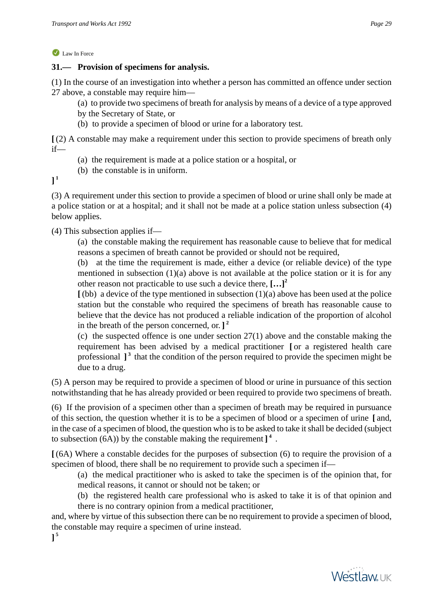## **31.— Provision of specimens for analysis.**

(1) In the course of an investigation into whether a person has committed an offence under section 27 above, a constable may require him—

(a) to provide two specimens of breath for analysis by means of a device of a type approved

- by the Secretary of State, or
- (b) to provide a specimen of blood or urine for a laboratory test.

**[** (2) A constable may make a requirement under this section to provide specimens of breath only if—

- (a) the requirement is made at a police station or a hospital, or
- (b) the constable is in uniform.

**] 1**

(3) A requirement under this section to provide a specimen of blood or urine shall only be made at a police station or at a hospital; and it shall not be made at a police station unless subsection (4) below applies.

# (4) This subsection applies if—

(a) the constable making the requirement has reasonable cause to believe that for medical reasons a specimen of breath cannot be provided or should not be required,

(b) at the time the requirement is made, either a device (or reliable device) of the type mentioned in subsection  $(1)(a)$  above is not available at the police station or it is for any other reason not practicable to use such a device there, **[…]<sup>2</sup>**

**[** (bb) a device of the type mentioned in subsection (1)(a) above has been used at the police station but the constable who required the specimens of breath has reasonable cause to believe that the device has not produced a reliable indication of the proportion of alcohol in the breath of the person concerned, or. **] 2**

(c) the suspected offence is one under section 27(1) above and the constable making the requirement has been advised by a medical practitioner **[** or a registered health care professional ]<sup>3</sup> that the condition of the person required to provide the specimen might be due to a drug.

(5) A person may be required to provide a specimen of blood or urine in pursuance of this section notwithstanding that he has already provided or been required to provide two specimens of breath.

(6) If the provision of a specimen other than a specimen of breath may be required in pursuance of this section, the question whether it is to be a specimen of blood or a specimen of urine **[** and, in the case of a specimen of blood, the question who is to be asked to take it shall be decided (subject to subsection (6A)) by the constable making the requirement **] 4** .

**[** (6A) Where a constable decides for the purposes of subsection (6) to require the provision of a specimen of blood, there shall be no requirement to provide such a specimen if—

(a) the medical practitioner who is asked to take the specimen is of the opinion that, for medical reasons, it cannot or should not be taken; or

(b) the registered health care professional who is asked to take it is of that opinion and there is no contrary opinion from a medical practitioner,

and, where by virtue of this subsection there can be no requirement to provide a specimen of blood, the constable may require a specimen of urine instead.

**] 5**

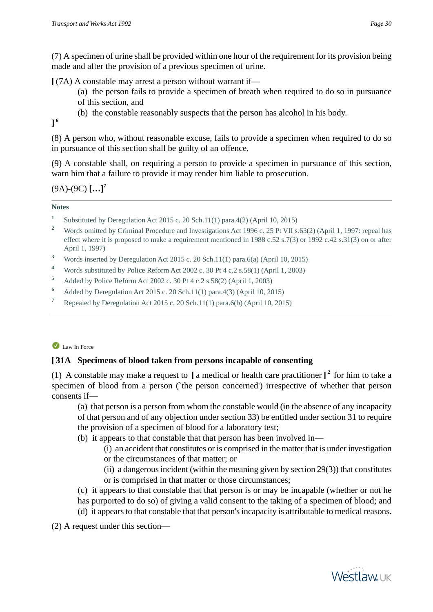(7) A specimen of urine shall be provided within one hour of the requirement for its provision being made and after the provision of a previous specimen of urine.

**[** (7A) A constable may arrest a person without warrant if—

- (a) the person fails to provide a specimen of breath when required to do so in pursuance of this section, and
- (b) the constable reasonably suspects that the person has alcohol in his body.

**] 6**

(8) A person who, without reasonable excuse, fails to provide a specimen when required to do so in pursuance of this section shall be guilty of an offence.

(9) A constable shall, on requiring a person to provide a specimen in pursuance of this section, warn him that a failure to provide it may render him liable to prosecution.

(9A)-(9C) **[…]<sup>7</sup>**

#### **Notes**

- **1** Substituted by Deregulation Act 2015 c. 20 Sch.11(1) para.4(2) (April 10, 2015)
- <sup>2</sup> Words omitted by Criminal Procedure and Investigations Act 1996 c. 25 Pt VII s.63(2) (April 1, 1997: repeal has effect where it is proposed to make a requirement mentioned in 1988 c.52 s.7(3) or 1992 c.42 s.31(3) on or after April 1, 1997)
- **<sup>3</sup>** Words inserted by Deregulation Act 2015 c. 20 Sch.11(1) para.6(a) (April 10, 2015)
- **<sup>4</sup>** Words substituted by Police Reform Act 2002 c. 30 Pt 4 c.2 s.58(1) (April 1, 2003)
- **<sup>5</sup>** Added by Police Reform Act 2002 c. 30 Pt 4 c.2 s.58(2) (April 1, 2003)
- **<sup>6</sup>** Added by Deregulation Act 2015 c. 20 Sch.11(1) para.4(3) (April 10, 2015)
- **<sup>7</sup>** Repealed by Deregulation Act 2015 c. 20 Sch.11(1) para.6(b) (April 10, 2015)

# Law In Force

# **[ 31A Specimens of blood taken from persons incapable of consenting**

(1) A constable may make a request to **[** a medical or health care practitioner **] 2** for him to take a specimen of blood from a person (`the person concerned') irrespective of whether that person consents if—

(a) that person is a person from whom the constable would (in the absence of any incapacity of that person and of any objection under section 33) be entitled under section 31 to require the provision of a specimen of blood for a laboratory test;

- (b) it appears to that constable that that person has been involved in—
	- (i) an accident that constitutes or is comprised in the matter that is under investigation or the circumstances of that matter; or
	- (ii) a dangerous incident (within the meaning given by section  $29(3)$ ) that constitutes or is comprised in that matter or those circumstances;
- (c) it appears to that constable that that person is or may be incapable (whether or not he has purported to do so) of giving a valid consent to the taking of a specimen of blood; and
- (d) it appears to that constable that that person's incapacity is attributable to medical reasons.

(2) A request under this section—

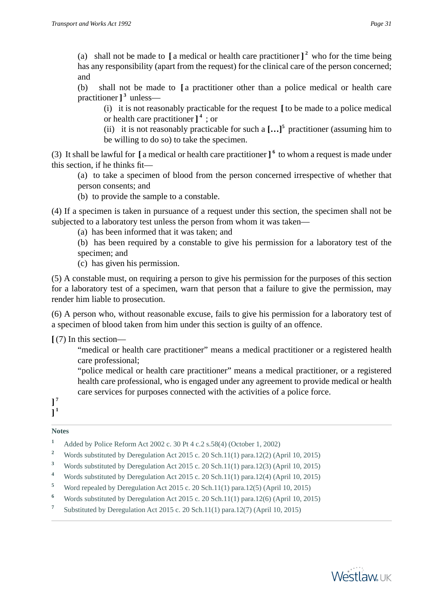(a) shall not be made to **[** a medical or health care practitioner **] 2** who for the time being has any responsibility (apart from the request) for the clinical care of the person concerned; and

(b) shall not be made to **[** a practitioner other than a police medical or health care practitioner ]<sup>3</sup> unless—

(i) it is not reasonably practicable for the request **[** to be made to a police medical or health care practitioner **] 4** ; or

(ii) it is not reasonably practicable for such a  $\left[\ldots\right]^5$  practitioner (assuming him to be willing to do so) to take the specimen.

(3) It shall be lawful for **[** a medical or health care practitioner **] 6** to whom a request is made under this section, if he thinks fit—

(a) to take a specimen of blood from the person concerned irrespective of whether that person consents; and

(b) to provide the sample to a constable.

(4) If a specimen is taken in pursuance of a request under this section, the specimen shall not be subjected to a laboratory test unless the person from whom it was taken—

(a) has been informed that it was taken; and

(b) has been required by a constable to give his permission for a laboratory test of the specimen; and

(c) has given his permission.

(5) A constable must, on requiring a person to give his permission for the purposes of this section for a laboratory test of a specimen, warn that person that a failure to give the permission, may render him liable to prosecution.

(6) A person who, without reasonable excuse, fails to give his permission for a laboratory test of a specimen of blood taken from him under this section is guilty of an offence.

**[** (7) In this section—

"medical or health care practitioner" means a medical practitioner or a registered health care professional;

"police medical or health care practitioner" means a medical practitioner, or a registered health care professional, who is engaged under any agreement to provide medical or health care services for purposes connected with the activities of a police force.

**] 7 ] 1**

- **<sup>1</sup>** Added by Police Reform Act 2002 c. 30 Pt 4 c.2 s.58(4) (October 1, 2002)
- <sup>2</sup> Words substituted by Deregulation Act 2015 c. 20 Sch.11(1) para.12(2) (April 10, 2015)
- **<sup>3</sup>** Words substituted by Deregulation Act 2015 c. 20 Sch.11(1) para.12(3) (April 10, 2015)
- **<sup>4</sup>** Words substituted by Deregulation Act 2015 c. 20 Sch.11(1) para.12(4) (April 10, 2015)
- **<sup>5</sup>** Word repealed by Deregulation Act 2015 c. 20 Sch.11(1) para.12(5) (April 10, 2015)
- **<sup>6</sup>** Words substituted by Deregulation Act 2015 c. 20 Sch.11(1) para.12(6) (April 10, 2015)
- **7** Substituted by Deregulation Act 2015 c. 20 Sch.11(1) para.12(7) (April 10, 2015)

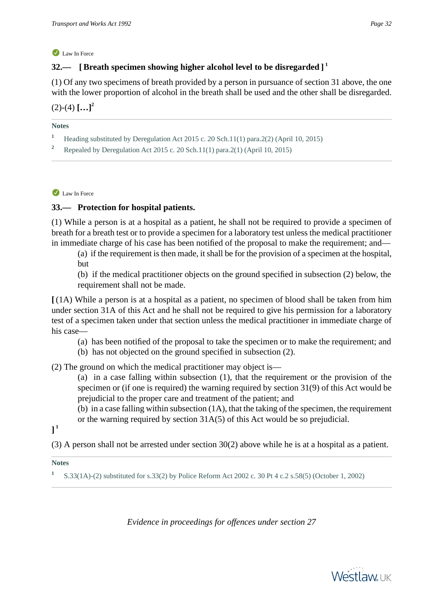# **32.— [Breath specimen showing higher alcohol level to be disregarded ] 1**

(1) Of any two specimens of breath provided by a person in pursuance of section 31 above, the one with the lower proportion of alcohol in the breath shall be used and the other shall be disregarded.  $(2)-(4)$ **[...]**<sup>2</sup>

**Notes**

- **<sup>1</sup>** Heading substituted by Deregulation Act 2015 c. 20 Sch.11(1) para.2(2) (April 10, 2015)
	- **<sup>2</sup>** Repealed by Deregulation Act 2015 c. 20 Sch.11(1) para.2(1) (April 10, 2015)

Law In Force

# **33.— Protection for hospital patients.**

(1) While a person is at a hospital as a patient, he shall not be required to provide a specimen of breath for a breath test or to provide a specimen for a laboratory test unless the medical practitioner in immediate charge of his case has been notified of the proposal to make the requirement; and—

(a) if the requirement is then made, it shall be for the provision of a specimen at the hospital, but

(b) if the medical practitioner objects on the ground specified in subsection (2) below, the requirement shall not be made.

**[** (1A) While a person is at a hospital as a patient, no specimen of blood shall be taken from him under section 31A of this Act and he shall not be required to give his permission for a laboratory test of a specimen taken under that section unless the medical practitioner in immediate charge of his case—

(a) has been notified of the proposal to take the specimen or to make the requirement; and

(b) has not objected on the ground specified in subsection (2).

(2) The ground on which the medical practitioner may object is—

(a) in a case falling within subsection (1), that the requirement or the provision of the specimen or (if one is required) the warning required by section 31(9) of this Act would be prejudicial to the proper care and treatment of the patient; and

(b) in a case falling within subsection (1A), that the taking of the specimen, the requirement or the warning required by section 31A(5) of this Act would be so prejudicial.

**] 1**

(3) A person shall not be arrested under section 30(2) above while he is at a hospital as a patient.

#### **Notes**

**1** S.33(1A)-(2) substituted for s.33(2) by Police Reform Act 2002 c. 30 Pt 4 c.2 s.58(5) (October 1, 2002)

*Evidence in proceedings for offences under section 27*

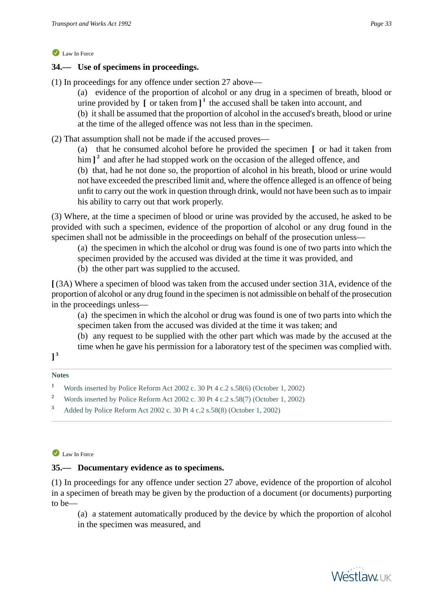## **34.— Use of specimens in proceedings.**

- (1) In proceedings for any offence under section 27 above—
	- (a) evidence of the proportion of alcohol or any drug in a specimen of breath, blood or urine provided by **[** or taken from **] 1** the accused shall be taken into account, and
	- (b) it shall be assumed that the proportion of alcohol in the accused's breath, blood or urine at the time of the alleged offence was not less than in the specimen.
- (2) That assumption shall not be made if the accused proves—
	- (a) that he consumed alcohol before he provided the specimen **[** or had it taken from him ]<sup>2</sup> and after he had stopped work on the occasion of the alleged offence, and

(b) that, had he not done so, the proportion of alcohol in his breath, blood or urine would not have exceeded the prescribed limit and, where the offence alleged is an offence of being unfit to carry out the work in question through drink, would not have been such as to impair his ability to carry out that work properly.

(3) Where, at the time a specimen of blood or urine was provided by the accused, he asked to be provided with such a specimen, evidence of the proportion of alcohol or any drug found in the specimen shall not be admissible in the proceedings on behalf of the prosecution unless—

(a) the specimen in which the alcohol or drug was found is one of two parts into which the specimen provided by the accused was divided at the time it was provided, and

(b) the other part was supplied to the accused.

**[** (3A) Where a specimen of blood was taken from the accused under section 31A, evidence of the proportion of alcohol or any drug found in the specimen is not admissible on behalf of the prosecution in the proceedings unless—

(a) the specimen in which the alcohol or drug was found is one of two parts into which the specimen taken from the accused was divided at the time it was taken; and

(b) any request to be supplied with the other part which was made by the accused at the time when he gave his permission for a laboratory test of the specimen was complied with.

# **] 3**

#### **Notes**

- **<sup>1</sup>** Words inserted by Police Reform Act 2002 c. 30 Pt 4 c.2 s.58(6) (October 1, 2002)
- <sup>2</sup> Words inserted by Police Reform Act 2002 c. 30 Pt 4 c.2 s.58(7) (October 1, 2002)
- **<sup>3</sup>** Added by Police Reform Act 2002 c. 30 Pt 4 c.2 s.58(8) (October 1, 2002)

#### Law In Force

#### **35.— Documentary evidence as to specimens.**

(1) In proceedings for any offence under section 27 above, evidence of the proportion of alcohol in a specimen of breath may be given by the production of a document (or documents) purporting to be—

(a) a statement automatically produced by the device by which the proportion of alcohol in the specimen was measured, and



**Westlawuk**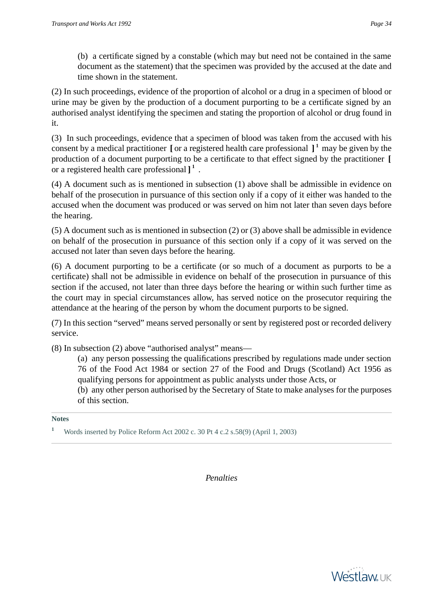(b) a certificate signed by a constable (which may but need not be contained in the same document as the statement) that the specimen was provided by the accused at the date and time shown in the statement.

(2) In such proceedings, evidence of the proportion of alcohol or a drug in a specimen of blood or urine may be given by the production of a document purporting to be a certificate signed by an authorised analyst identifying the specimen and stating the proportion of alcohol or drug found in it.

(3) In such proceedings, evidence that a specimen of blood was taken from the accused with his consent by a medical practitioner **[** or a registered health care professional **] 1** may be given by the production of a document purporting to be a certificate to that effect signed by the practitioner **[** or a registered health care professional **] 1** .

(4) A document such as is mentioned in subsection (1) above shall be admissible in evidence on behalf of the prosecution in pursuance of this section only if a copy of it either was handed to the accused when the document was produced or was served on him not later than seven days before the hearing.

(5) A document such as is mentioned in subsection (2) or (3) above shall be admissible in evidence on behalf of the prosecution in pursuance of this section only if a copy of it was served on the accused not later than seven days before the hearing.

(6) A document purporting to be a certificate (or so much of a document as purports to be a certificate) shall not be admissible in evidence on behalf of the prosecution in pursuance of this section if the accused, not later than three days before the hearing or within such further time as the court may in special circumstances allow, has served notice on the prosecutor requiring the attendance at the hearing of the person by whom the document purports to be signed.

(7) In this section "served" means served personally or sent by registered post or recorded delivery service.

(8) In subsection (2) above "authorised analyst" means—

(a) any person possessing the qualifications prescribed by regulations made under section 76 of the Food Act 1984 or section 27 of the Food and Drugs (Scotland) Act 1956 as qualifying persons for appointment as public analysts under those Acts, or

(b) any other person authorised by the Secretary of State to make analyses for the purposes of this section.

**Notes**

**<sup>1</sup>** Words inserted by Police Reform Act 2002 c. 30 Pt 4 c.2 s.58(9) (April 1, 2003)

*Penalties*

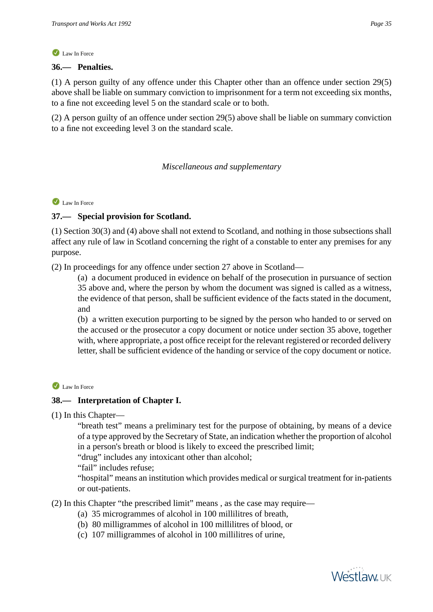#### **36.— Penalties.**

(1) A person guilty of any offence under this Chapter other than an offence under section 29(5) above shall be liable on summary conviction to imprisonment for a term not exceeding six months, to a fine not exceeding level 5 on the standard scale or to both.

(2) A person guilty of an offence under section 29(5) above shall be liable on summary conviction to a fine not exceeding level 3 on the standard scale.

# *Miscellaneous and supplementary*

#### Law In Force

#### **37.— Special provision for Scotland.**

(1) Section 30(3) and (4) above shall not extend to Scotland, and nothing in those subsections shall affect any rule of law in Scotland concerning the right of a constable to enter any premises for any purpose.

(2) In proceedings for any offence under section 27 above in Scotland—

(a) a document produced in evidence on behalf of the prosecution in pursuance of section 35 above and, where the person by whom the document was signed is called as a witness, the evidence of that person, shall be sufficient evidence of the facts stated in the document, and

(b) a written execution purporting to be signed by the person who handed to or served on the accused or the prosecutor a copy document or notice under section 35 above, together with, where appropriate, a post office receipt for the relevant registered or recorded delivery letter, shall be sufficient evidence of the handing or service of the copy document or notice.

#### Law In Force

# **38.— Interpretation of Chapter I.**

(1) In this Chapter—

"breath test" means a preliminary test for the purpose of obtaining, by means of a device of a type approved by the Secretary of State, an indication whether the proportion of alcohol in a person's breath or blood is likely to exceed the prescribed limit;

"drug" includes any intoxicant other than alcohol;

"fail" includes refuse;

"hospital" means an institution which provides medical or surgical treatment for in-patients or out-patients.

(2) In this Chapter "the prescribed limit" means , as the case may require—

- (a) 35 microgrammes of alcohol in 100 millilitres of breath,
- (b) 80 milligrammes of alcohol in 100 millilitres of blood, or
- (c) 107 milligrammes of alcohol in 100 millilitres of urine,

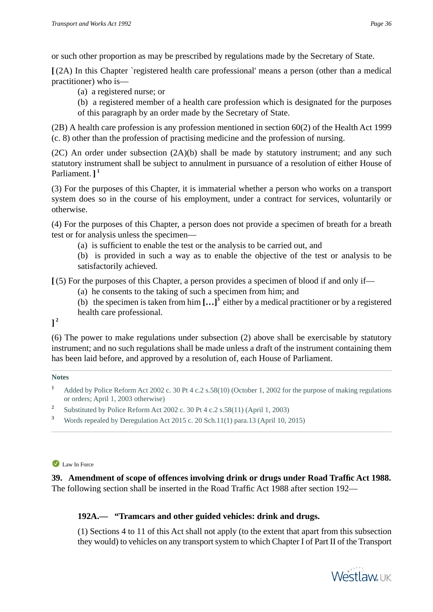or such other proportion as may be prescribed by regulations made by the Secretary of State.

**[** (2A) In this Chapter `registered health care professional' means a person (other than a medical practitioner) who is—

(a) a registered nurse; or

(b) a registered member of a health care profession which is designated for the purposes of this paragraph by an order made by the Secretary of State.

(2B) A health care profession is any profession mentioned in section 60(2) of the Health Act 1999 (c. 8) other than the profession of practising medicine and the profession of nursing.

(2C) An order under subsection (2A)(b) shall be made by statutory instrument; and any such statutory instrument shall be subject to annulment in pursuance of a resolution of either House of Parliament. **] 1**

(3) For the purposes of this Chapter, it is immaterial whether a person who works on a transport system does so in the course of his employment, under a contract for services, voluntarily or otherwise.

(4) For the purposes of this Chapter, a person does not provide a specimen of breath for a breath test or for analysis unless the specimen—

(a) is sufficient to enable the test or the analysis to be carried out, and

(b) is provided in such a way as to enable the objective of the test or analysis to be satisfactorily achieved.

**[** (5) For the purposes of this Chapter, a person provides a specimen of blood if and only if—

- (a) he consents to the taking of such a specimen from him; and
- (b) the specimen is taken from him **[…]<sup>3</sup>** either by a medical practitioner or by a registered health care professional.

**] 2**

(6) The power to make regulations under subsection (2) above shall be exercisable by statutory instrument; and no such regulations shall be made unless a draft of the instrument containing them has been laid before, and approved by a resolution of, each House of Parliament.

#### **Notes**

- **<sup>1</sup>** Added by Police Reform Act 2002 c. 30 Pt 4 c.2 s.58(10) (October 1, 2002 for the purpose of making regulations or orders; April 1, 2003 otherwise)
- **2** Substituted by Police Reform Act 2002 c. 30 Pt 4 c.2 s.58(11) (April 1, 2003)
- **<sup>3</sup>** Words repealed by Deregulation Act 2015 c. 20 Sch.11(1) para.13 (April 10, 2015)

#### Law In Force

# **39. Amendment of scope of offences involving drink or drugs under Road Traffic Act 1988.** The following section shall be inserted in the Road Traffic Act 1988 after section 192—

# **192A.— "Tramcars and other guided vehicles: drink and drugs.**

(1) Sections 4 to 11 of this Act shall not apply (to the extent that apart from this subsection they would) to vehicles on any transport system to which Chapter I of Part II of the Transport

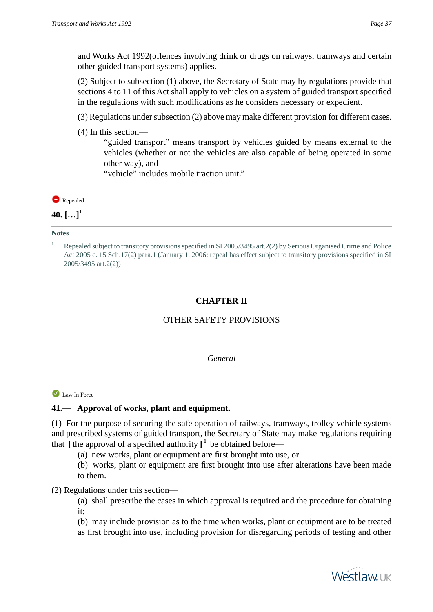and Works Act 1992(offences involving drink or drugs on railways, tramways and certain other guided transport systems) applies.

(2) Subject to subsection (1) above, the Secretary of State may by regulations provide that sections 4 to 11 of this Act shall apply to vehicles on a system of guided transport specified in the regulations with such modifications as he considers necessary or expedient.

- (3) Regulations under subsection (2) above may make different provision for different cases.
- (4) In this section—

"guided transport" means transport by vehicles guided by means external to the vehicles (whether or not the vehicles are also capable of being operated in some other way), and

"vehicle" includes mobile traction unit."

Repealed

**40. […]<sup>1</sup>**

#### **Notes**

**<sup>1</sup>** Repealed subject to transitory provisions specified in SI 2005/3495 art.2(2) by Serious Organised Crime and Police Act 2005 c. 15 Sch.17(2) para.1 (January 1, 2006: repeal has effect subject to transitory provisions specified in SI 2005/3495 art.2(2))

# **CHAPTER II**

# OTHER SAFETY PROVISIONS

# *General*

# Law In Force

# **41.— Approval of works, plant and equipment.**

(1) For the purpose of securing the safe operation of railways, tramways, trolley vehicle systems and prescribed systems of guided transport, the Secretary of State may make regulations requiring that  $\left[$  the approval of a specified authority  $\right]$ <sup>1</sup> be obtained before—

- (a) new works, plant or equipment are first brought into use, or
- (b) works, plant or equipment are first brought into use after alterations have been made to them.

# (2) Regulations under this section—

- (a) shall prescribe the cases in which approval is required and the procedure for obtaining it;
- (b) may include provision as to the time when works, plant or equipment are to be treated as first brought into use, including provision for disregarding periods of testing and other

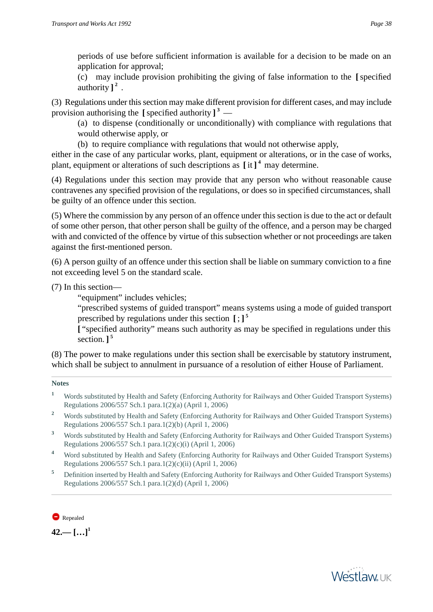periods of use before sufficient information is available for a decision to be made on an application for approval;

(c) may include provision prohibiting the giving of false information to the **[**specified authority **] 2** .

(3) Regulations under this section may make different provision for different cases, and may include provision authorising the **[**specified authority **] 3** —

(a) to dispense (conditionally or unconditionally) with compliance with regulations that would otherwise apply, or

(b) to require compliance with regulations that would not otherwise apply,

either in the case of any particular works, plant, equipment or alterations, or in the case of works, plant, equipment or alterations of such descriptions as **[** it **] 4** may determine.

(4) Regulations under this section may provide that any person who without reasonable cause contravenes any specified provision of the regulations, or does so in specified circumstances, shall be guilty of an offence under this section.

(5) Where the commission by any person of an offence under this section is due to the act or default of some other person, that other person shall be guilty of the offence, and a person may be charged with and convicted of the offence by virtue of this subsection whether or not proceedings are taken against the first-mentioned person.

(6) A person guilty of an offence under this section shall be liable on summary conviction to a fine not exceeding level 5 on the standard scale.

(7) In this section—

"equipment" includes vehicles;

"prescribed systems of guided transport" means systems using a mode of guided transport prescribed by regulations under this section **[** ; **] 5**

**[** "specified authority" means such authority as may be specified in regulations under this section. **] 5**

(8) The power to make regulations under this section shall be exercisable by statutory instrument, which shall be subject to annulment in pursuance of a resolution of either House of Parliament.

# **Notes**

- <sup>1</sup> Words substituted by Health and Safety (Enforcing Authority for Railways and Other Guided Transport Systems) Regulations 2006/557 Sch.1 para.1(2)(a) (April 1, 2006)
- <sup>2</sup> Words substituted by Health and Safety (Enforcing Authority for Railways and Other Guided Transport Systems) Regulations 2006/557 Sch.1 para.1(2)(b) (April 1, 2006)
- **<sup>3</sup>** Words substituted by Health and Safety (Enforcing Authority for Railways and Other Guided Transport Systems) Regulations 2006/557 Sch.1 para.1(2)(c)(i) (April 1, 2006)
- **<sup>4</sup>** Word substituted by Health and Safety (Enforcing Authority for Railways and Other Guided Transport Systems) Regulations 2006/557 Sch.1 para.1(2)(c)(ii) (April 1, 2006)
- **<sup>5</sup>** Definition inserted by Health and Safety (Enforcing Authority for Railways and Other Guided Transport Systems) Regulations 2006/557 Sch.1 para.1(2)(d) (April 1, 2006)



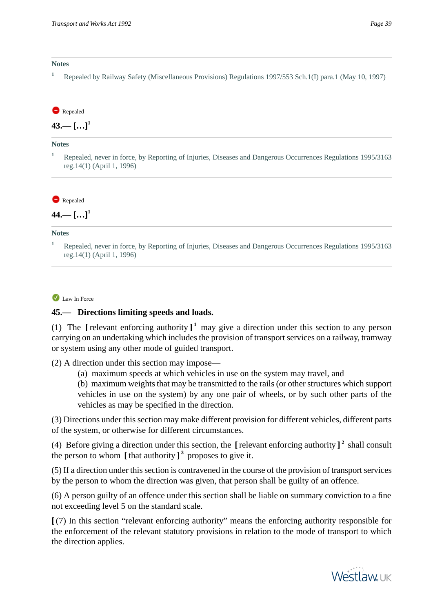#### **Notes**

**<sup>1</sup>** Repealed by Railway Safety (Miscellaneous Provisions) Regulations 1997/553 Sch.1(I) para.1 (May 10, 1997)

#### Repealed

 $43 - 5...$ <sup>1</sup>

#### **Notes**

**<sup>1</sup>** Repealed, never in force, by Reporting of Injuries, Diseases and Dangerous Occurrences Regulations 1995/3163 reg.14(1) (April 1, 1996)

Repealed

**44.— […]<sup>1</sup>**

#### **Notes**

<sup>1</sup> Repealed, never in force, by Reporting of Injuries, Diseases and Dangerous Occurrences Regulations 1995/3163 reg.14(1) (April 1, 1996)

Law In Force

#### **45.— Directions limiting speeds and loads.**

(1) The [relevant enforcing authority]<sup>1</sup> may give a direction under this section to any person carrying on an undertaking which includes the provision of transport services on a railway, tramway or system using any other mode of guided transport.

(2) A direction under this section may impose—

(a) maximum speeds at which vehicles in use on the system may travel, and

(b) maximum weights that may be transmitted to the rails (or other structures which support vehicles in use on the system) by any one pair of wheels, or by such other parts of the vehicles as may be specified in the direction.

(3) Directions under this section may make different provision for different vehicles, different parts of the system, or otherwise for different circumstances.

(4) Before giving a direction under this section, the **[** relevant enforcing authority **] 2** shall consult the person to whom **[** that authority **] 3** proposes to give it.

(5) If a direction under this section is contravened in the course of the provision of transport services by the person to whom the direction was given, that person shall be guilty of an offence.

(6) A person guilty of an offence under this section shall be liable on summary conviction to a fine not exceeding level 5 on the standard scale.

**[** (7) In this section "relevant enforcing authority" means the enforcing authority responsible for the enforcement of the relevant statutory provisions in relation to the mode of transport to which the direction applies.

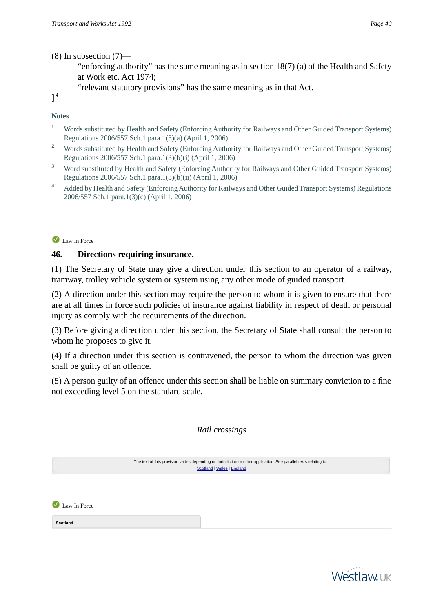(8) In subsection (7)—

- "enforcing authority" has the same meaning as in section 18(7) (a) of the Health and Safety at Work etc. Act 1974;
- "relevant statutory provisions" has the same meaning as in that Act.

**] 4**

#### **Notes**

- <sup>1</sup> Words substituted by Health and Safety (Enforcing Authority for Railways and Other Guided Transport Systems) Regulations 2006/557 Sch.1 para.1(3)(a) (April 1, 2006)
- <sup>2</sup> Words substituted by Health and Safety (Enforcing Authority for Railways and Other Guided Transport Systems) Regulations 2006/557 Sch.1 para.1(3)(b)(i) (April 1, 2006)
- <sup>3</sup> Word substituted by Health and Safety (Enforcing Authority for Railways and Other Guided Transport Systems) Regulations 2006/557 Sch.1 para.1(3)(b)(ii) (April 1, 2006)
- **<sup>4</sup>** Added by Health and Safety (Enforcing Authority for Railways and Other Guided Transport Systems) Regulations 2006/557 Sch.1 para.1(3)(c) (April 1, 2006)

Law In Force

### **46.— Directions requiring insurance.**

(1) The Secretary of State may give a direction under this section to an operator of a railway, tramway, trolley vehicle system or system using any other mode of guided transport.

(2) A direction under this section may require the person to whom it is given to ensure that there are at all times in force such policies of insurance against liability in respect of death or personal injury as comply with the requirements of the direction.

(3) Before giving a direction under this section, the Secretary of State shall consult the person to whom he proposes to give it.

(4) If a direction under this section is contravened, the person to whom the direction was given shall be guilty of an offence.

(5) A person guilty of an offence under this section shall be liable on summary conviction to a fine not exceeding level 5 on the standard scale.

# *Rail crossings*

<span id="page-39-0"></span>

|              | The text of this provision varies depending on jurisdiction or other application. See parallel texts relating to:<br>Scotland   Wales   England |  |
|--------------|-------------------------------------------------------------------------------------------------------------------------------------------------|--|
|              |                                                                                                                                                 |  |
| Law In Force |                                                                                                                                                 |  |
| Scotland     |                                                                                                                                                 |  |

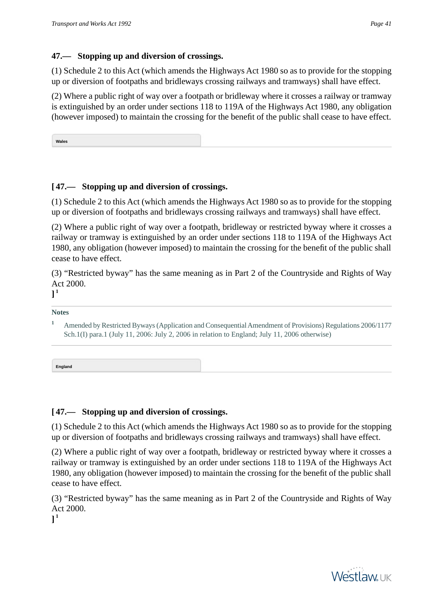# **47.— Stopping up and diversion of crossings.**

(1) Schedule 2 to this Act (which amends the Highways Act 1980 so as to provide for the stopping up or diversion of footpaths and bridleways crossing railways and tramways) shall have effect.

(2) Where a public right of way over a footpath or bridleway where it crosses a railway or tramway is extinguished by an order under sections 118 to 119A of the Highways Act 1980, any obligation (however imposed) to maintain the crossing for the benefit of the public shall cease to have effect.

<span id="page-40-0"></span>**Wales**

# **[ 47.— Stopping up and diversion of crossings.**

(1) Schedule 2 to this Act (which amends the Highways Act 1980 so as to provide for the stopping up or diversion of footpaths and bridleways crossing railways and tramways) shall have effect.

(2) Where a public right of way over a footpath, bridleway or restricted byway where it crosses a railway or tramway is extinguished by an order under sections 118 to 119A of the Highways Act 1980, any obligation (however imposed) to maintain the crossing for the benefit of the public shall cease to have effect.

(3) "Restricted byway" has the same meaning as in Part 2 of the Countryside and Rights of Way Act 2000.

**] 1**

**Notes**

**England**

# **[ 47.— Stopping up and diversion of crossings.**

(1) Schedule 2 to this Act (which amends the Highways Act 1980 so as to provide for the stopping up or diversion of footpaths and bridleways crossing railways and tramways) shall have effect.

(2) Where a public right of way over a footpath, bridleway or restricted byway where it crosses a railway or tramway is extinguished by an order under sections 118 to 119A of the Highways Act 1980, any obligation (however imposed) to maintain the crossing for the benefit of the public shall cease to have effect.

(3) "Restricted byway" has the same meaning as in Part 2 of the Countryside and Rights of Way Act 2000.

**] 1**



<span id="page-40-1"></span>**<sup>1</sup>** Amended by Restricted Byways (Application and Consequential Amendment of Provisions) Regulations 2006/1177 Sch.1(I) para.1 (July 11, 2006: July 2, 2006 in relation to England; July 11, 2006 otherwise)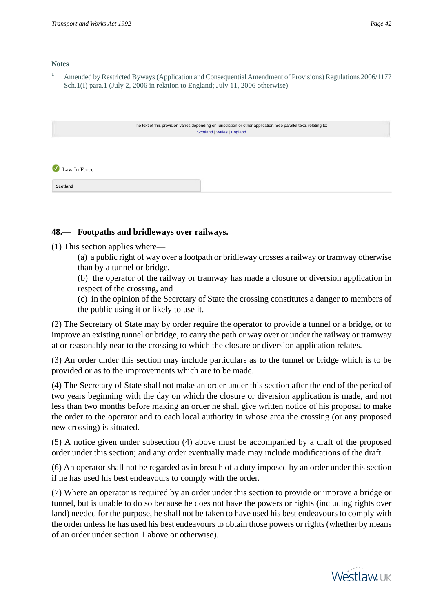#### **Notes**

<sup>1</sup> Amended by Restricted Byways (Application and Consequential Amendment of Provisions) Regulations 2006/1177 Sch.1(I) para.1 (July 2, 2006 in relation to England; July 11, 2006 otherwise)

<span id="page-41-0"></span>

|                                          | The text of this provision varies depending on jurisdiction or other application. See parallel texts relating to:<br>Scotland   Wales   England |  |  |
|------------------------------------------|-------------------------------------------------------------------------------------------------------------------------------------------------|--|--|
| $\left( \bigvee \right)$<br>Law In Force |                                                                                                                                                 |  |  |
| Scotland                                 |                                                                                                                                                 |  |  |

### **48.— Footpaths and bridleways over railways.**

(1) This section applies where—

(a) a public right of way over a footpath or bridleway crosses a railway or tramway otherwise than by a tunnel or bridge,

(b) the operator of the railway or tramway has made a closure or diversion application in respect of the crossing, and

(c) in the opinion of the Secretary of State the crossing constitutes a danger to members of the public using it or likely to use it.

(2) The Secretary of State may by order require the operator to provide a tunnel or a bridge, or to improve an existing tunnel or bridge, to carry the path or way over or under the railway or tramway at or reasonably near to the crossing to which the closure or diversion application relates.

(3) An order under this section may include particulars as to the tunnel or bridge which is to be provided or as to the improvements which are to be made.

(4) The Secretary of State shall not make an order under this section after the end of the period of two years beginning with the day on which the closure or diversion application is made, and not less than two months before making an order he shall give written notice of his proposal to make the order to the operator and to each local authority in whose area the crossing (or any proposed new crossing) is situated.

(5) A notice given under subsection (4) above must be accompanied by a draft of the proposed order under this section; and any order eventually made may include modifications of the draft.

(6) An operator shall not be regarded as in breach of a duty imposed by an order under this section if he has used his best endeavours to comply with the order.

(7) Where an operator is required by an order under this section to provide or improve a bridge or tunnel, but is unable to do so because he does not have the powers or rights (including rights over land) needed for the purpose, he shall not be taken to have used his best endeavours to comply with the order unless he has used his best endeavours to obtain those powers or rights (whether by means of an order under section 1 above or otherwise).

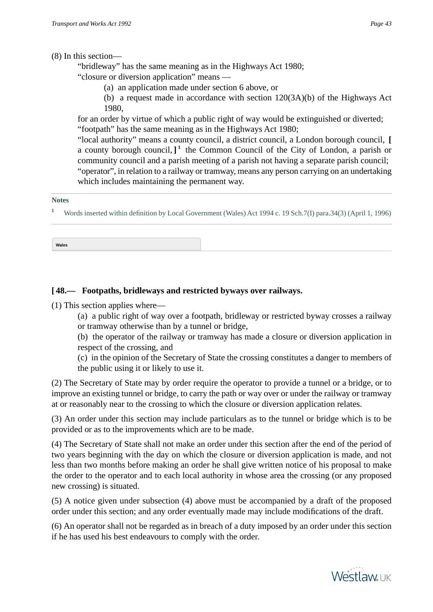(8) In this section—

"bridleway" has the same meaning as in the Highways Act 1980;

"closure or diversion application" means —

(a) an application made under section 6 above, or

(b) a request made in accordance with section 120(3A)(b) of the Highways Act 1980,

for an order by virtue of which a public right of way would be extinguished or diverted; "footpath" has the same meaning as in the Highways Act 1980;

"local authority" means a county council, a district council, a London borough council, **[** a county borough council, **] 1** the Common Council of the City of London, a parish or community council and a parish meeting of a parish not having a separate parish council; "operator", in relation to a railway or tramway, means any person carrying on an undertaking which includes maintaining the permanent way.

#### **Notes**

<span id="page-42-0"></span>**<sup>1</sup>** Words inserted within definition by Local Government (Wales) Act 1994 c. 19 Sch.7(I) para.34(3) (April 1, 1996)

**Wales**

# **[ 48.— Footpaths, bridleways and restricted byways over railways.**

(1) This section applies where—

(a) a public right of way over a footpath, bridleway or restricted byway crosses a railway or tramway otherwise than by a tunnel or bridge,

(b) the operator of the railway or tramway has made a closure or diversion application in respect of the crossing, and

(c) in the opinion of the Secretary of State the crossing constitutes a danger to members of the public using it or likely to use it.

(2) The Secretary of State may by order require the operator to provide a tunnel or a bridge, or to improve an existing tunnel or bridge, to carry the path or way over or under the railway or tramway at or reasonably near to the crossing to which the closure or diversion application relates.

(3) An order under this section may include particulars as to the tunnel or bridge which is to be provided or as to the improvements which are to be made.

(4) The Secretary of State shall not make an order under this section after the end of the period of two years beginning with the day on which the closure or diversion application is made, and not less than two months before making an order he shall give written notice of his proposal to make the order to the operator and to each local authority in whose area the crossing (or any proposed new crossing) is situated.

(5) A notice given under subsection (4) above must be accompanied by a draft of the proposed order under this section; and any order eventually made may include modifications of the draft.

(6) An operator shall not be regarded as in breach of a duty imposed by an order under this section if he has used his best endeavours to comply with the order.

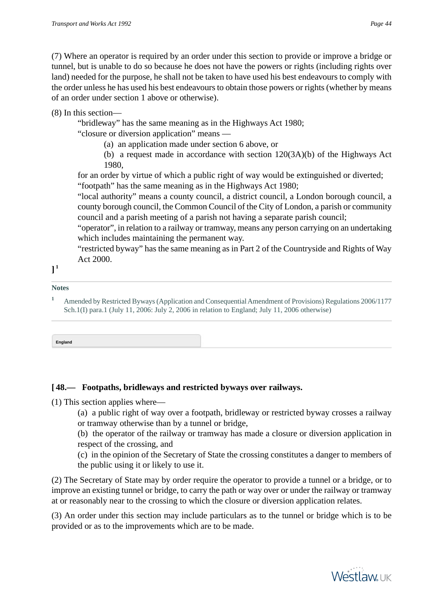(7) Where an operator is required by an order under this section to provide or improve a bridge or tunnel, but is unable to do so because he does not have the powers or rights (including rights over land) needed for the purpose, he shall not be taken to have used his best endeavours to comply with the order unless he has used his best endeavours to obtain those powers or rights (whether by means of an order under section 1 above or otherwise).

# (8) In this section—

"bridleway" has the same meaning as in the Highways Act 1980;

"closure or diversion application" means —

(a) an application made under section 6 above, or

(b) a request made in accordance with section 120(3A)(b) of the Highways Act 1980,

for an order by virtue of which a public right of way would be extinguished or diverted; "footpath" has the same meaning as in the Highways Act 1980;

"local authority" means a county council, a district council, a London borough council, a county borough council, the Common Council of the City of London, a parish or community council and a parish meeting of a parish not having a separate parish council;

"operator", in relation to a railway or tramway, means any person carrying on an undertaking which includes maintaining the permanent way.

"restricted byway" has the same meaning as in Part 2 of the Countryside and Rights of Way Act 2000.

```
]
1
```
### **Notes**

<span id="page-43-0"></span>**<sup>1</sup>** Amended by Restricted Byways (Application and Consequential Amendment of Provisions) Regulations 2006/1177 Sch.1(I) para.1 (July 11, 2006: July 2, 2006 in relation to England; July 11, 2006 otherwise)

**England**

# **[ 48.— Footpaths, bridleways and restricted byways over railways.**

(1) This section applies where—

(a) a public right of way over a footpath, bridleway or restricted byway crosses a railway or tramway otherwise than by a tunnel or bridge,

(b) the operator of the railway or tramway has made a closure or diversion application in respect of the crossing, and

(c) in the opinion of the Secretary of State the crossing constitutes a danger to members of the public using it or likely to use it.

(2) The Secretary of State may by order require the operator to provide a tunnel or a bridge, or to improve an existing tunnel or bridge, to carry the path or way over or under the railway or tramway at or reasonably near to the crossing to which the closure or diversion application relates.

(3) An order under this section may include particulars as to the tunnel or bridge which is to be provided or as to the improvements which are to be made.

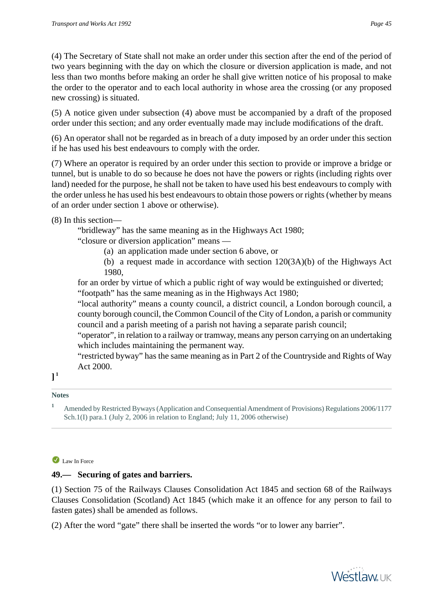(4) The Secretary of State shall not make an order under this section after the end of the period of two years beginning with the day on which the closure or diversion application is made, and not less than two months before making an order he shall give written notice of his proposal to make the order to the operator and to each local authority in whose area the crossing (or any proposed new crossing) is situated.

(5) A notice given under subsection (4) above must be accompanied by a draft of the proposed order under this section; and any order eventually made may include modifications of the draft.

(6) An operator shall not be regarded as in breach of a duty imposed by an order under this section if he has used his best endeavours to comply with the order.

(7) Where an operator is required by an order under this section to provide or improve a bridge or tunnel, but is unable to do so because he does not have the powers or rights (including rights over land) needed for the purpose, he shall not be taken to have used his best endeavours to comply with the order unless he has used his best endeavours to obtain those powers or rights (whether by means of an order under section 1 above or otherwise).

# (8) In this section—

"bridleway" has the same meaning as in the Highways Act 1980;

"closure or diversion application" means —

(a) an application made under section 6 above, or

(b) a request made in accordance with section 120(3A)(b) of the Highways Act 1980,

for an order by virtue of which a public right of way would be extinguished or diverted; "footpath" has the same meaning as in the Highways Act 1980;

"local authority" means a county council, a district council, a London borough council, a county borough council, the Common Council of the City of London, a parish or community council and a parish meeting of a parish not having a separate parish council;

"operator", in relation to a railway or tramway, means any person carrying on an undertaking which includes maintaining the permanent way.

"restricted byway" has the same meaning as in Part 2 of the Countryside and Rights of Way Act 2000.

# **] 1**

### **Notes**

**<sup>1</sup>** Amended by Restricted Byways (Application and Consequential Amendment of Provisions) Regulations 2006/1177 Sch.1(I) para.1 (July 2, 2006 in relation to England; July 11, 2006 otherwise)

# Law In Force

# **49.— Securing of gates and barriers.**

(1) Section 75 of the Railways Clauses Consolidation Act 1845 and section 68 of the Railways Clauses Consolidation (Scotland) Act 1845 (which make it an offence for any person to fail to fasten gates) shall be amended as follows.

(2) After the word "gate" there shall be inserted the words "or to lower any barrier".

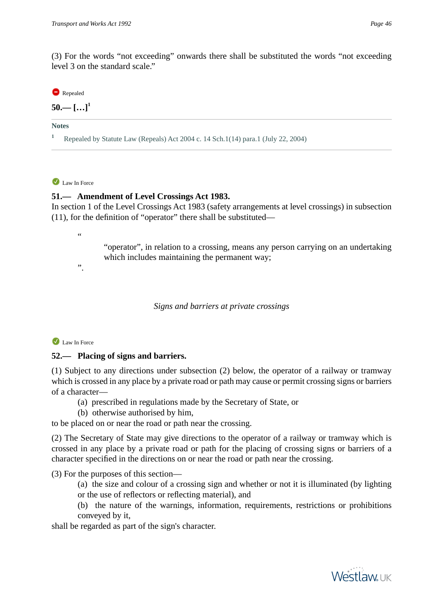level 3 on the standard scale."

### Repealed

 $50 -$  [...]<sup>1</sup>

**Notes**

**<sup>1</sup>** Repealed by Statute Law (Repeals) Act 2004 c. 14 Sch.1(14) para.1 (July 22, 2004)

### I aw In Force

# **51.— Amendment of Level Crossings Act 1983.**

In section 1 of the Level Crossings Act 1983 (safety arrangements at level crossings) in subsection (11), for the definition of "operator" there shall be substituted—

"

".

"operator", in relation to a crossing, means any person carrying on an undertaking which includes maintaining the permanent way;

*Signs and barriers at private crossings*

### Law In Force

### **52.— Placing of signs and barriers.**

(1) Subject to any directions under subsection (2) below, the operator of a railway or tramway which is crossed in any place by a private road or path may cause or permit crossing signs or barriers of a character—

- (a) prescribed in regulations made by the Secretary of State, or
- (b) otherwise authorised by him,

to be placed on or near the road or path near the crossing.

(2) The Secretary of State may give directions to the operator of a railway or tramway which is crossed in any place by a private road or path for the placing of crossing signs or barriers of a character specified in the directions on or near the road or path near the crossing.

(3) For the purposes of this section—

(a) the size and colour of a crossing sign and whether or not it is illuminated (by lighting or the use of reflectors or reflecting material), and

(b) the nature of the warnings, information, requirements, restrictions or prohibitions conveyed by it,

shall be regarded as part of the sign's character.

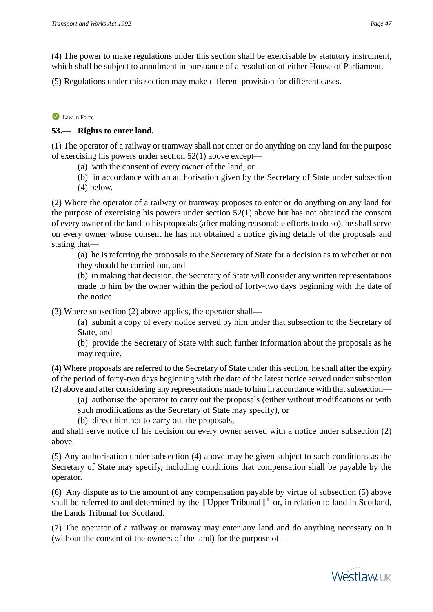(4) The power to make regulations under this section shall be exercisable by statutory instrument, which shall be subject to annulment in pursuance of a resolution of either House of Parliament.

(5) Regulations under this section may make different provision for different cases.

### Law In Force

## **53.— Rights to enter land.**

(1) The operator of a railway or tramway shall not enter or do anything on any land for the purpose of exercising his powers under section 52(1) above except—

- (a) with the consent of every owner of the land, or
- (b) in accordance with an authorisation given by the Secretary of State under subsection
- (4) below.

(2) Where the operator of a railway or tramway proposes to enter or do anything on any land for the purpose of exercising his powers under section 52(1) above but has not obtained the consent of every owner of the land to his proposals (after making reasonable efforts to do so), he shall serve on every owner whose consent he has not obtained a notice giving details of the proposals and stating that—

(a) he is referring the proposals to the Secretary of State for a decision as to whether or not they should be carried out, and

(b) in making that decision, the Secretary of State will consider any written representations made to him by the owner within the period of forty-two days beginning with the date of the notice.

(3) Where subsection (2) above applies, the operator shall—

(a) submit a copy of every notice served by him under that subsection to the Secretary of State, and

(b) provide the Secretary of State with such further information about the proposals as he may require.

(4) Where proposals are referred to the Secretary of State under this section, he shall after the expiry of the period of forty-two days beginning with the date of the latest notice served under subsection (2) above and after considering any representations made to him in accordance with that subsection—

- (a) authorise the operator to carry out the proposals (either without modifications or with such modifications as the Secretary of State may specify), or
- (b) direct him not to carry out the proposals,

and shall serve notice of his decision on every owner served with a notice under subsection (2) above.

(5) Any authorisation under subsection (4) above may be given subject to such conditions as the Secretary of State may specify, including conditions that compensation shall be payable by the operator.

(6) Any dispute as to the amount of any compensation payable by virtue of subsection (5) above shall be referred to and determined by the **[** Upper Tribunal **] 1** or, in relation to land in Scotland, the Lands Tribunal for Scotland.

(7) The operator of a railway or tramway may enter any land and do anything necessary on it (without the consent of the owners of the land) for the purpose of—

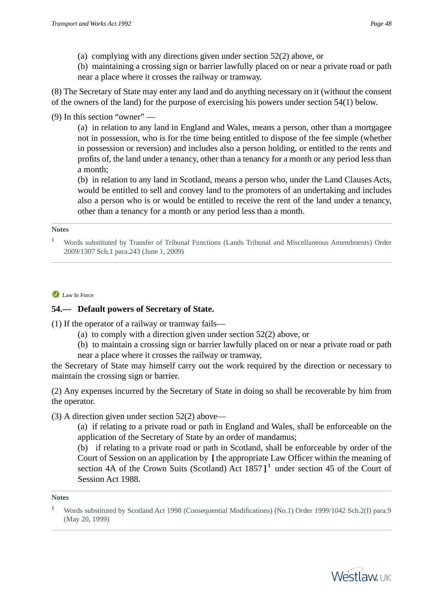- (a) complying with any directions given under section 52(2) above, or
- (b) maintaining a crossing sign or barrier lawfully placed on or near a private road or path near a place where it crosses the railway or tramway.

(8) The Secretary of State may enter any land and do anything necessary on it (without the consent of the owners of the land) for the purpose of exercising his powers under section 54(1) below.

(9) In this section "owner" —

(a) in relation to any land in England and Wales, means a person, other than a mortgagee not in possession, who is for the time being entitled to dispose of the fee simple (whether in possession or reversion) and includes also a person holding, or entitled to the rents and profits of, the land under a tenancy, other than a tenancy for a month or any period less than a month;

(b) in relation to any land in Scotland, means a person who, under the Land Clauses Acts, would be entitled to sell and convey land to the promoters of an undertaking and includes also a person who is or would be entitled to receive the rent of the land under a tenancy, other than a tenancy for a month or any period less than a month.

#### **Notes**

#### Law In Force

## **54.— Default powers of Secretary of State.**

(1) If the operator of a railway or tramway fails—

- (a) to comply with a direction given under section 52(2) above, or
- (b) to maintain a crossing sign or barrier lawfully placed on or near a private road or path
- near a place where it crosses the railway or tramway,

the Secretary of State may himself carry out the work required by the direction or necessary to maintain the crossing sign or barrier.

(2) Any expenses incurred by the Secretary of State in doing so shall be recoverable by him from the operator.

(3) A direction given under section 52(2) above—

(a) if relating to a private road or path in England and Wales, shall be enforceable on the application of the Secretary of State by an order of mandamus;

(b) if relating to a private road or path in Scotland, shall be enforceable by order of the Court of Session on an application by **[** the appropriate Law Officer within the meaning of section 4A of the Crown Suits (Scotland) Act 1857 **] 1** under section 45 of the Court of Session Act 1988.

#### **Notes**



**<sup>1</sup>** Words substituted by Transfer of Tribunal Functions (Lands Tribunal and Miscellaneous Amendments) Order 2009/1307 Sch.1 para.243 (June 1, 2009)

**<sup>1</sup>** Words substituted by Scotland Act 1998 (Consequential Modifications) (No.1) Order 1999/1042 Sch.2(I) para.9 (May 20, 1999)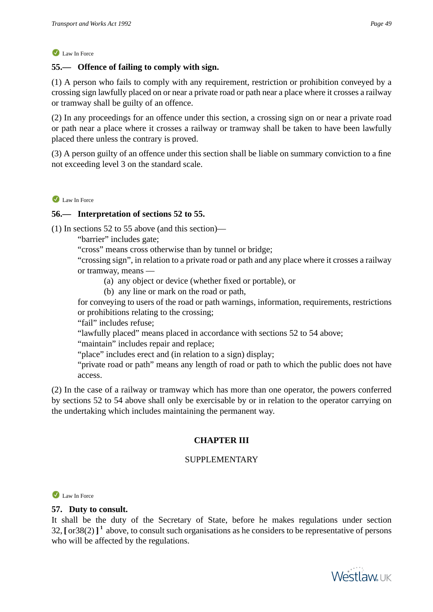# **55.— Offence of failing to comply with sign.**

(1) A person who fails to comply with any requirement, restriction or prohibition conveyed by a crossing sign lawfully placed on or near a private road or path near a place where it crosses a railway or tramway shall be guilty of an offence.

(2) In any proceedings for an offence under this section, a crossing sign on or near a private road or path near a place where it crosses a railway or tramway shall be taken to have been lawfully placed there unless the contrary is proved.

(3) A person guilty of an offence under this section shall be liable on summary conviction to a fine not exceeding level 3 on the standard scale.

Law In Force

## **56.— Interpretation of sections 52 to 55.**

(1) In sections 52 to 55 above (and this section)—

"barrier" includes gate;

"cross" means cross otherwise than by tunnel or bridge;

"crossing sign", in relation to a private road or path and any place where it crosses a railway or tramway, means —

- (a) any object or device (whether fixed or portable), or
- (b) any line or mark on the road or path,

for conveying to users of the road or path warnings, information, requirements, restrictions or prohibitions relating to the crossing;

"fail" includes refuse;

"lawfully placed" means placed in accordance with sections 52 to 54 above;

"maintain" includes repair and replace;

"place" includes erect and (in relation to a sign) display;

"private road or path" means any length of road or path to which the public does not have access.

(2) In the case of a railway or tramway which has more than one operator, the powers conferred by sections 52 to 54 above shall only be exercisable by or in relation to the operator carrying on the undertaking which includes maintaining the permanent way.

# **CHAPTER III**

# SUPPLEMENTARY

Law In Force

### **57. Duty to consult.**

It shall be the duty of the Secretary of State, before he makes regulations under section 32, **[** or38(2) **] 1** above, to consult such organisations as he considers to be representative of persons who will be affected by the regulations.

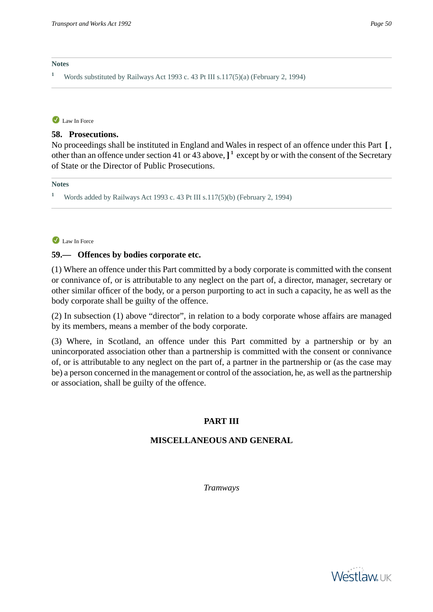#### **Notes**

**<sup>1</sup>** Words substituted by Railways Act 1993 c. 43 Pt III s.117(5)(a) (February 2, 1994)

#### Law In Force

#### **58. Prosecutions.**

No proceedings shall be instituted in England and Wales in respect of an offence under this Part **[** , other than an offence under section 41 or 43 above,**] 1** except by or with the consent of the Secretary of State or the Director of Public Prosecutions.

#### **Notes**

**<sup>1</sup>** Words added by Railways Act 1993 c. 43 Pt III s.117(5)(b) (February 2, 1994)

#### Law In Force

#### **59.— Offences by bodies corporate etc.**

(1) Where an offence under this Part committed by a body corporate is committed with the consent or connivance of, or is attributable to any neglect on the part of, a director, manager, secretary or other similar officer of the body, or a person purporting to act in such a capacity, he as well as the body corporate shall be guilty of the offence.

(2) In subsection (1) above "director", in relation to a body corporate whose affairs are managed by its members, means a member of the body corporate.

(3) Where, in Scotland, an offence under this Part committed by a partnership or by an unincorporated association other than a partnership is committed with the consent or connivance of, or is attributable to any neglect on the part of, a partner in the partnership or (as the case may be) a person concerned in the management or control of the association, he, as well as the partnership or association, shall be guilty of the offence.

# **PART III**

### **MISCELLANEOUS AND GENERAL**

*Tramways*

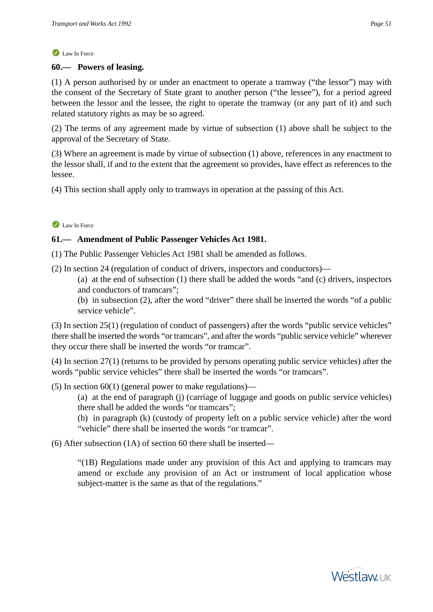## **60.— Powers of leasing.**

(1) A person authorised by or under an enactment to operate a tramway ("the lessor") may with the consent of the Secretary of State grant to another person ("the lessee"), for a period agreed between the lessor and the lessee, the right to operate the tramway (or any part of it) and such related statutory rights as may be so agreed.

(2) The terms of any agreement made by virtue of subsection (1) above shall be subject to the approval of the Secretary of State.

(3) Where an agreement is made by virtue of subsection (1) above, references in any enactment to the lessor shall, if and to the extent that the agreement so provides, have effect as references to the lessee.

(4) This section shall apply only to tramways in operation at the passing of this Act.

## Law In Force

## **61.— Amendment of Public Passenger Vehicles Act 1981.**

(1) The Public Passenger Vehicles Act 1981 shall be amended as follows.

(2) In section 24 (regulation of conduct of drivers, inspectors and conductors)—

(a) at the end of subsection (1) there shall be added the words "and (c) drivers, inspectors and conductors of tramcars";

(b) in subsection (2), after the word "driver" there shall be inserted the words "of a public service vehicle".

(3) In section 25(1) (regulation of conduct of passengers) after the words "public service vehicles" there shall be inserted the words "or tramcars", and after the words "public service vehicle" wherever they occur there shall be inserted the words "or tramcar".

(4) In section 27(1) (returns to be provided by persons operating public service vehicles) after the words "public service vehicles" there shall be inserted the words "or tramcars".

(5) In section  $60(1)$  (general power to make regulations)—

(a) at the end of paragraph (j) (carriage of luggage and goods on public service vehicles) there shall be added the words "or tramcars";

(b) in paragraph (k) (custody of property left on a public service vehicle) after the word "vehicle" there shall be inserted the words "or tramcar".

(6) After subsection (1A) of section 60 there shall be inserted—

"(1B) Regulations made under any provision of this Act and applying to tramcars may amend or exclude any provision of an Act or instrument of local application whose subject-matter is the same as that of the regulations."

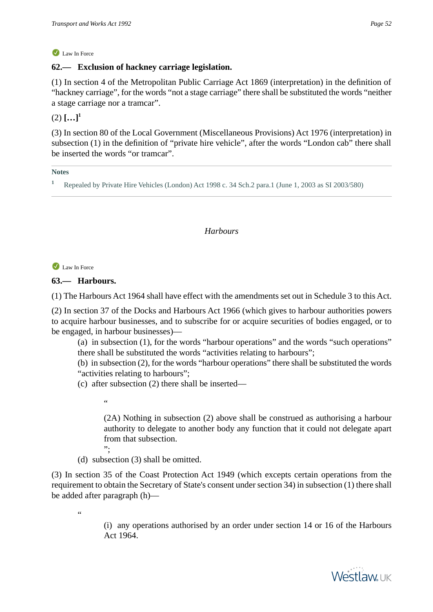# **62.— Exclusion of hackney carriage legislation.**

(1) In section 4 of the Metropolitan Public Carriage Act 1869 (interpretation) in the definition of "hackney carriage", for the words "not a stage carriage" there shall be substituted the words "neither a stage carriage nor a tramcar".

# $(2)$   $[...]$ <sup>1</sup>

(3) In section 80 of the Local Government (Miscellaneous Provisions) Act 1976 (interpretation) in subsection (1) in the definition of "private hire vehicle", after the words "London cab" there shall be inserted the words "or tramcar".

#### **Notes**

**<sup>1</sup>** Repealed by Private Hire Vehicles (London) Act 1998 c. 34 Sch.2 para.1 (June 1, 2003 as SI 2003/580)

### *Harbours*

Law In Force

**63.— Harbours.**

(1) The Harbours Act 1964 shall have effect with the amendments set out in Schedule 3 to this Act.

(2) In section 37 of the Docks and Harbours Act 1966 (which gives to harbour authorities powers to acquire harbour businesses, and to subscribe for or acquire securities of bodies engaged, or to be engaged, in harbour businesses)—

(a) in subsection (1), for the words "harbour operations" and the words "such operations" there shall be substituted the words "activities relating to harbours";

(b) in subsection (2), for the words "harbour operations" there shall be substituted the words "activities relating to harbours";

(c) after subsection (2) there shall be inserted—

"

(2A) Nothing in subsection (2) above shall be construed as authorising a harbour authority to delegate to another body any function that it could not delegate apart from that subsection.

";

(d) subsection (3) shall be omitted.

(3) In section 35 of the Coast Protection Act 1949 (which excepts certain operations from the requirement to obtain the Secretary of State's consent under section 34) in subsection (1) there shall be added after paragraph (h)—

"

(i) any operations authorised by an order under section 14 or 16 of the Harbours Act 1964.

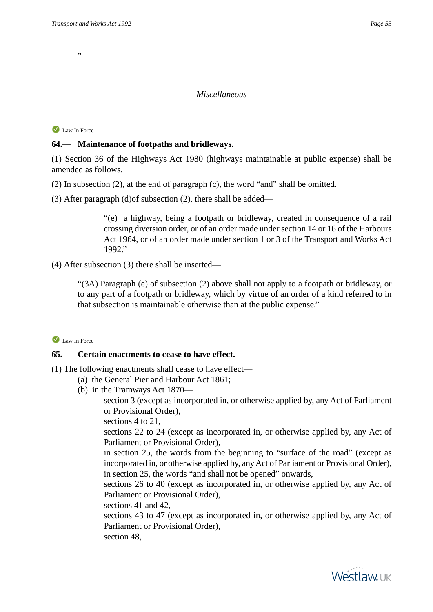,,

## *Miscellaneous*

Law In Force

## **64.— Maintenance of footpaths and bridleways.**

(1) Section 36 of the Highways Act 1980 (highways maintainable at public expense) shall be amended as follows.

- (2) In subsection (2), at the end of paragraph (c), the word "and" shall be omitted.
- (3) After paragraph (d)of subsection (2), there shall be added—

"(e) a highway, being a footpath or bridleway, created in consequence of a rail crossing diversion order, or of an order made under section 14 or 16 of the Harbours Act 1964, or of an order made under section 1 or 3 of the Transport and Works Act 1992."

(4) After subsection (3) there shall be inserted—

"(3A) Paragraph (e) of subsection (2) above shall not apply to a footpath or bridleway, or to any part of a footpath or bridleway, which by virtue of an order of a kind referred to in that subsection is maintainable otherwise than at the public expense."

### Law In Force

## **65.— Certain enactments to cease to have effect.**

- (1) The following enactments shall cease to have effect—
	- (a) the General Pier and Harbour Act 1861;
		- (b) in the Tramways Act 1870—

section 3 (except as incorporated in, or otherwise applied by, any Act of Parliament or Provisional Order),

sections 4 to 21,

sections 22 to 24 (except as incorporated in, or otherwise applied by, any Act of Parliament or Provisional Order),

in section 25, the words from the beginning to "surface of the road" (except as incorporated in, or otherwise applied by, any Act of Parliament or Provisional Order), in section 25, the words "and shall not be opened" onwards,

sections 26 to 40 (except as incorporated in, or otherwise applied by, any Act of Parliament or Provisional Order),

sections 41 and 42,

sections 43 to 47 (except as incorporated in, or otherwise applied by, any Act of Parliament or Provisional Order),

section 48,

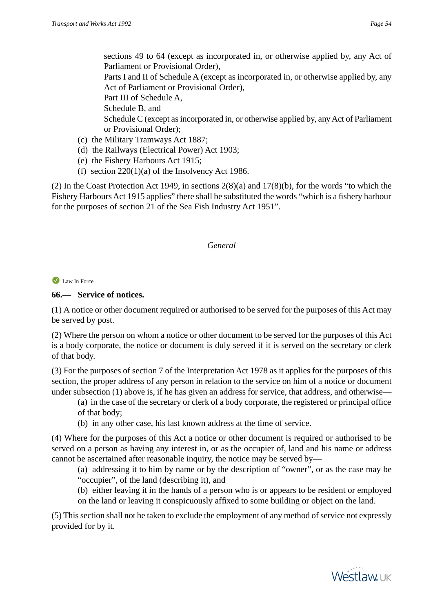sections 49 to 64 (except as incorporated in, or otherwise applied by, any Act of Parliament or Provisional Order),

Parts I and II of Schedule A (except as incorporated in, or otherwise applied by, any Act of Parliament or Provisional Order),

Part III of Schedule A,

Schedule B, and

Schedule C (except as incorporated in, or otherwise applied by, any Act of Parliament or Provisional Order);

- (c) the Military Tramways Act 1887;
- (d) the Railways (Electrical Power) Act 1903;
- (e) the Fishery Harbours Act 1915;
- (f) section  $220(1)(a)$  of the Insolvency Act 1986.

(2) In the Coast Protection Act 1949, in sections 2(8)(a) and 17(8)(b), for the words "to which the Fishery Harbours Act 1915 applies" there shall be substituted the words "which is a fishery harbour for the purposes of section 21 of the Sea Fish Industry Act 1951".

# *General*

## Law In Force

# **66.— Service of notices.**

(1) A notice or other document required or authorised to be served for the purposes of this Act may be served by post.

(2) Where the person on whom a notice or other document to be served for the purposes of this Act is a body corporate, the notice or document is duly served if it is served on the secretary or clerk of that body.

(3) For the purposes of section 7 of the Interpretation Act 1978 as it applies for the purposes of this section, the proper address of any person in relation to the service on him of a notice or document under subsection (1) above is, if he has given an address for service, that address, and otherwise—

(a) in the case of the secretary or clerk of a body corporate, the registered or principal office of that body;

(b) in any other case, his last known address at the time of service.

(4) Where for the purposes of this Act a notice or other document is required or authorised to be served on a person as having any interest in, or as the occupier of, land and his name or address cannot be ascertained after reasonable inquiry, the notice may be served by—

(a) addressing it to him by name or by the description of "owner", or as the case may be "occupier", of the land (describing it), and

(b) either leaving it in the hands of a person who is or appears to be resident or employed on the land or leaving it conspicuously affixed to some building or object on the land.

(5) This section shall not be taken to exclude the employment of any method of service not expressly provided for by it.

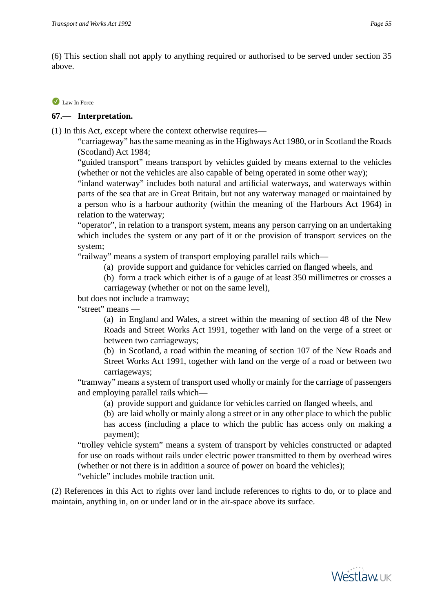(6) This section shall not apply to anything required or authorised to be served under section 35 above.

### Law In Force

# **67.— Interpretation.**

(1) In this Act, except where the context otherwise requires—

"carriageway" has the same meaning as in the Highways Act 1980, or in Scotland the Roads (Scotland) Act 1984;

"guided transport" means transport by vehicles guided by means external to the vehicles (whether or not the vehicles are also capable of being operated in some other way);

"inland waterway" includes both natural and artificial waterways, and waterways within parts of the sea that are in Great Britain, but not any waterway managed or maintained by a person who is a harbour authority (within the meaning of the Harbours Act 1964) in relation to the waterway;

"operator", in relation to a transport system, means any person carrying on an undertaking which includes the system or any part of it or the provision of transport services on the system;

"railway" means a system of transport employing parallel rails which—

(a) provide support and guidance for vehicles carried on flanged wheels, and

(b) form a track which either is of a gauge of at least 350 millimetres or crosses a carriageway (whether or not on the same level),

but does not include a tramway;

"street" means —

(a) in England and Wales, a street within the meaning of section 48 of the New Roads and Street Works Act 1991, together with land on the verge of a street or between two carriageways;

(b) in Scotland, a road within the meaning of section 107 of the New Roads and Street Works Act 1991, together with land on the verge of a road or between two carriageways;

"tramway" means a system of transport used wholly or mainly for the carriage of passengers and employing parallel rails which—

(a) provide support and guidance for vehicles carried on flanged wheels, and

(b) are laid wholly or mainly along a street or in any other place to which the public has access (including a place to which the public has access only on making a payment);

"trolley vehicle system" means a system of transport by vehicles constructed or adapted for use on roads without rails under electric power transmitted to them by overhead wires (whether or not there is in addition a source of power on board the vehicles);

"vehicle" includes mobile traction unit.

(2) References in this Act to rights over land include references to rights to do, or to place and maintain, anything in, on or under land or in the air-space above its surface.

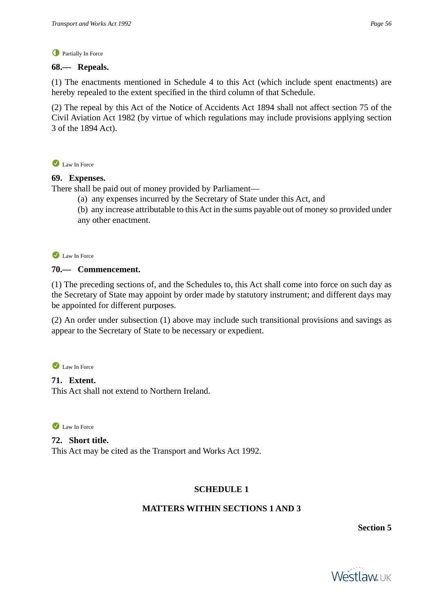### **C** Partially In Force

## **68.— Repeals.**

(1) The enactments mentioned in Schedule 4 to this Act (which include spent enactments) are hereby repealed to the extent specified in the third column of that Schedule.

(2) The repeal by this Act of the Notice of Accidents Act 1894 shall not affect section 75 of the Civil Aviation Act 1982 (by virtue of which regulations may include provisions applying section 3 of the 1894 Act).

Law In Force

## **69. Expenses.**

There shall be paid out of money provided by Parliament—

- (a) any expenses incurred by the Secretary of State under this Act, and
- (b) any increase attributable to this Act in the sums payable out of money so provided under any other enactment.

Law In Force

# **70.— Commencement.**

(1) The preceding sections of, and the Schedules to, this Act shall come into force on such day as the Secretary of State may appoint by order made by statutory instrument; and different days may be appointed for different purposes.

(2) An order under subsection (1) above may include such transitional provisions and savings as appear to the Secretary of State to be necessary or expedient.

Law In Force

# **71. Extent.**

This Act shall not extend to Northern Ireland.

Law In Force

**72. Short title.** This Act may be cited as the Transport and Works Act 1992.

# **SCHEDULE 1**

# **MATTERS WITHIN SECTIONS 1 AND 3**

**Section 5**

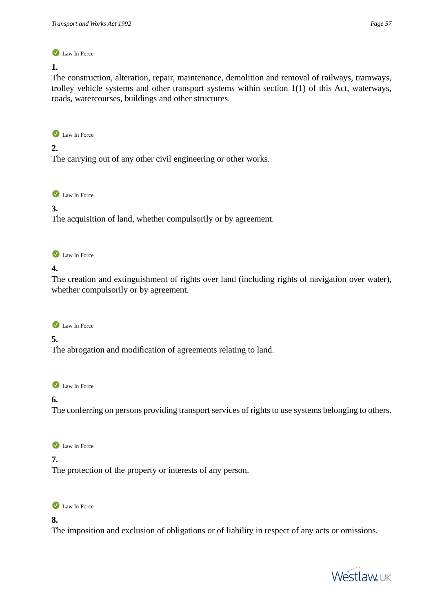#### **1.**

The construction, alteration, repair, maintenance, demolition and removal of railways, tramways, trolley vehicle systems and other transport systems within section 1(1) of this Act, waterways, roads, watercourses, buildings and other structures.

Law In Force

### **2.**

The carrying out of any other civil engineering or other works.

Law In Force

## **3.**

The acquisition of land, whether compulsorily or by agreement.

Law In Force

## **4.**

The creation and extinguishment of rights over land (including rights of navigation over water), whether compulsorily or by agreement.

## Law In Force

# **5.**

The abrogation and modification of agreements relating to land.

Law In Force

# **6.**

The conferring on persons providing transport services of rights to use systems belonging to others.

Law In Force

## **7.**

The protection of the property or interests of any person.



### **8.**

The imposition and exclusion of obligations or of liability in respect of any acts or omissions.

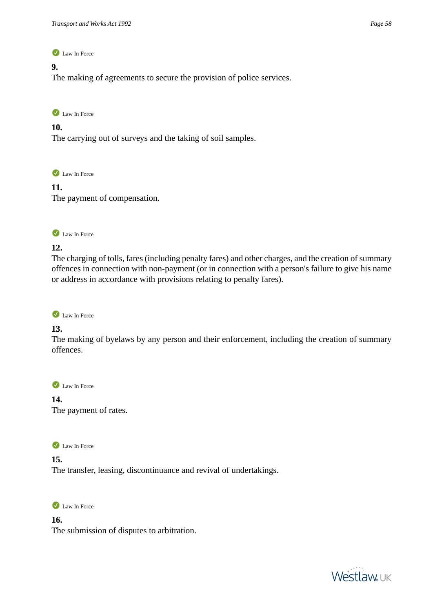### **9.**

The making of agreements to secure the provision of police services.

Law In Force

#### **10.**

The carrying out of surveys and the taking of soil samples.

Law In Force

**11.**  The payment of compensation.



### **12.**

The charging of tolls, fares (including penalty fares) and other charges, and the creation of summary offences in connection with non-payment (or in connection with a person's failure to give his name or address in accordance with provisions relating to penalty fares).

Law In Force

### **13.**

The making of byelaws by any person and their enforcement, including the creation of summary offences.

Law In Force

**14.**  The payment of rates.

Law In Force

**15.**  The transfer, leasing, discontinuance and revival of undertakings.

Law In Force

**16.**  The submission of disputes to arbitration.

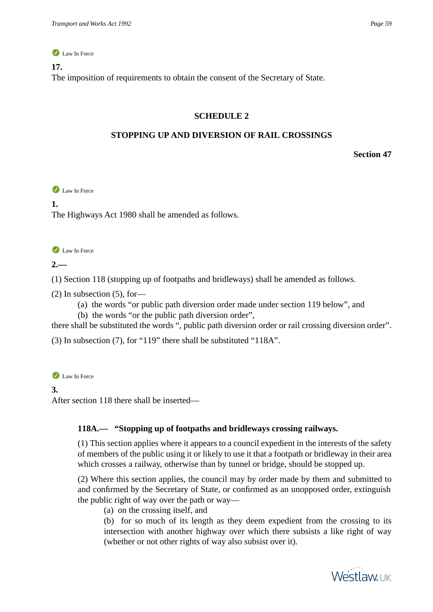#### **17.**

The imposition of requirements to obtain the consent of the Secretary of State.

#### **SCHEDULE 2**

#### **STOPPING UP AND DIVERSION OF RAIL CROSSINGS**

**Section 47**

Law In Force

**1.** 

The Highways Act 1980 shall be amended as follows.

Law In Force

### **2.—**

(1) Section 118 (stopping up of footpaths and bridleways) shall be amended as follows.

(2) In subsection (5), for—

(a) the words "or public path diversion order made under section 119 below", and

(b) the words "or the public path diversion order",

there shall be substituted the words ", public path diversion order or rail crossing diversion order".

(3) In subsection (7), for "119" there shall be substituted "118A".

Law In Force

#### **3.**

After section 118 there shall be inserted—

### **118A.— "Stopping up of footpaths and bridleways crossing railways.**

(1) This section applies where it appears to a council expedient in the interests of the safety of members of the public using it or likely to use it that a footpath or bridleway in their area which crosses a railway, otherwise than by tunnel or bridge, should be stopped up.

(2) Where this section applies, the council may by order made by them and submitted to and confirmed by the Secretary of State, or confirmed as an unopposed order, extinguish the public right of way over the path or way—

(a) on the crossing itself, and

(b) for so much of its length as they deem expedient from the crossing to its intersection with another highway over which there subsists a like right of way (whether or not other rights of way also subsist over it).

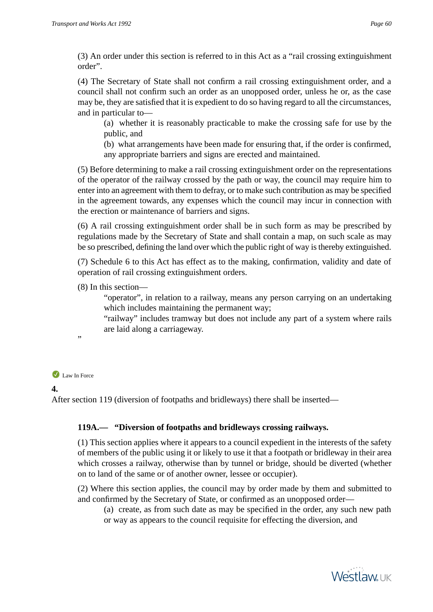(3) An order under this section is referred to in this Act as a "rail crossing extinguishment order".

(4) The Secretary of State shall not confirm a rail crossing extinguishment order, and a council shall not confirm such an order as an unopposed order, unless he or, as the case may be, they are satisfied that it is expedient to do so having regard to all the circumstances, and in particular to—

(a) whether it is reasonably practicable to make the crossing safe for use by the public, and

(b) what arrangements have been made for ensuring that, if the order is confirmed, any appropriate barriers and signs are erected and maintained.

(5) Before determining to make a rail crossing extinguishment order on the representations of the operator of the railway crossed by the path or way, the council may require him to enter into an agreement with them to defray, or to make such contribution as may be specified in the agreement towards, any expenses which the council may incur in connection with the erection or maintenance of barriers and signs.

(6) A rail crossing extinguishment order shall be in such form as may be prescribed by regulations made by the Secretary of State and shall contain a map, on such scale as may be so prescribed, defining the land over which the public right of way is thereby extinguished.

(7) Schedule 6 to this Act has effect as to the making, confirmation, validity and date of operation of rail crossing extinguishment orders.

(8) In this section—

"operator", in relation to a railway, means any person carrying on an undertaking which includes maintaining the permanent way;

"railway" includes tramway but does not include any part of a system where rails are laid along a carriageway.

"

# Law In Force

### **4.**

After section 119 (diversion of footpaths and bridleways) there shall be inserted—

# **119A.— "Diversion of footpaths and bridleways crossing railways.**

(1) This section applies where it appears to a council expedient in the interests of the safety of members of the public using it or likely to use it that a footpath or bridleway in their area which crosses a railway, otherwise than by tunnel or bridge, should be diverted (whether on to land of the same or of another owner, lessee or occupier).

(2) Where this section applies, the council may by order made by them and submitted to and confirmed by the Secretary of State, or confirmed as an unopposed order—

(a) create, as from such date as may be specified in the order, any such new path or way as appears to the council requisite for effecting the diversion, and

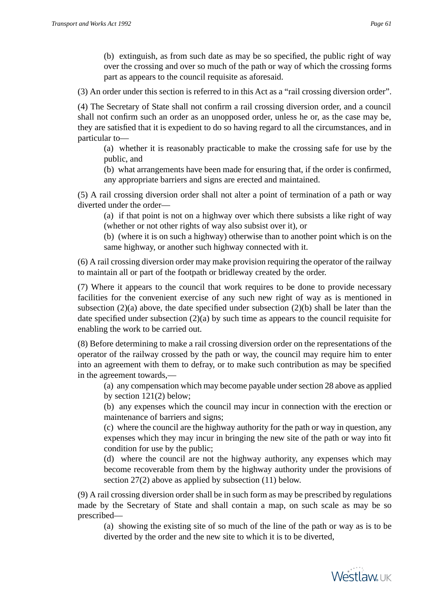(b) extinguish, as from such date as may be so specified, the public right of way over the crossing and over so much of the path or way of which the crossing forms part as appears to the council requisite as aforesaid.

(3) An order under this section is referred to in this Act as a "rail crossing diversion order".

(4) The Secretary of State shall not confirm a rail crossing diversion order, and a council shall not confirm such an order as an unopposed order, unless he or, as the case may be, they are satisfied that it is expedient to do so having regard to all the circumstances, and in particular to—

(a) whether it is reasonably practicable to make the crossing safe for use by the public, and

(b) what arrangements have been made for ensuring that, if the order is confirmed, any appropriate barriers and signs are erected and maintained.

(5) A rail crossing diversion order shall not alter a point of termination of a path or way diverted under the order—

(a) if that point is not on a highway over which there subsists a like right of way (whether or not other rights of way also subsist over it), or

(b) (where it is on such a highway) otherwise than to another point which is on the same highway, or another such highway connected with it.

(6) A rail crossing diversion order may make provision requiring the operator of the railway to maintain all or part of the footpath or bridleway created by the order.

(7) Where it appears to the council that work requires to be done to provide necessary facilities for the convenient exercise of any such new right of way as is mentioned in subsection  $(2)(a)$  above, the date specified under subsection  $(2)(b)$  shall be later than the date specified under subsection (2)(a) by such time as appears to the council requisite for enabling the work to be carried out.

(8) Before determining to make a rail crossing diversion order on the representations of the operator of the railway crossed by the path or way, the council may require him to enter into an agreement with them to defray, or to make such contribution as may be specified in the agreement towards,—

(a) any compensation which may become payable under section 28 above as applied by section 121(2) below;

(b) any expenses which the council may incur in connection with the erection or maintenance of barriers and signs;

(c) where the council are the highway authority for the path or way in question, any expenses which they may incur in bringing the new site of the path or way into fit condition for use by the public;

(d) where the council are not the highway authority, any expenses which may become recoverable from them by the highway authority under the provisions of section 27(2) above as applied by subsection (11) below.

(9) A rail crossing diversion order shall be in such form as may be prescribed by regulations made by the Secretary of State and shall contain a map, on such scale as may be so prescribed—

(a) showing the existing site of so much of the line of the path or way as is to be diverted by the order and the new site to which it is to be diverted,

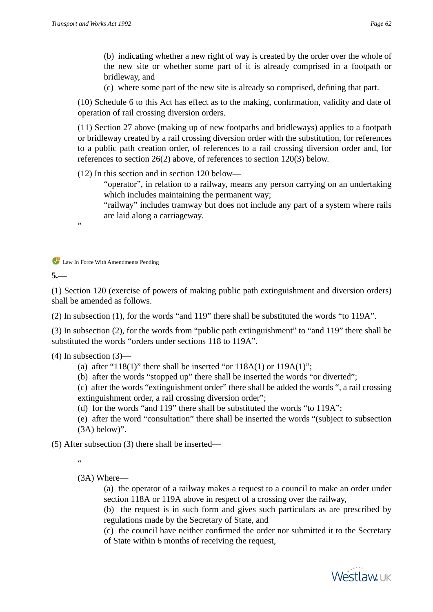(b) indicating whether a new right of way is created by the order over the whole of the new site or whether some part of it is already comprised in a footpath or bridleway, and

(c) where some part of the new site is already so comprised, defining that part.

(10) Schedule 6 to this Act has effect as to the making, confirmation, validity and date of operation of rail crossing diversion orders.

(11) Section 27 above (making up of new footpaths and bridleways) applies to a footpath or bridleway created by a rail crossing diversion order with the substitution, for references to a public path creation order, of references to a rail crossing diversion order and, for references to section 26(2) above, of references to section 120(3) below.

(12) In this section and in section 120 below—

"operator", in relation to a railway, means any person carrying on an undertaking which includes maintaining the permanent way;

"railway" includes tramway but does not include any part of a system where rails are laid along a carriageway.

,,

**C** Law In Force With Amendments Pending

**5.—** 

(1) Section 120 (exercise of powers of making public path extinguishment and diversion orders) shall be amended as follows.

(2) In subsection (1), for the words "and 119" there shall be substituted the words "to 119A".

(3) In subsection (2), for the words from "public path extinguishment" to "and 119" there shall be substituted the words "orders under sections 118 to 119A".

 $(4)$  In subsection  $(3)$ —

- (a) after "118(1)" there shall be inserted "or  $118A(1)$  or  $119A(1)$ ";
- (b) after the words "stopped up" there shall be inserted the words "or diverted";

(c) after the words "extinguishment order" there shall be added the words ", a rail crossing extinguishment order, a rail crossing diversion order";

(d) for the words "and 119" there shall be substituted the words "to 119A";

(e) after the word "consultation" there shall be inserted the words "(subject to subsection (3A) below)".

(5) After subsection (3) there shall be inserted—

.<br>44

(3A) Where—

(a) the operator of a railway makes a request to a council to make an order under section 118A or 119A above in respect of a crossing over the railway,

(b) the request is in such form and gives such particulars as are prescribed by regulations made by the Secretary of State, and

(c) the council have neither confirmed the order nor submitted it to the Secretary of State within 6 months of receiving the request,

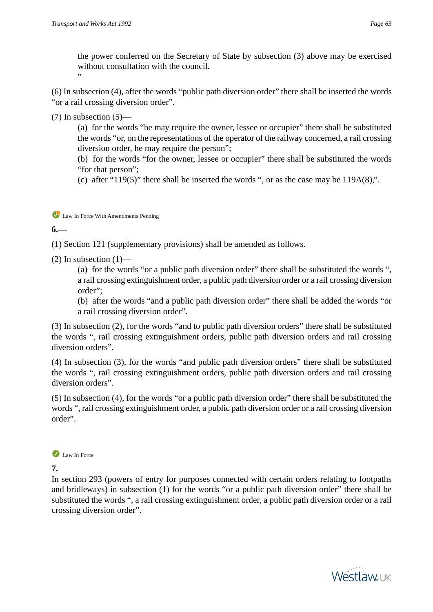the power conferred on the Secretary of State by subsection (3) above may be exercised without consultation with the council.

(6) In subsection (4), after the words "public path diversion order" there shall be inserted the words "or a rail crossing diversion order".

 $(7)$  In subsection  $(5)$ —

"

(a) for the words "he may require the owner, lessee or occupier" there shall be substituted the words "or, on the representations of the operator of the railway concerned, a rail crossing diversion order, he may require the person";

(b) for the words "for the owner, lessee or occupier" there shall be substituted the words "for that person";

(c) after "119(5)" there shall be inserted the words ", or as the case may be  $119A(8)$ ".

Law In Force With Amendments Pending

**6.—** 

(1) Section 121 (supplementary provisions) shall be amended as follows.

 $(2)$  In subsection  $(1)$ —

(a) for the words "or a public path diversion order" there shall be substituted the words ", a rail crossing extinguishment order, a public path diversion order or a rail crossing diversion order";

(b) after the words "and a public path diversion order" there shall be added the words "or a rail crossing diversion order".

(3) In subsection (2), for the words "and to public path diversion orders" there shall be substituted the words ", rail crossing extinguishment orders, public path diversion orders and rail crossing diversion orders".

(4) In subsection (3), for the words "and public path diversion orders" there shall be substituted the words ", rail crossing extinguishment orders, public path diversion orders and rail crossing diversion orders".

(5) In subsection (4), for the words "or a public path diversion order" there shall be substituted the words ", rail crossing extinguishment order, a public path diversion order or a rail crossing diversion order".

Law In Force

**7.** 

In section 293 (powers of entry for purposes connected with certain orders relating to footpaths and bridleways) in subsection (1) for the words "or a public path diversion order" there shall be substituted the words ", a rail crossing extinguishment order, a public path diversion order or a rail crossing diversion order".

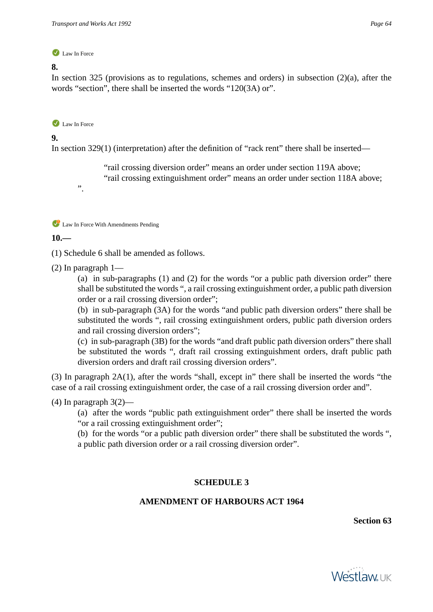#### **8.**

In section 325 (provisions as to regulations, schemes and orders) in subsection  $(2)(a)$ , after the words "section", there shall be inserted the words "120(3A) or".

#### Law In Force

".

### **9.**

In section 329(1) (interpretation) after the definition of "rack rent" there shall be inserted—

"rail crossing diversion order" means an order under section 119A above; "rail crossing extinguishment order" means an order under section 118A above;

Law In Force With Amendments Pending

### **10.—**

(1) Schedule 6 shall be amended as follows.

(2) In paragraph 1—

(a) in sub-paragraphs (1) and (2) for the words "or a public path diversion order" there shall be substituted the words ", a rail crossing extinguishment order, a public path diversion order or a rail crossing diversion order";

(b) in sub-paragraph (3A) for the words "and public path diversion orders" there shall be substituted the words ", rail crossing extinguishment orders, public path diversion orders and rail crossing diversion orders";

(c) in sub-paragraph (3B) for the words "and draft public path diversion orders" there shall be substituted the words ", draft rail crossing extinguishment orders, draft public path diversion orders and draft rail crossing diversion orders".

(3) In paragraph 2A(1), after the words "shall, except in" there shall be inserted the words "the case of a rail crossing extinguishment order, the case of a rail crossing diversion order and".

### $(4)$  In paragraph  $3(2)$ —

(a) after the words "public path extinguishment order" there shall be inserted the words "or a rail crossing extinguishment order";

(b) for the words "or a public path diversion order" there shall be substituted the words ", a public path diversion order or a rail crossing diversion order".

### **SCHEDULE 3**

### **AMENDMENT OF HARBOURS ACT 1964**

**Section 63**

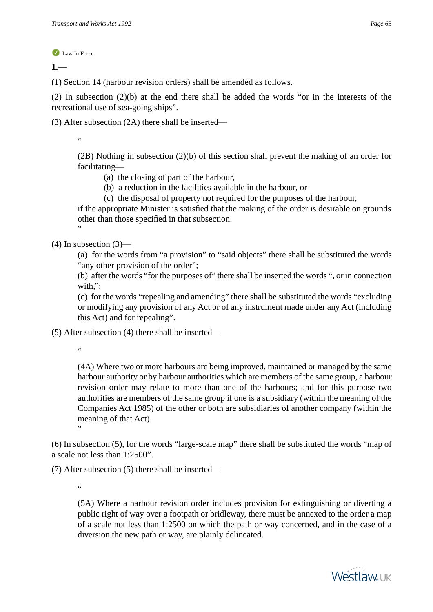**1.—** 

(1) Section 14 (harbour revision orders) shall be amended as follows.

(2) In subsection (2)(b) at the end there shall be added the words "or in the interests of the recreational use of sea-going ships".

(3) After subsection (2A) there shall be inserted—

"

(2B) Nothing in subsection (2)(b) of this section shall prevent the making of an order for facilitating—

- (a) the closing of part of the harbour,
- (b) a reduction in the facilities available in the harbour, or
- (c) the disposal of property not required for the purposes of the harbour,

if the appropriate Minister is satisfied that the making of the order is desirable on grounds other than those specified in that subsection. "

 $(4)$  In subsection  $(3)$ –

(a) for the words from "a provision" to "said objects" there shall be substituted the words "any other provision of the order";

(b) after the words "for the purposes of" there shall be inserted the words ", or in connection with.":

(c) for the words "repealing and amending" there shall be substituted the words "excluding or modifying any provision of any Act or of any instrument made under any Act (including this Act) and for repealing".

(5) After subsection (4) there shall be inserted—

"

(4A) Where two or more harbours are being improved, maintained or managed by the same harbour authority or by harbour authorities which are members of the same group, a harbour revision order may relate to more than one of the harbours; and for this purpose two authorities are members of the same group if one is a subsidiary (within the meaning of the Companies Act 1985) of the other or both are subsidiaries of another company (within the meaning of that Act).

(6) In subsection (5), for the words "large-scale map" there shall be substituted the words "map of a scale not less than 1:2500".

(7) After subsection (5) there shall be inserted—

 $\epsilon$ 

"

(5A) Where a harbour revision order includes provision for extinguishing or diverting a public right of way over a footpath or bridleway, there must be annexed to the order a map of a scale not less than 1:2500 on which the path or way concerned, and in the case of a diversion the new path or way, are plainly delineated.

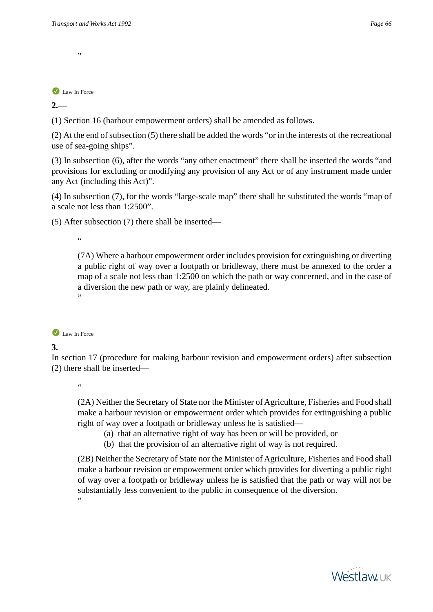**2.—** 

(1) Section 16 (harbour empowerment orders) shall be amended as follows.

(2) At the end of subsection (5) there shall be added the words "or in the interests of the recreational use of sea-going ships".

(3) In subsection (6), after the words "any other enactment" there shall be inserted the words "and provisions for excluding or modifying any provision of any Act or of any instrument made under any Act (including this Act)".

(4) In subsection (7), for the words "large-scale map" there shall be substituted the words "map of a scale not less than 1:2500".

(5) After subsection (7) there shall be inserted—

 $\epsilon$ 

(7A) Where a harbour empowerment order includes provision for extinguishing or diverting a public right of way over a footpath or bridleway, there must be annexed to the order a map of a scale not less than 1:2500 on which the path or way concerned, and in the case of a diversion the new path or way, are plainly delineated. "



# **3.**

In section 17 (procedure for making harbour revision and empowerment orders) after subsection (2) there shall be inserted—

"

(2A) Neither the Secretary of State nor the Minister of Agriculture, Fisheries and Food shall make a harbour revision or empowerment order which provides for extinguishing a public right of way over a footpath or bridleway unless he is satisfied—

- (a) that an alternative right of way has been or will be provided, or
- (b) that the provision of an alternative right of way is not required.

(2B) Neither the Secretary of State nor the Minister of Agriculture, Fisheries and Food shall make a harbour revision or empowerment order which provides for diverting a public right of way over a footpath or bridleway unless he is satisfied that the path or way will not be substantially less convenient to the public in consequence of the diversion. "

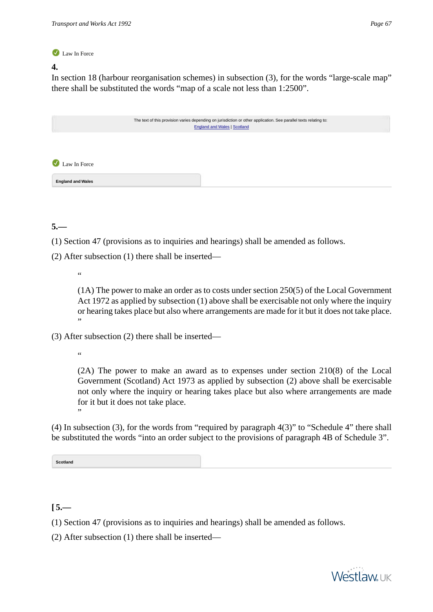## **4.**

In section 18 (harbour reorganisation schemes) in subsection (3), for the words "large-scale map" there shall be substituted the words "map of a scale not less than 1:2500".

<span id="page-66-0"></span>

|                                                   | The text of this provision varies depending on jurisdiction or other application. See parallel texts relating to:<br><b>England and Wales   Scotland</b> |  |
|---------------------------------------------------|----------------------------------------------------------------------------------------------------------------------------------------------------------|--|
|                                                   |                                                                                                                                                          |  |
| $\left( \bigtriangledown \right)$<br>Law In Force |                                                                                                                                                          |  |
| <b>England and Wales</b>                          |                                                                                                                                                          |  |

**5.—** 

- (1) Section 47 (provisions as to inquiries and hearings) shall be amended as follows.
- (2) After subsection (1) there shall be inserted—
	- .<br>44

(1A) The power to make an order as to costs under section 250(5) of the Local Government Act 1972 as applied by subsection (1) above shall be exercisable not only where the inquiry or hearing takes place but also where arrangements are made for it but it does not take place. "

(3) After subsection (2) there shall be inserted—

 $\ddot{\phantom{a}}$ 

"

(2A) The power to make an award as to expenses under section 210(8) of the Local Government (Scotland) Act 1973 as applied by subsection (2) above shall be exercisable not only where the inquiry or hearing takes place but also where arrangements are made for it but it does not take place.

<span id="page-66-1"></span>(4) In subsection (3), for the words from "required by paragraph 4(3)" to "Schedule 4" there shall be substituted the words "into an order subject to the provisions of paragraph 4B of Schedule 3".

**Scotland**

 $[5, -]$ 

- (1) Section 47 (provisions as to inquiries and hearings) shall be amended as follows.
- (2) After subsection (1) there shall be inserted—

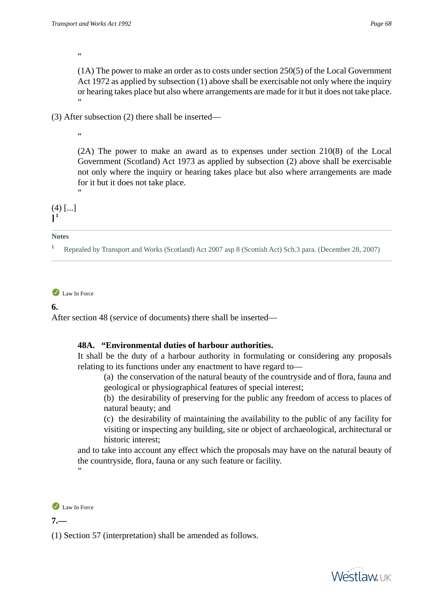"

(1A) The power to make an order as to costs under section 250(5) of the Local Government Act 1972 as applied by subsection (1) above shall be exercisable not only where the inquiry or hearing takes place but also where arrangements are made for it but it does not take place. "

(3) After subsection (2) there shall be inserted—

"

(2A) The power to make an award as to expenses under section 210(8) of the Local Government (Scotland) Act 1973 as applied by subsection (2) above shall be exercisable not only where the inquiry or hearing takes place but also where arrangements are made for it but it does not take place. "

 $(4)$   $[...]$ **] 1**

#### **Notes**

**<sup>1</sup>** Repealed by Transport and Works (Scotland) Act 2007 asp 8 (Scottish Act) Sch.3 para. (December 28, 2007)

Law In Force

**6.** 

After section 48 (service of documents) there shall be inserted—

# **48A. "Environmental duties of harbour authorities.**

It shall be the duty of a harbour authority in formulating or considering any proposals relating to its functions under any enactment to have regard to—

(a) the conservation of the natural beauty of the countryside and of flora, fauna and geological or physiographical features of special interest;

(b) the desirability of preserving for the public any freedom of access to places of natural beauty; and

(c) the desirability of maintaining the availability to the public of any facility for visiting or inspecting any building, site or object of archaeological, architectural or historic interest;

and to take into account any effect which the proposals may have on the natural beauty of the countryside, flora, fauna or any such feature or facility. "

```
Law In Force
```
**7.—** 

(1) Section 57 (interpretation) shall be amended as follows.

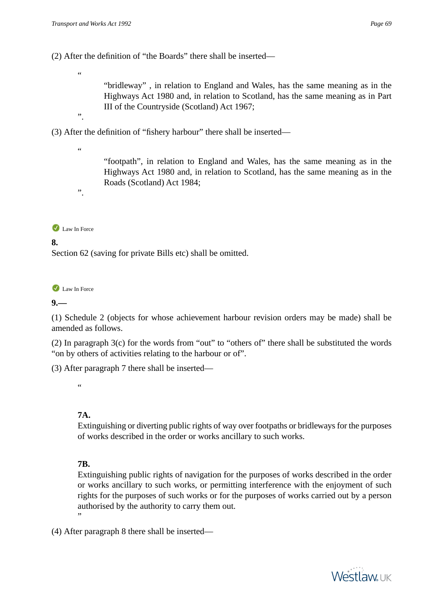(2) After the definition of "the Boards" there shall be inserted—

"

"bridleway" , in relation to England and Wales, has the same meaning as in the Highways Act 1980 and, in relation to Scotland, has the same meaning as in Part III of the Countryside (Scotland) Act 1967;

(3) After the definition of "fishery harbour" there shall be inserted—

.<br>44

".

".

"footpath", in relation to England and Wales, has the same meaning as in the Highways Act 1980 and, in relation to Scotland, has the same meaning as in the Roads (Scotland) Act 1984;

Law In Force

# **8.**

Section 62 (saving for private Bills etc) shall be omitted.

Law In Force

**9.—** 

(1) Schedule 2 (objects for whose achievement harbour revision orders may be made) shall be amended as follows.

(2) In paragraph 3(c) for the words from "out" to "others of" there shall be substituted the words "on by others of activities relating to the harbour or of".

(3) After paragraph 7 there shall be inserted—

 $\epsilon$ 

# **7A.**

Extinguishing or diverting public rights of way over footpaths or bridleways for the purposes of works described in the order or works ancillary to such works.

# **7B.**

Extinguishing public rights of navigation for the purposes of works described in the order or works ancillary to such works, or permitting interference with the enjoyment of such rights for the purposes of such works or for the purposes of works carried out by a person authorised by the authority to carry them out. "

(4) After paragraph 8 there shall be inserted—

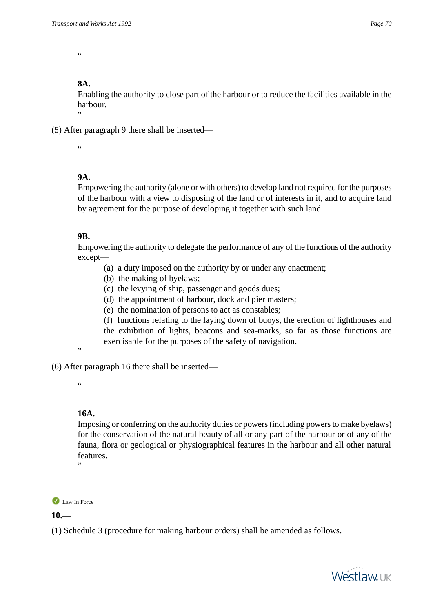.<br>44

# **8A.**

Enabling the authority to close part of the harbour or to reduce the facilities available in the harbour.

(5) After paragraph 9 there shall be inserted—

.<br>44

"

# **9A.**

Empowering the authority (alone or with others) to develop land not required for the purposes of the harbour with a view to disposing of the land or of interests in it, and to acquire land by agreement for the purpose of developing it together with such land.

## **9B.**

Empowering the authority to delegate the performance of any of the functions of the authority except—

- (a) a duty imposed on the authority by or under any enactment;
- (b) the making of byelaws;
- (c) the levying of ship, passenger and goods dues;
- (d) the appointment of harbour, dock and pier masters;
- (e) the nomination of persons to act as constables;

(f) functions relating to the laying down of buoys, the erection of lighthouses and the exhibition of lights, beacons and sea-marks, so far as those functions are exercisable for the purposes of the safety of navigation.

"

(6) After paragraph 16 there shall be inserted—

"

# **16A.**

Imposing or conferring on the authority duties or powers (including powers to make byelaws) for the conservation of the natural beauty of all or any part of the harbour or of any of the fauna, flora or geological or physiographical features in the harbour and all other natural features.

Law In Force

"

**10.—** 

(1) Schedule 3 (procedure for making harbour orders) shall be amended as follows.

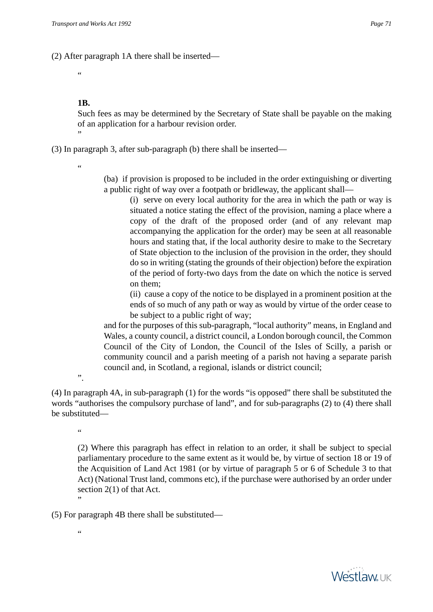(2) After paragraph 1A there shall be inserted—

 $\overline{a}$ 

# **1B.**

Such fees as may be determined by the Secretary of State shall be payable on the making of an application for a harbour revision order. "

(3) In paragraph 3, after sub-paragraph (b) there shall be inserted—

"

(ba) if provision is proposed to be included in the order extinguishing or diverting a public right of way over a footpath or bridleway, the applicant shall—

(i) serve on every local authority for the area in which the path or way is situated a notice stating the effect of the provision, naming a place where a copy of the draft of the proposed order (and of any relevant map accompanying the application for the order) may be seen at all reasonable hours and stating that, if the local authority desire to make to the Secretary of State objection to the inclusion of the provision in the order, they should do so in writing (stating the grounds of their objection) before the expiration of the period of forty-two days from the date on which the notice is served on them;

(ii) cause a copy of the notice to be displayed in a prominent position at the ends of so much of any path or way as would by virtue of the order cease to be subject to a public right of way;

and for the purposes of this sub-paragraph, "local authority" means, in England and Wales, a county council, a district council, a London borough council, the Common Council of the City of London, the Council of the Isles of Scilly, a parish or community council and a parish meeting of a parish not having a separate parish council and, in Scotland, a regional, islands or district council;

".

(4) In paragraph 4A, in sub-paragraph (1) for the words "is opposed" there shall be substituted the words "authorises the compulsory purchase of land", and for sub-paragraphs (2) to (4) there shall be substituted—

"

(2) Where this paragraph has effect in relation to an order, it shall be subject to special parliamentary procedure to the same extent as it would be, by virtue of section 18 or 19 of the Acquisition of Land Act 1981 (or by virtue of paragraph 5 or 6 of Schedule 3 to that Act) (National Trust land, commons etc), if the purchase were authorised by an order under section 2(1) of that Act.

"

(5) For paragraph 4B there shall be substituted—

"

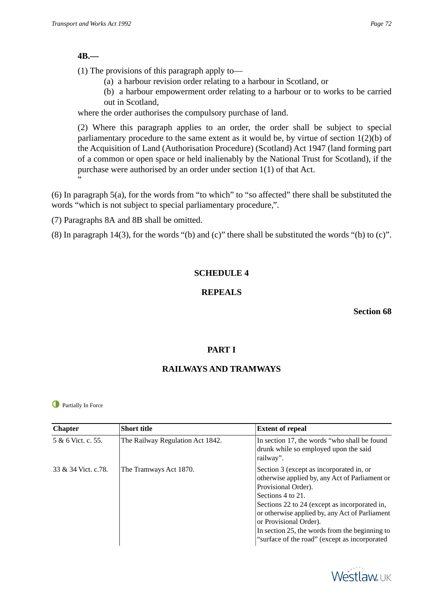## **4B.—**

(1) The provisions of this paragraph apply to—

- (a) a harbour revision order relating to a harbour in Scotland, or
- (b) a harbour empowerment order relating to a harbour or to works to be carried out in Scotland,

where the order authorises the compulsory purchase of land.

(2) Where this paragraph applies to an order, the order shall be subject to special parliamentary procedure to the same extent as it would be, by virtue of section 1(2)(b) of the Acquisition of Land (Authorisation Procedure) (Scotland) Act 1947 (land forming part of a common or open space or held inalienably by the National Trust for Scotland), if the purchase were authorised by an order under section 1(1) of that Act. "

(6) In paragraph 5(a), for the words from "to which" to "so affected" there shall be substituted the words "which is not subject to special parliamentary procedure,".

(7) Paragraphs 8A and 8B shall be omitted.

(8) In paragraph 14(3), for the words "(b) and (c)" there shall be substituted the words "(b) to (c)".

# **SCHEDULE 4**

# **REPEALS**

**Section 68**

# **PART I**

# **RAILWAYS AND TRAMWAYS**

**O** Partially In Force

| <b>Chapter</b>      | <b>Short title</b>               | <b>Extent of repeal</b>                                                                                                                                                                                                                                                                                                                                                |
|---------------------|----------------------------------|------------------------------------------------------------------------------------------------------------------------------------------------------------------------------------------------------------------------------------------------------------------------------------------------------------------------------------------------------------------------|
| 5 & 6 Vict. c. 55.  | The Railway Regulation Act 1842. | In section 17, the words "who shall be found<br>drunk while so employed upon the said<br>railway".                                                                                                                                                                                                                                                                     |
| 33 & 34 Vict. c.78. | The Tramways Act 1870.           | Section 3 (except as incorporated in, or<br>otherwise applied by, any Act of Parliament or<br>Provisional Order).<br>Sections 4 to 21.<br>Sections 22 to 24 (except as incorporated in,<br>or otherwise applied by, any Act of Parliament<br>or Provisional Order).<br>In section 25, the words from the beginning to<br>"surface of the road" (except as incorporated |

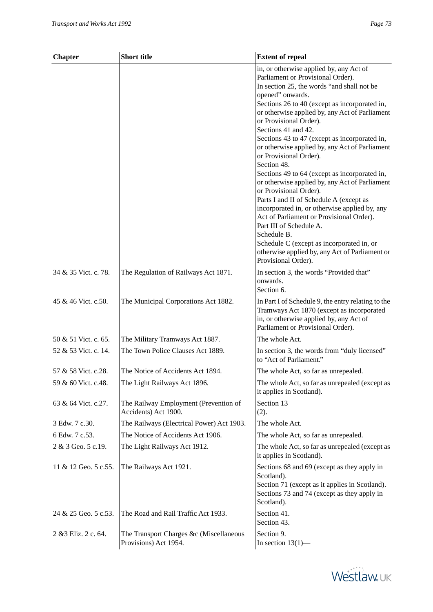| <b>Chapter</b>       | <b>Short title</b>                                               | <b>Extent of repeal</b>                                                                                                                                                                                                                                                                                                                                                                                                                                                                                                                                                                                                                                                                                                                                                                                                                                                             |
|----------------------|------------------------------------------------------------------|-------------------------------------------------------------------------------------------------------------------------------------------------------------------------------------------------------------------------------------------------------------------------------------------------------------------------------------------------------------------------------------------------------------------------------------------------------------------------------------------------------------------------------------------------------------------------------------------------------------------------------------------------------------------------------------------------------------------------------------------------------------------------------------------------------------------------------------------------------------------------------------|
|                      |                                                                  | in, or otherwise applied by, any Act of<br>Parliament or Provisional Order).<br>In section 25, the words "and shall not be<br>opened" onwards.<br>Sections 26 to 40 (except as incorporated in,<br>or otherwise applied by, any Act of Parliament<br>or Provisional Order).<br>Sections 41 and 42.<br>Sections 43 to 47 (except as incorporated in,<br>or otherwise applied by, any Act of Parliament<br>or Provisional Order).<br>Section 48.<br>Sections 49 to 64 (except as incorporated in,<br>or otherwise applied by, any Act of Parliament<br>or Provisional Order).<br>Parts I and II of Schedule A (except as<br>incorporated in, or otherwise applied by, any<br>Act of Parliament or Provisional Order).<br>Part III of Schedule A.<br>Schedule B.<br>Schedule C (except as incorporated in, or<br>otherwise applied by, any Act of Parliament or<br>Provisional Order). |
| 34 & 35 Vict. c. 78. | The Regulation of Railways Act 1871.                             | In section 3, the words "Provided that"<br>onwards.<br>Section 6.                                                                                                                                                                                                                                                                                                                                                                                                                                                                                                                                                                                                                                                                                                                                                                                                                   |
| 45 & 46 Vict. c.50.  | The Municipal Corporations Act 1882.                             | In Part I of Schedule 9, the entry relating to the<br>Tramways Act 1870 (except as incorporated<br>in, or otherwise applied by, any Act of<br>Parliament or Provisional Order).                                                                                                                                                                                                                                                                                                                                                                                                                                                                                                                                                                                                                                                                                                     |
| 50 & 51 Vict. c. 65. | The Military Tramways Act 1887.                                  | The whole Act.                                                                                                                                                                                                                                                                                                                                                                                                                                                                                                                                                                                                                                                                                                                                                                                                                                                                      |
| 52 & 53 Vict. c. 14. | The Town Police Clauses Act 1889.                                | In section 3, the words from "duly licensed"<br>to "Act of Parliament."                                                                                                                                                                                                                                                                                                                                                                                                                                                                                                                                                                                                                                                                                                                                                                                                             |
| 57 & 58 Vict. c.28.  | The Notice of Accidents Act 1894.                                | The whole Act, so far as unrepealed.                                                                                                                                                                                                                                                                                                                                                                                                                                                                                                                                                                                                                                                                                                                                                                                                                                                |
| 59 & 60 Vict. c.48.  | The Light Railways Act 1896.                                     | The whole Act, so far as unrepealed (except as<br>it applies in Scotland).                                                                                                                                                                                                                                                                                                                                                                                                                                                                                                                                                                                                                                                                                                                                                                                                          |
| 63 & 64 Vict. c.27.  | The Railway Employment (Prevention of<br>Accidents) Act 1900.    | Section 13<br>(2).                                                                                                                                                                                                                                                                                                                                                                                                                                                                                                                                                                                                                                                                                                                                                                                                                                                                  |
| 3 Edw. 7 c.30.       | The Railways (Electrical Power) Act 1903.                        | The whole Act.                                                                                                                                                                                                                                                                                                                                                                                                                                                                                                                                                                                                                                                                                                                                                                                                                                                                      |
| 6 Edw. 7 c.53.       | The Notice of Accidents Act 1906.                                | The whole Act, so far as unrepealed.                                                                                                                                                                                                                                                                                                                                                                                                                                                                                                                                                                                                                                                                                                                                                                                                                                                |
| 2 & 3 Geo. 5 c.19.   | The Light Railways Act 1912.                                     | The whole Act, so far as unrepealed (except as<br>it applies in Scotland).                                                                                                                                                                                                                                                                                                                                                                                                                                                                                                                                                                                                                                                                                                                                                                                                          |
| 11 & 12 Geo. 5 c.55. | The Railways Act 1921.                                           | Sections 68 and 69 (except as they apply in<br>Scotland).<br>Section 71 (except as it applies in Scotland).<br>Sections 73 and 74 (except as they apply in<br>Scotland).                                                                                                                                                                                                                                                                                                                                                                                                                                                                                                                                                                                                                                                                                                            |
| 24 & 25 Geo. 5 c.53. | The Road and Rail Traffic Act 1933.                              | Section 41.<br>Section 43.                                                                                                                                                                                                                                                                                                                                                                                                                                                                                                                                                                                                                                                                                                                                                                                                                                                          |
| 2 & 3 Eliz. 2 c. 64. | The Transport Charges &c (Miscellaneous<br>Provisions) Act 1954. | Section 9.<br>In section $13(1)$ —                                                                                                                                                                                                                                                                                                                                                                                                                                                                                                                                                                                                                                                                                                                                                                                                                                                  |

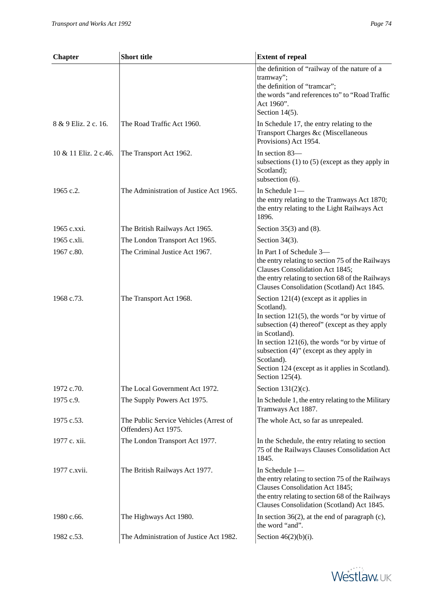| <b>Chapter</b>        | <b>Short title</b>                                             | <b>Extent of repeal</b>                                                                                                                                                                                                                                                                                                                                              |
|-----------------------|----------------------------------------------------------------|----------------------------------------------------------------------------------------------------------------------------------------------------------------------------------------------------------------------------------------------------------------------------------------------------------------------------------------------------------------------|
|                       |                                                                | the definition of "railway of the nature of a<br>tramway";<br>the definition of "tramcar";<br>the words "and references to" to "Road Traffic<br>Act 1960".<br>Section $14(5)$ .                                                                                                                                                                                      |
| 8 & 9 Eliz. 2 c. 16.  | The Road Traffic Act 1960.                                     | In Schedule 17, the entry relating to the<br>Transport Charges &c (Miscellaneous<br>Provisions) Act 1954.                                                                                                                                                                                                                                                            |
| 10 & 11 Eliz. 2 c.46. | The Transport Act 1962.                                        | In section 83-<br>subsections $(1)$ to $(5)$ (except as they apply in<br>Scotland);<br>subsection (6).                                                                                                                                                                                                                                                               |
| 1965 c.2.             | The Administration of Justice Act 1965.                        | In Schedule 1-<br>the entry relating to the Tramways Act 1870;<br>the entry relating to the Light Railways Act<br>1896.                                                                                                                                                                                                                                              |
| 1965 c.xxi.           | The British Railways Act 1965.                                 | Section $35(3)$ and $(8)$ .                                                                                                                                                                                                                                                                                                                                          |
| 1965 c.xli.           | The London Transport Act 1965.                                 | Section $34(3)$ .                                                                                                                                                                                                                                                                                                                                                    |
| 1967 c.80.            | The Criminal Justice Act 1967.                                 | In Part I of Schedule 3-<br>the entry relating to section 75 of the Railways<br>Clauses Consolidation Act 1845;<br>the entry relating to section 68 of the Railways<br>Clauses Consolidation (Scotland) Act 1845.                                                                                                                                                    |
| 1968 c.73.            | The Transport Act 1968.                                        | Section $121(4)$ (except as it applies in<br>Scotland).<br>In section $121(5)$ , the words "or by virtue of<br>subsection (4) thereof" (except as they apply<br>in Scotland).<br>In section $121(6)$ , the words "or by virtue of<br>subsection (4)" (except as they apply in<br>Scotland).<br>Section 124 (except as it applies in Scotland).<br>Section $125(4)$ . |
| 1972 c.70.            | The Local Government Act 1972.                                 | Section $131(2)(c)$ .                                                                                                                                                                                                                                                                                                                                                |
| 1975 c.9.             | The Supply Powers Act 1975.                                    | In Schedule 1, the entry relating to the Military<br>Tramways Act 1887.                                                                                                                                                                                                                                                                                              |
| 1975 c.53.            | The Public Service Vehicles (Arrest of<br>Offenders) Act 1975. | The whole Act, so far as unrepealed.                                                                                                                                                                                                                                                                                                                                 |
| 1977 c. xii.          | The London Transport Act 1977.                                 | In the Schedule, the entry relating to section<br>75 of the Railways Clauses Consolidation Act<br>1845.                                                                                                                                                                                                                                                              |
| 1977 c.xvii.          | The British Railways Act 1977.                                 | In Schedule 1-<br>the entry relating to section 75 of the Railways<br>Clauses Consolidation Act 1845;<br>the entry relating to section 68 of the Railways<br>Clauses Consolidation (Scotland) Act 1845.                                                                                                                                                              |
| 1980 c.66.            | The Highways Act 1980.                                         | In section $36(2)$ , at the end of paragraph (c),<br>the word "and".                                                                                                                                                                                                                                                                                                 |
| 1982 c.53.            | The Administration of Justice Act 1982.                        | Section $46(2)(b)(i)$ .                                                                                                                                                                                                                                                                                                                                              |

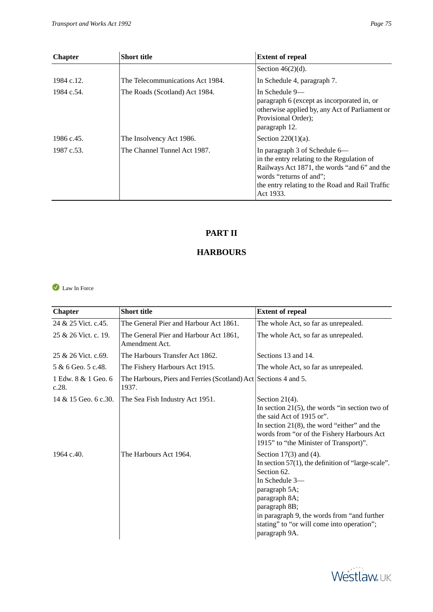| <b>Chapter</b> | <b>Short title</b>               | <b>Extent of repeal</b>                                                                                                                                |
|----------------|----------------------------------|--------------------------------------------------------------------------------------------------------------------------------------------------------|
|                |                                  | Section $46(2)(d)$ .                                                                                                                                   |
| 1984 c.12.     | The Telecommunications Act 1984. | In Schedule 4, paragraph 7.                                                                                                                            |
| 1984 c.54.     | The Roads (Scotland) Act 1984.   | In Schedule 9—<br>paragraph 6 (except as incorporated in, or<br>otherwise applied by, any Act of Parliament or<br>Provisional Order);<br>paragraph 12. |
| 1986 c.45.     | The Insolvency Act 1986.         | Section $220(1)(a)$ .                                                                                                                                  |
| 1987 c.53.     | The Channel Tunnel Act 1987.     | In paragraph 3 of Schedule 6—                                                                                                                          |

in the entry relating to the Regulation of Railways Act 1871, the words "and 6" and the

the entry relating to the Road and Rail Traffic

words "returns of and";

Act 1933.

## **PART II**

## **HARBOURS**

<span id="page-74-1"></span><span id="page-74-0"></span>Law In Force

| <b>Chapter</b>               | <b>Short title</b>                                                        | <b>Extent of repeal</b>                                                                                                                                                                                                                                                                |
|------------------------------|---------------------------------------------------------------------------|----------------------------------------------------------------------------------------------------------------------------------------------------------------------------------------------------------------------------------------------------------------------------------------|
| 24 & 25 Vict. c. 45.         | The General Pier and Harbour Act 1861.                                    | The whole Act, so far as unrepealed.                                                                                                                                                                                                                                                   |
| 25 & 26 Vict. c. 19.         | The General Pier and Harbour Act 1861,<br>Amendment Act.                  | The whole Act, so far as unrepealed.                                                                                                                                                                                                                                                   |
| 25 & 26 Vict. c.69.          | The Harbours Transfer Act 1862.                                           | Sections 13 and 14.                                                                                                                                                                                                                                                                    |
| 5 & 6 Geo. 5 c.48.           | The Fishery Harbours Act 1915.                                            | The whole Act, so far as unrepealed.                                                                                                                                                                                                                                                   |
| 1 Edw. 8 & 1 Geo. 6<br>c.28. | The Harbours, Piers and Ferries (Scotland) Act Sections 4 and 5.<br>1937. |                                                                                                                                                                                                                                                                                        |
| 14 & 15 Geo. 6 c.30.         | The Sea Fish Industry Act 1951.                                           | Section $21(4)$ .<br>In section $21(5)$ , the words "in section two of<br>the said Act of 1915 or".<br>In section $21(8)$ , the word "either" and the<br>words from "or of the Fishery Harbours Act<br>1915" to "the Minister of Transport)".                                          |
| 1964 c.40.                   | The Harbours Act 1964.                                                    | Section $17(3)$ and $(4)$ .<br>In section $57(1)$ , the definition of "large-scale".<br>Section 62.<br>In Schedule 3-<br>paragraph 5A;<br>paragraph 8A;<br>paragraph 8B;<br>in paragraph 9, the words from "and further<br>stating" to "or will come into operation";<br>paragraph 9A. |

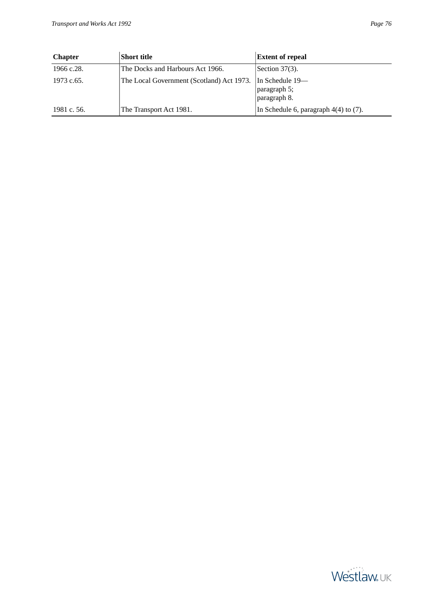| ort title                                                  | <b>Extent of repeal</b> |
|------------------------------------------------------------|-------------------------|
| ne Docks and Harbours Act 1966.                            | Section $37(3)$ .       |
| ne Local Government (Scotland) Act 1973.   In Schedule 19— |                         |

| <b>Chapter</b> | Short title                               | <b>Extent of repeal</b>                           |
|----------------|-------------------------------------------|---------------------------------------------------|
| 1966 c.28.     | The Docks and Harbours Act 1966.          | Section $37(3)$ .                                 |
| 1973 c.65.     | The Local Government (Scotland) Act 1973. | In Schedule $19-$<br>paragraph 5;<br>paragraph 8. |
| 1981 c. 56.    | The Transport Act 1981.                   | In Schedule 6, paragraph $4(4)$ to $(7)$ .        |

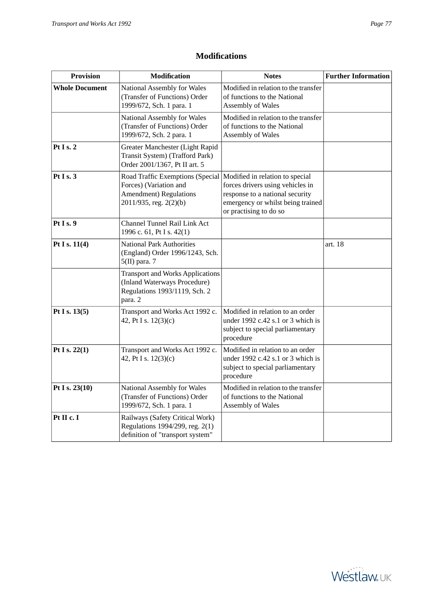<span id="page-76-0"></span>

| <b>Provision</b>      | <b>Modification</b>                                                                                                                                      | <b>Notes</b>                                                                                                                       | <b>Further Information</b> |
|-----------------------|----------------------------------------------------------------------------------------------------------------------------------------------------------|------------------------------------------------------------------------------------------------------------------------------------|----------------------------|
| <b>Whole Document</b> | National Assembly for Wales<br>(Transfer of Functions) Order<br>1999/672, Sch. 1 para. 1                                                                 | Modified in relation to the transfer<br>of functions to the National<br>Assembly of Wales                                          |                            |
|                       | National Assembly for Wales<br>(Transfer of Functions) Order<br>1999/672, Sch. 2 para. 1                                                                 | Modified in relation to the transfer<br>of functions to the National<br>Assembly of Wales                                          |                            |
| Pt I s. $2$           | Greater Manchester (Light Rapid<br>Transit System) (Trafford Park)<br>Order 2001/1367, Pt II art. 5                                                      |                                                                                                                                    |                            |
| Pt I s. $3$           | Road Traffic Exemptions (Special   Modified in relation to special<br>Forces) (Variation and<br><b>Amendment</b> ) Regulations<br>2011/935, reg. 2(2)(b) | forces drivers using vehicles in<br>response to a national security<br>emergency or whilst being trained<br>or practising to do so |                            |
| Pt I s. 9             | Channel Tunnel Rail Link Act<br>1996 c. 61, Pt I s. 42(1)                                                                                                |                                                                                                                                    |                            |
| Pt I s. $11(4)$       | <b>National Park Authorities</b><br>(England) Order 1996/1243, Sch.<br>$5(II)$ para. 7                                                                   |                                                                                                                                    | art. 18                    |
|                       | <b>Transport and Works Applications</b><br>(Inland Waterways Procedure)<br>Regulations 1993/1119, Sch. 2<br>para. 2                                      |                                                                                                                                    |                            |
| Pt I s. $13(5)$       | Transport and Works Act 1992 c.<br>42, Pt I s. 12(3)(c)                                                                                                  | Modified in relation to an order<br>under 1992 c.42 s.1 or 3 which is<br>subject to special parliamentary<br>procedure             |                            |
| Pt I s. $22(1)$       | Transport and Works Act 1992 c.<br>42, Pt I s. 12(3)(c)                                                                                                  | Modified in relation to an order<br>under 1992 c.42 s.1 or 3 which is<br>subject to special parliamentary<br>procedure             |                            |
| Pt I s. 23(10)        | National Assembly for Wales<br>(Transfer of Functions) Order<br>1999/672, Sch. 1 para. 1                                                                 | Modified in relation to the transfer<br>of functions to the National<br>Assembly of Wales                                          |                            |
| Pt II c. I            | Railways (Safety Critical Work)<br>Regulations 1994/299, reg. 2(1)<br>definition of "transport system"                                                   |                                                                                                                                    |                            |

## **Modifications**

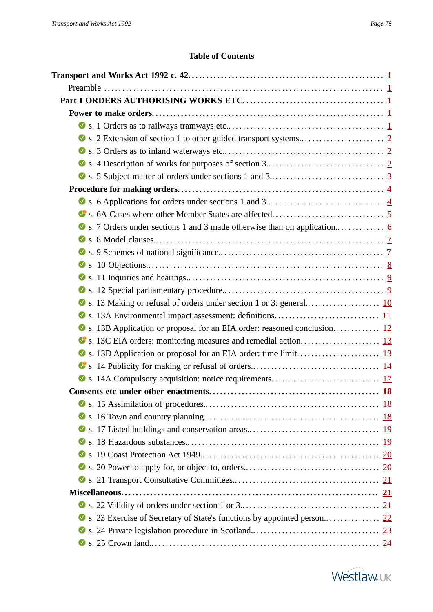## **Table of Contents**

<span id="page-77-0"></span>

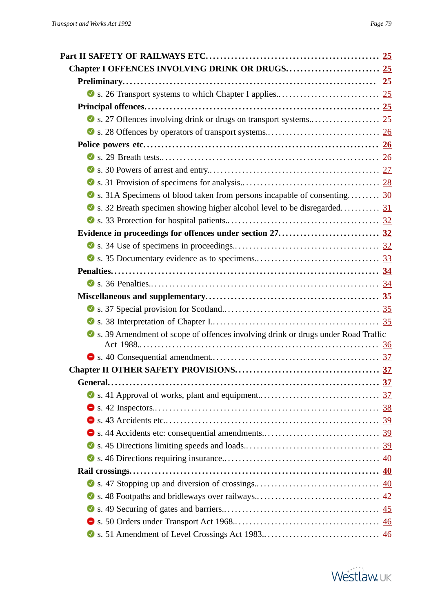| Solid s. 31A Specimens of blood taken from persons incapable of consenting 30      |  |
|------------------------------------------------------------------------------------|--|
| Solution S. 32 Breath specimen showing higher alcohol level to be disregarded 31   |  |
|                                                                                    |  |
|                                                                                    |  |
|                                                                                    |  |
|                                                                                    |  |
|                                                                                    |  |
|                                                                                    |  |
|                                                                                    |  |
|                                                                                    |  |
|                                                                                    |  |
| S s. 39 Amendment of scope of offences involving drink or drugs under Road Traffic |  |
|                                                                                    |  |
|                                                                                    |  |
|                                                                                    |  |
|                                                                                    |  |
|                                                                                    |  |
|                                                                                    |  |
|                                                                                    |  |
|                                                                                    |  |
|                                                                                    |  |
|                                                                                    |  |
|                                                                                    |  |
|                                                                                    |  |
|                                                                                    |  |
|                                                                                    |  |
|                                                                                    |  |
|                                                                                    |  |

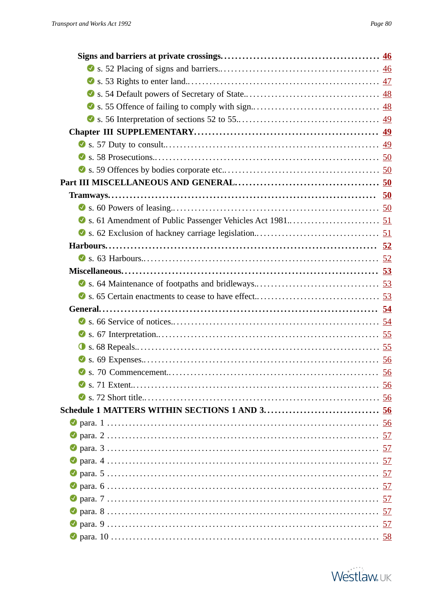| Solutions Solutions Solutions Solutions Solutions Solutions Solutions Solutions Solutions Solutions Solutions Solutions Solutions Solutions Solutions Solutions Solutions Solutions Solutions Solutions Solutions Solutions So |  |
|--------------------------------------------------------------------------------------------------------------------------------------------------------------------------------------------------------------------------------|--|
|                                                                                                                                                                                                                                |  |
|                                                                                                                                                                                                                                |  |
|                                                                                                                                                                                                                                |  |
|                                                                                                                                                                                                                                |  |
|                                                                                                                                                                                                                                |  |
|                                                                                                                                                                                                                                |  |
|                                                                                                                                                                                                                                |  |
|                                                                                                                                                                                                                                |  |
|                                                                                                                                                                                                                                |  |
|                                                                                                                                                                                                                                |  |
|                                                                                                                                                                                                                                |  |
|                                                                                                                                                                                                                                |  |
|                                                                                                                                                                                                                                |  |
|                                                                                                                                                                                                                                |  |
|                                                                                                                                                                                                                                |  |
|                                                                                                                                                                                                                                |  |
|                                                                                                                                                                                                                                |  |
|                                                                                                                                                                                                                                |  |
|                                                                                                                                                                                                                                |  |
|                                                                                                                                                                                                                                |  |
|                                                                                                                                                                                                                                |  |
|                                                                                                                                                                                                                                |  |
|                                                                                                                                                                                                                                |  |
|                                                                                                                                                                                                                                |  |
|                                                                                                                                                                                                                                |  |
|                                                                                                                                                                                                                                |  |
|                                                                                                                                                                                                                                |  |
|                                                                                                                                                                                                                                |  |
|                                                                                                                                                                                                                                |  |
|                                                                                                                                                                                                                                |  |